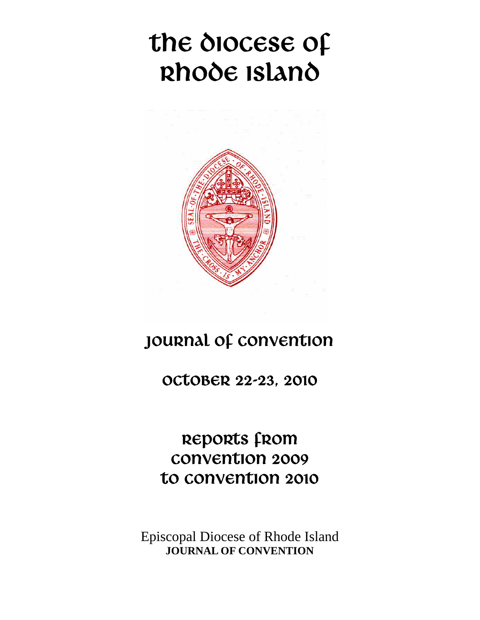# the diocese of Rhode Island



## JOURNAL OF CONVENTION

OCTOBER 22-23, 2010

REPORTS from Convention 2009 to convention 2010

Episcopal Diocese of Rhode Island **JOURNAL OF CONVENTION**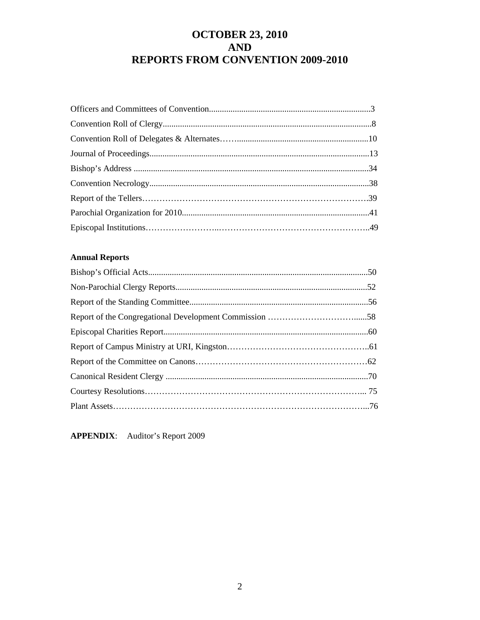## **OCTOBER 23, 2010 AND REPORTS FROM CONVENTION 2009-2010**

#### **Annual Reports**

**APPENDIX**: Auditor's Report 2009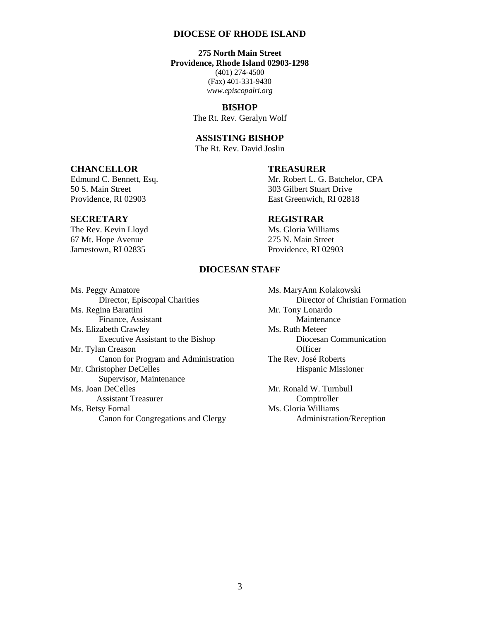#### **DIOCESE OF RHODE ISLAND**

**275 North Main Street Providence, Rhode Island 02903-1298**  (401) 274-4500 (Fax) 401-331-9430 *www.episcopalri.org* 

> **BISHOP**  The Rt. Rev. Geralyn Wolf

#### **ASSISTING BISHOP**

The Rt. Rev. David Joslin

#### **CHANCELLOR TREASURER**

50 S. Main Street 303 Gilbert Stuart Drive

The Rev. Kevin Lloyd Ms. Gloria Williams 67 Mt. Hope Avenue 275 N. Main Street

Edmund C. Bennett, Esq. Mr. Robert L. G. Batchelor, CPA Providence, RI 02903 East Greenwich, RI 02818

#### **SECRETARY REGISTRAR**

Jamestown, RI 02835 Providence, RI 02903

#### **DIOCESAN STAFF**

Ms. Peggy Amatore Ms. MaryAnn Kolakowski Ms. Regina Barattini Finance, Assistant Maintenance Ms. Elizabeth Crawley Ms. Ruth Meteer Executive Assistant to the Bishop Diocesan Communication Mr. Tylan Creason Officer Canon for Program and Administration The Rev. José Roberts Mr. Christopher DeCelles Hispanic Missioner Supervisor, Maintenance Ms. Joan DeCelles **Mr. Ronald W. Turnbull** Assistant Treasurer Comptroller Ms. Betsy Fornal Ms. Gloria Williams Canon for Congregations and Clergy Administration/Reception

Director, Episcopal Charities Director of Christian Formation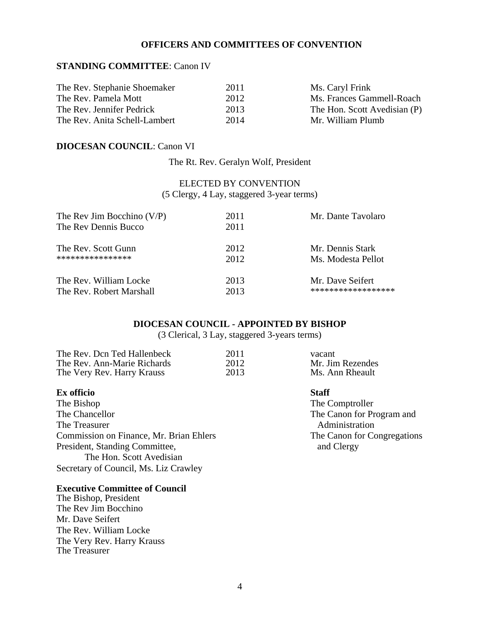#### **OFFICERS AND COMMITTEES OF CONVENTION**

#### **STANDING COMMITTEE**: Canon IV

| The Rev. Stephanie Shoemaker  | 2011 | Ms. Caryl Frink              |
|-------------------------------|------|------------------------------|
| The Rev. Pamela Mott          | 2012 | Ms. Frances Gammell-Roach    |
| The Rev. Jennifer Pedrick     | 2013 | The Hon. Scott Avedisian (P) |
| The Rev. Anita Schell-Lambert | 2014 | Mr. William Plumb            |

#### **DIOCESAN COUNCIL**: Canon VI

The Rt. Rev. Geralyn Wolf, President

ELECTED BY CONVENTION (5 Clergy, 4 Lay, staggered 3-year terms)

| The Rev Jim Bocchino $(V/P)$ | 2011 | Mr. Dante Tavolaro |
|------------------------------|------|--------------------|
| The Rev Dennis Bucco         | 2011 |                    |
| The Rev. Scott Gunn          | 2012 | Mr. Dennis Stark   |
| ****************             | 2012 | Ms. Modesta Pellot |
| The Rev. William Locke       | 2013 | Mr. Dave Seifert   |
| The Rev. Robert Marshall     | 2013 | ****************** |

#### **DIOCESAN COUNCIL - APPOINTED BY BISHOP**

(3 Clerical, 3 Lay, staggered 3-years terms)

| The Rev. Dcn Ted Hallenbeck | 2011 | vacant           |
|-----------------------------|------|------------------|
| The Rev. Ann-Marie Richards | 2012 | Mr. Jim Rezendes |
| The Very Rev. Harry Krauss  | 2013 | Ms. Ann Rheault  |

#### **Ex officio** Staff

The Bishop The Comptroller The Chancellor The Canon for Program and The Treasurer<br>
Commission on Finance, Mr. Brian Ehlers<br>
The Canon for Congregations Commission on Finance, Mr. Brian Ehlers President, Standing Committee, and Clergy The Hon. Scott Avedisian Secretary of Council, Ms. Liz Crawley

#### **Executive Committee of Council**

The Bishop, President The Rev Jim Bocchino Mr. Dave Seifert The Rev. William Locke The Very Rev. Harry Krauss The Treasurer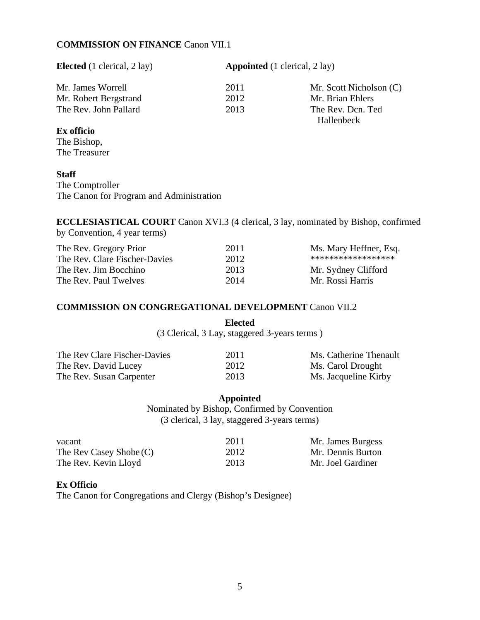#### **COMMISSION ON FINANCE** Canon VII.1

**Elected** (1 clerical, 2 lay) **Appointed** (1 clerical, 2 lay)

| Mr. James Worrell     | 2011 | Mr. Scott Nicholson (C) |
|-----------------------|------|-------------------------|
| Mr. Robert Bergstrand | 2012 | Mr. Brian Ehlers        |
| The Rev. John Pallard | 2013 | The Rev. Dcn. Ted       |
|                       |      | Hallenbeck              |

#### **Ex officio**

The Bishop, The Treasurer

#### **Staff**

The Comptroller The Canon for Program and Administration

**ECCLESIASTICAL COURT** Canon XVI.3 (4 clerical, 3 lay, nominated by Bishop, confirmed by Convention, 4 year terms)

| The Rev. Gregory Prior        | 2011 | Ms. Mary Heffner, Esq. |
|-------------------------------|------|------------------------|
| The Rev. Clare Fischer-Davies | 2012 | ******************     |
| The Rev. Jim Bocchino         | 2013 | Mr. Sydney Clifford    |
| The Rev. Paul Twelves         | 2014 | Mr. Rossi Harris       |

#### **COMMISSION ON CONGREGATIONAL DEVELOPMENT** Canon VII.2

**Elected**  (3 Clerical, 3 Lay, staggered 3-years terms )

| The Rev Clare Fischer-Davies | 2011 | Ms. Catherine Thenault |
|------------------------------|------|------------------------|
| The Rev. David Lucey         | 2012 | Ms. Carol Drought      |
| The Rev. Susan Carpenter     | 2013 | Ms. Jacqueline Kirby   |

**Appointed** 

Nominated by Bishop, Confirmed by Convention (3 clerical, 3 lay, staggered 3-years terms)

| vacant                    | 2011 | Mr. James Burgess |
|---------------------------|------|-------------------|
| The Rev Casey Shobe $(C)$ | 2012 | Mr. Dennis Burton |
| The Rev. Kevin Lloyd      | 2013 | Mr. Joel Gardiner |

#### **Ex Officio**

The Canon for Congregations and Clergy (Bishop's Designee)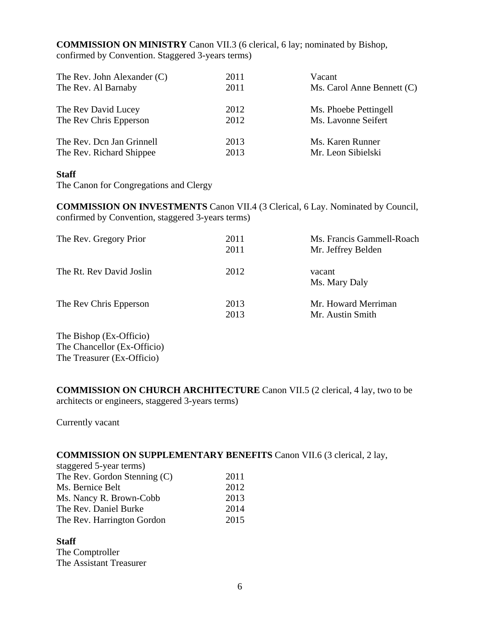**COMMISSION ON MINISTRY** Canon VII.3 (6 clerical, 6 lay; nominated by Bishop, confirmed by Convention. Staggered 3-years terms)

| The Rev. John Alexander $(C)$ | 2011 | Vacant                       |
|-------------------------------|------|------------------------------|
| The Rev. Al Barnaby           | 2011 | Ms. Carol Anne Bennett $(C)$ |
| The Rev David Lucey           | 2012 | Ms. Phoebe Pettingell        |
| The Rev Chris Epperson        | 2012 | Ms. Lavonne Seifert          |
| The Rev. Don Jan Grinnell     | 2013 | Ms. Karen Runner             |
| The Rev. Richard Shippee      | 2013 | Mr. Leon Sibielski           |

#### **Staff**

The Canon for Congregations and Clergy

**COMMISSION ON INVESTMENTS** Canon VII.4 (3 Clerical, 6 Lay. Nominated by Council, confirmed by Convention, staggered 3-years terms)

| The Rev. Gregory Prior   | 2011<br>2011 | Ms. Francis Gammell-Roach<br>Mr. Jeffrey Belden |
|--------------------------|--------------|-------------------------------------------------|
| The Rt. Rev David Joslin | 2012         | vacant<br>Ms. Mary Daly                         |
| The Rev Chris Epperson   | 2013<br>2013 | Mr. Howard Merriman<br>Mr. Austin Smith         |

The Bishop (Ex-Officio) The Chancellor (Ex-Officio) The Treasurer (Ex-Officio)

**COMMISSION ON CHURCH ARCHITECTURE** Canon VII.5 (2 clerical, 4 lay, two to be architects or engineers, staggered 3-years terms)

Currently vacant

#### **COMMISSION ON SUPPLEMENTARY BENEFITS** Canon VII.6 (3 clerical, 2 lay,

| staggered 5-year terms)        |      |
|--------------------------------|------|
| The Rev. Gordon Stenning $(C)$ | 2011 |
| Ms. Bernice Belt               | 2012 |
| Ms. Nancy R. Brown-Cobb        | 2013 |
| The Rev. Daniel Burke          | 2014 |
| The Rev. Harrington Gordon     | 2015 |

**Staff**  The Comptroller The Assistant Treasurer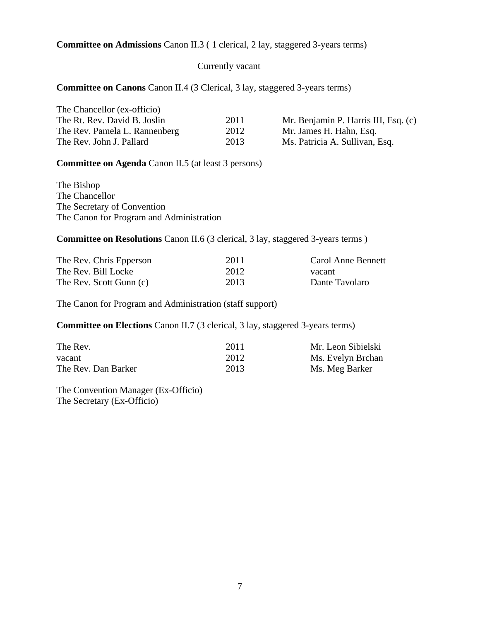#### **Committee on Admissions** Canon II.3 ( 1 clerical, 2 lay, staggered 3-years terms)

#### Currently vacant

#### **Committee on Canons** Canon II.4 (3 Clerical, 3 lay, staggered 3-years terms)

| The Chancellor (ex-officio)   |      |                                      |
|-------------------------------|------|--------------------------------------|
| The Rt. Rev. David B. Joslin  | 2011 | Mr. Benjamin P. Harris III, Esq. (c) |
| The Rev. Pamela L. Rannenberg | 2012 | Mr. James H. Hahn, Esq.              |
| The Rev. John J. Pallard      | 2013 | Ms. Patricia A. Sullivan, Esq.       |

**Committee on Agenda** Canon II.5 (at least 3 persons)

The Bishop The Chancellor The Secretary of Convention The Canon for Program and Administration

**Committee on Resolutions** Canon II.6 (3 clerical, 3 lay, staggered 3-years terms )

| The Rev. Chris Epperson | 2011 | Carol Anne Bennett |
|-------------------------|------|--------------------|
| The Rev. Bill Locke     | 2012 | vacant             |
| The Rev. Scott Gunn (c) | 2013 | Dante Tavolaro     |

The Canon for Program and Administration (staff support)

**Committee on Elections** Canon II.7 (3 clerical, 3 lay, staggered 3-years terms)

| The Rev.            | 2011 | Mr. Leon Sibielski |
|---------------------|------|--------------------|
| vacant              | 2012 | Ms. Evelyn Brchan  |
| The Rev. Dan Barker | 2013 | Ms. Meg Barker     |

The Convention Manager (Ex-Officio) The Secretary (Ex-Officio)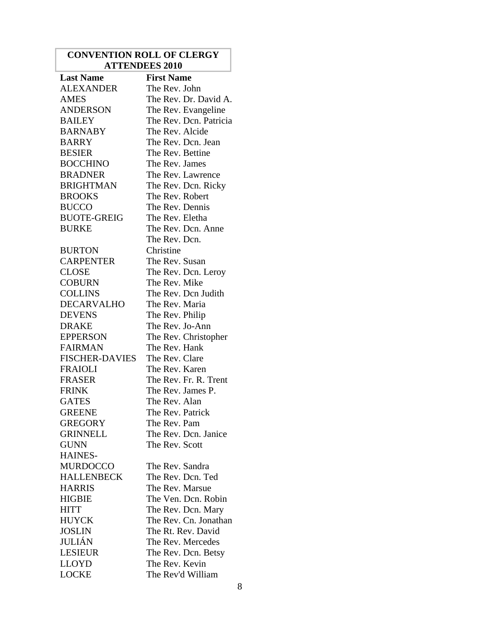#### **CONVENTION ROLL OF CLERGY ATTENDEES 2010**

| <b>Last Name</b>      | <b>First Name</b>      |
|-----------------------|------------------------|
| <b>ALEXANDER</b>      | The Rev. John          |
| <b>AMES</b>           | The Rev. Dr. David A.  |
| <b>ANDERSON</b>       | The Rev. Evangeline    |
| <b>BAILEY</b>         | The Rev. Dcn. Patricia |
| <b>BARNABY</b>        | The Rev. Alcide        |
| <b>BARRY</b>          | The Rev. Dcn. Jean     |
| <b>BESIER</b>         | The Rev. Bettine       |
| <b>BOCCHINO</b>       | The Rev. James         |
| <b>BRADNER</b>        | The Rev. Lawrence      |
| <b>BRIGHTMAN</b>      | The Rev. Dcn. Ricky    |
| <b>BROOKS</b>         | The Rev. Robert        |
| <b>BUCCO</b>          | The Rev. Dennis        |
| <b>BUOTE-GREIG</b>    | The Rev. Eletha        |
| <b>BURKE</b>          | The Rev. Dcn. Anne     |
|                       | The Rev. Dcn.          |
| <b>BURTON</b>         | Christine              |
| <b>CARPENTER</b>      | The Rev. Susan         |
| <b>CLOSE</b>          | The Rev. Dcn. Leroy    |
| <b>COBURN</b>         | The Rev. Mike          |
| <b>COLLINS</b>        | The Rev. Dcn Judith    |
| <b>DECARVALHO</b>     | The Rev. Maria         |
| <b>DEVENS</b>         | The Rev. Philip        |
| <b>DRAKE</b>          | The Rev. Jo-Ann        |
| <b>EPPERSON</b>       | The Rev. Christopher   |
| <b>FAIRMAN</b>        | The Rev. Hank          |
| <b>FISCHER-DAVIES</b> | The Rev. Clare         |
| <b>FRAIOLI</b>        | The Rev. Karen         |
| <b>FRASER</b>         | The Rev. Fr. R. Trent  |
| <b>FRINK</b>          | The Rev. James P.      |
| <b>GATES</b>          | The Rev. Alan          |
| <b>GREENE</b>         | The Rev. Patrick       |
| <b>GREGORY</b>        | The Rev. Pam           |
| <b>GRINNELL</b>       | The Rev. Dcn. Janice   |
| <b>GUNN</b>           | The Rev. Scott         |
| <b>HAINES-</b>        |                        |
| <b>MURDOCCO</b>       | The Rev. Sandra        |
| <b>HALLENBECK</b>     | The Rev. Dcn. Ted      |
| <b>HARRIS</b>         | The Rev. Marsue        |
| <b>HIGBIE</b>         | The Ven. Dcn. Robin    |
| <b>HITT</b>           | The Rev. Dcn. Mary     |
| <b>HUYCK</b>          | The Rev. Cn. Jonathan  |
| <b>JOSLIN</b>         | The Rt. Rev. David     |
| JULIÁN                | The Rev. Mercedes      |
| <b>LESIEUR</b>        | The Rev. Dcn. Betsy    |
| <b>LLOYD</b>          | The Rev. Kevin         |
| <b>LOCKE</b>          | The Rev'd William      |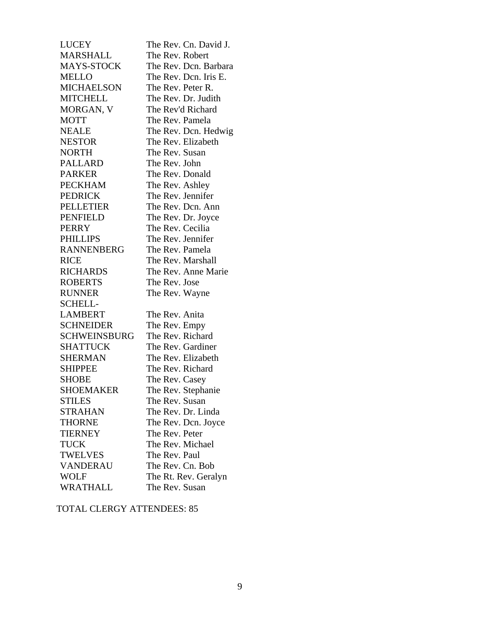| <b>LUCEY</b>        | The Rev. Cn. David J. |
|---------------------|-----------------------|
| <b>MARSHALL</b>     | The Rev. Robert       |
| MAYS-STOCK          | The Rev. Dcn. Barbara |
| <b>MELLO</b>        | The Rev. Dcn. Iris E. |
| <b>MICHAELSON</b>   | The Rev. Peter R.     |
| <b>MITCHELL</b>     | The Rev. Dr. Judith   |
| MORGAN, V           | The Rev'd Richard     |
| <b>MOTT</b>         | The Rev. Pamela       |
| <b>NEALE</b>        | The Rev. Dcn. Hedwig  |
| <b>NESTOR</b>       | The Rev. Elizabeth    |
| <b>NORTH</b>        | The Rev. Susan        |
| PALLARD             | The Rev. John         |
| <b>PARKER</b>       | The Rev. Donald       |
| <b>PECKHAM</b>      | The Rev. Ashley       |
| <b>PEDRICK</b>      | The Rev. Jennifer     |
| <b>PELLETIER</b>    | The Rev. Dcn. Ann     |
| <b>PENFIELD</b>     | The Rev. Dr. Joyce    |
| <b>PERRY</b>        | The Rev. Cecilia      |
| <b>PHILLIPS</b>     | The Rev. Jennifer     |
| <b>RANNENBERG</b>   | The Rev. Pamela       |
| <b>RICE</b>         | The Rev. Marshall     |
| <b>RICHARDS</b>     | The Rev. Anne Marie   |
| <b>ROBERTS</b>      | The Rev. Jose         |
| <b>RUNNER</b>       | The Rev. Wayne        |
| <b>SCHELL-</b>      |                       |
| <b>LAMBERT</b>      | The Rev. Anita        |
| <b>SCHNEIDER</b>    | The Rev. Empy         |
| <b>SCHWEINSBURG</b> | The Rev. Richard      |
| <b>SHATTUCK</b>     | The Rev. Gardiner     |
| <b>SHERMAN</b>      | The Rev. Elizabeth    |
| <b>SHIPPEE</b>      | The Rev. Richard      |
| <b>SHOBE</b>        | The Rev. Casey        |
| <b>SHOEMAKER</b>    | The Rev. Stephanie    |
| <b>STILES</b>       | The Rev. Susan        |
| <b>STRAHAN</b>      | The Rev. Dr. Linda    |
| <b>THORNE</b>       | The Rev. Dcn. Joyce   |
| <b>TIERNEY</b>      | The Rev. Peter        |
| <b>TUCK</b>         | The Rev. Michael      |
| <b>TWELVES</b>      | The Rev. Paul         |
| <b>VANDERAU</b>     | The Rev. Cn. Bob      |
| <b>WOLF</b>         | The Rt. Rev. Geralyn  |
| <b>WRATHALL</b>     | The Rev. Susan        |

#### TOTAL CLERGY ATTENDEES: 85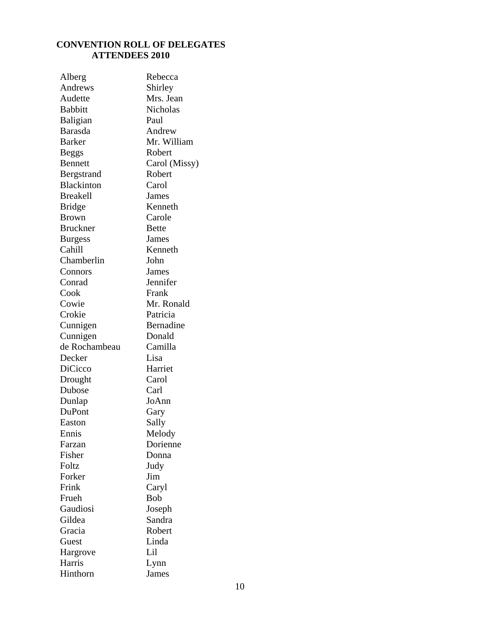#### **CONVENTION ROLL OF DELEGATES ATTENDEES 2010**

| Alberg            | Rebecca       |
|-------------------|---------------|
| Andrews           | Shirley       |
| Audette           | Mrs. Jean     |
| <b>Babbitt</b>    | Nicholas      |
| Baligian          | Paul          |
| Barasda           | Andrew        |
| <b>Barker</b>     | Mr. William   |
| Beggs             | Robert        |
| <b>Bennett</b>    | Carol (Missy) |
| Bergstrand        | Robert        |
| <b>Blackinton</b> | Carol         |
| <b>Breakell</b>   | James         |
| Bridge            | Kenneth       |
| <b>Brown</b>      | Carole        |
| <b>Bruckner</b>   | <b>Bette</b>  |
| <b>Burgess</b>    | James         |
| Cahill            | Kenneth       |
| Chamberlin        | John          |
| Connors           | James         |
| Conrad            | Jennifer      |
| Cook              | Frank         |
| Cowie             | Mr. Ronald    |
| Crokie            | Patricia      |
| Cunnigen          | Bernadine     |
| Cunnigen          | Donald        |
| de Rochambeau     | Camilla       |
| Decker            | Lisa          |
| <b>DiCicco</b>    | Harriet       |
| Drought           | Carol         |
| Dubose            | Carl          |
| Dunlap            | JoAnn         |
| DuPont            | Gary          |
| Easton            | Sally         |
| Ennis             | Melody        |
| Farzan            | Dorienne      |
| Fisher            | Donna         |
| Foltz             | Judy          |
| Forker            | Jim           |
| Frink             | Caryl         |
| Frueh             | <b>Bob</b>    |
| Gaudiosi          | Joseph        |
| Gildea            | Sandra        |
| Gracia            | Robert        |
| Guest             | Linda         |
| Hargrove          | Lil           |
| Harris            | Lynn          |
| Hinthorn          | James         |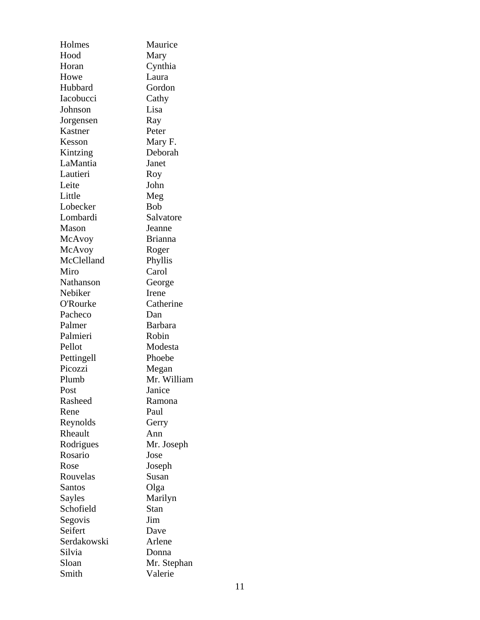| Holmes      | Maurice        |
|-------------|----------------|
| Hood        | Mary           |
| Horan       | Cynthia        |
| Howe        | Laura          |
| Hubbard     | Gordon         |
| Iacobucci   | Cathy          |
| Johnson     | Lisa           |
| Jorgensen   | Ray            |
| Kastner     | Peter          |
| Kesson      | Mary F.        |
| Kintzing    | Deborah        |
| LaMantia    | Janet          |
| Lautieri    | Roy            |
| Leite       | John           |
| Little      | Meg            |
| Lobecker    | <b>Bob</b>     |
| Lombardi    | Salvatore      |
| Mason       | Jeanne         |
| McAvoy      | <b>Brianna</b> |
| McAvoy      | Roger          |
| McClelland  | Phyllis        |
| Miro        | Carol          |
| Nathanson   | George         |
| Nebiker     | Irene          |
| O'Rourke    | Catherine      |
| Pacheco     | Dan            |
| Palmer      | <b>Barbara</b> |
| Palmieri    | Robin          |
| Pellot      | Modesta        |
|             | Phoebe         |
| Pettingell  |                |
| Picozzi     | Megan          |
| Plumb       | Mr. William    |
| Post        | Janice         |
| Rasheed     | Ramona         |
| Rene        | Paul           |
| Reynolds    | Gerry          |
| Rheault     | Ann            |
| Rodrigues   | Mr. Joseph     |
| Rosario     | Jose           |
| Rose        | Joseph         |
| Rouvelas    | Susan          |
| Santos      | Olga           |
| Sayles      | Marilyn        |
| Schofield   | Stan           |
| Segovis     | Jim            |
| Seifert     | Dave           |
| Serdakowski | Arlene         |
| Silvia      | Donna          |
| Sloan       | Mr. Stephan    |
| Smith       | Valerie        |
|             |                |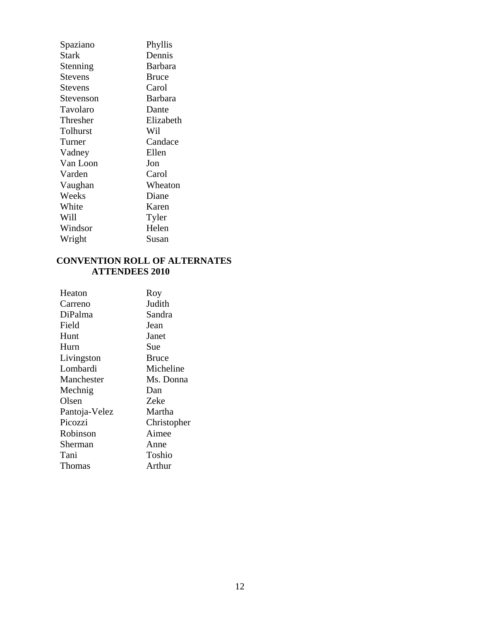| Spaziano       | Phyllis        |
|----------------|----------------|
| Stark          | Dennis         |
| Stenning       | Barbara        |
| <b>Stevens</b> | <b>Bruce</b>   |
| Stevens        | Carol          |
| Stevenson      | <b>Barbara</b> |
| Tavolaro       | Dante          |
| Thresher       | Elizabeth      |
| Tolhurst       | Wil            |
| Turner         | Candace        |
| Vadney         | Ellen          |
| Van Loon       | Jon            |
| Varden         | Carol          |
| Vaughan        | Wheaton        |
| Weeks          | Diane          |
| White          | Karen          |
| Will           | Tyler          |
| Windsor        | Helen          |
| Wright         | Susan          |

#### **CONVENTION ROLL OF ALTERNATES ATTENDEES 2010**

| Heaton        | Roy          |
|---------------|--------------|
| Carreno       | Judith       |
| DiPalma       | Sandra       |
| Field         | Jean         |
| Hunt          | Janet        |
| Hurn          | Sue          |
| Livingston    | <b>Bruce</b> |
| Lombardi      | Micheline    |
| Manchester    | Ms. Donna    |
| Mechnig       | Dan          |
| Olsen         | <b>Zeke</b>  |
| Pantoja-Velez | Martha       |
| Picozzi       | Christopher  |
| Robinson      | Aimee        |
| Sherman       | Anne         |
| Tani          | Toshio       |
| Thomas        | Arthur       |
|               |              |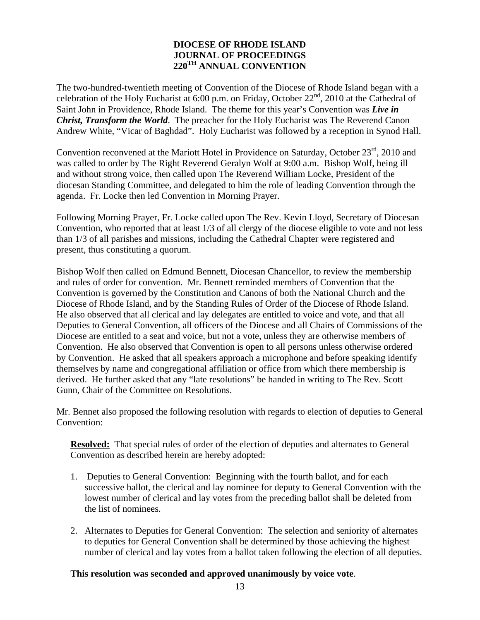#### **DIOCESE OF RHODE ISLAND JOURNAL OF PROCEEDINGS 220TH ANNUAL CONVENTION**

The two-hundred-twentieth meeting of Convention of the Diocese of Rhode Island began with a celebration of the Holy Eucharist at 6:00 p.m. on Friday, October 22<sup>nd</sup>, 2010 at the Cathedral of Saint John in Providence, Rhode Island. The theme for this year's Convention was *Live in Christ, Transform the World*. The preacher for the Holy Eucharist was The Reverend Canon Andrew White, "Vicar of Baghdad". Holy Eucharist was followed by a reception in Synod Hall.

Convention reconvened at the Mariott Hotel in Providence on Saturday, October 23<sup>rd</sup>, 2010 and was called to order by The Right Reverend Geralyn Wolf at 9:00 a.m. Bishop Wolf, being ill and without strong voice, then called upon The Reverend William Locke, President of the diocesan Standing Committee, and delegated to him the role of leading Convention through the agenda. Fr. Locke then led Convention in Morning Prayer.

Following Morning Prayer, Fr. Locke called upon The Rev. Kevin Lloyd, Secretary of Diocesan Convention, who reported that at least 1/3 of all clergy of the diocese eligible to vote and not less than 1/3 of all parishes and missions, including the Cathedral Chapter were registered and present, thus constituting a quorum.

Bishop Wolf then called on Edmund Bennett, Diocesan Chancellor, to review the membership and rules of order for convention. Mr. Bennett reminded members of Convention that the Convention is governed by the Constitution and Canons of both the National Church and the Diocese of Rhode Island, and by the Standing Rules of Order of the Diocese of Rhode Island. He also observed that all clerical and lay delegates are entitled to voice and vote, and that all Deputies to General Convention, all officers of the Diocese and all Chairs of Commissions of the Diocese are entitled to a seat and voice, but not a vote, unless they are otherwise members of Convention. He also observed that Convention is open to all persons unless otherwise ordered by Convention. He asked that all speakers approach a microphone and before speaking identify themselves by name and congregational affiliation or office from which there membership is derived. He further asked that any "late resolutions" be handed in writing to The Rev. Scott Gunn, Chair of the Committee on Resolutions.

Mr. Bennet also proposed the following resolution with regards to election of deputies to General Convention:

**Resolved:** That special rules of order of the election of deputies and alternates to General Convention as described herein are hereby adopted:

- 1. Deputies to General Convention: Beginning with the fourth ballot, and for each successive ballot, the clerical and lay nominee for deputy to General Convention with the lowest number of clerical and lay votes from the preceding ballot shall be deleted from the list of nominees.
- 2. Alternates to Deputies for General Convention: The selection and seniority of alternates to deputies for General Convention shall be determined by those achieving the highest number of clerical and lay votes from a ballot taken following the election of all deputies.

#### **This resolution was seconded and approved unanimously by voice vote**.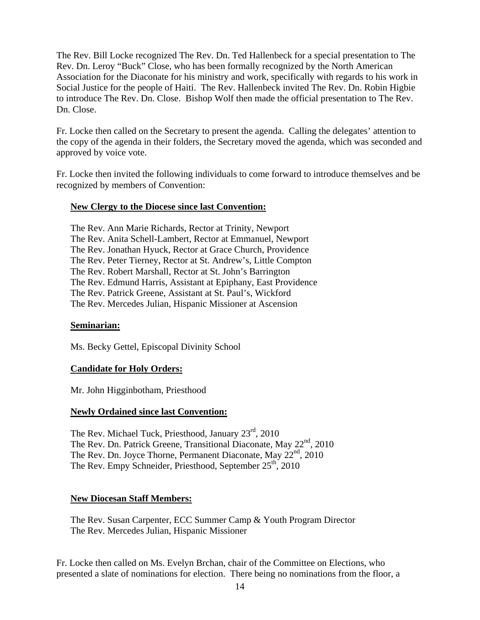The Rev. Bill Locke recognized The Rev. Dn. Ted Hallenbeck for a special presentation to The Rev. Dn. Leroy "Buck" Close, who has been formally recognized by the North American Association for the Diaconate for his ministry and work, specifically with regards to his work in Social Justice for the people of Haiti. The Rev. Hallenbeck invited The Rev. Dn. Robin Higbie to introduce The Rev. Dn. Close. Bishop Wolf then made the official presentation to The Rev. Dn. Close.

Fr. Locke then called on the Secretary to present the agenda. Calling the delegates' attention to the copy of the agenda in their folders, the Secretary moved the agenda, which was seconded and approved by voice vote.

Fr. Locke then invited the following individuals to come forward to introduce themselves and be recognized by members of Convention:

#### **New Clergy to the Diocese since last Convention:**

The Rev. Ann Marie Richards, Rector at Trinity, Newport The Rev. Anita Schell-Lambert, Rector at Emmanuel, Newport The Rev. Jonathan Hyuck, Rector at Grace Church, Providence The Rev. Peter Tierney, Rector at St. Andrew's, Little Compton The Rev. Robert Marshall, Rector at St. John's Barrington The Rev. Edmund Harris, Assistant at Epiphany, East Providence The Rev. Patrick Greene, Assistant at St. Paul's, Wickford The Rev. Mercedes Julian, Hispanic Missioner at Ascension

#### **Seminarian:**

Ms. Becky Gettel, Episcopal Divinity School

#### **Candidate for Holy Orders:**

Mr. John Higginbotham, Priesthood

#### **Newly Ordained since last Convention:**

The Rev. Michael Tuck, Priesthood, January 23<sup>rd</sup>, 2010 The Rev. Dn. Patrick Greene, Transitional Diaconate, May  $22<sup>nd</sup>$ , 2010 The Rev. Dn. Joyce Thorne, Permanent Diaconate, May 22<sup>nd</sup>, 2010 The Rev. Empy Schneider, Priesthood, September 25<sup>th</sup>, 2010

#### **New Diocesan Staff Members:**

The Rev. Susan Carpenter, ECC Summer Camp & Youth Program Director The Rev. Mercedes Julian, Hispanic Missioner

Fr. Locke then called on Ms. Evelyn Brchan, chair of the Committee on Elections, who presented a slate of nominations for election. There being no nominations from the floor, a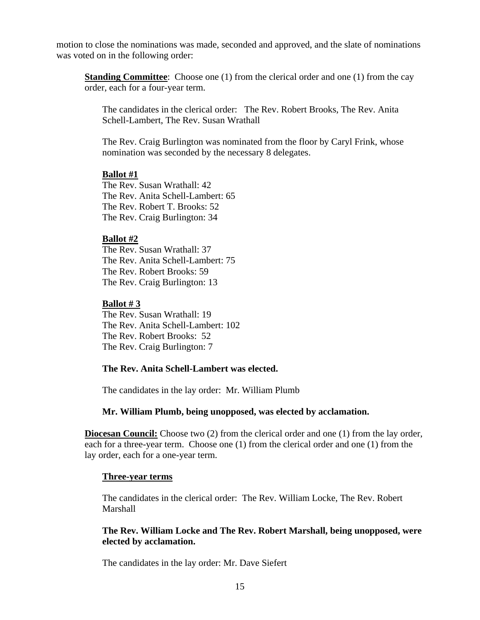motion to close the nominations was made, seconded and approved, and the slate of nominations was voted on in the following order:

**Standing Committee:** Choose one (1) from the clerical order and one (1) from the cay order, each for a four-year term.

The candidates in the clerical order: The Rev. Robert Brooks, The Rev. Anita Schell-Lambert, The Rev. Susan Wrathall

The Rev. Craig Burlington was nominated from the floor by Caryl Frink, whose nomination was seconded by the necessary 8 delegates.

#### **Ballot #1**

The Rev. Susan Wrathall: 42 The Rev. Anita Schell-Lambert: 65 The Rev. Robert T. Brooks: 52 The Rev. Craig Burlington: 34

#### **Ballot #2**

The Rev. Susan Wrathall: 37 The Rev. Anita Schell-Lambert: 75 The Rev. Robert Brooks: 59 The Rev. Craig Burlington: 13

#### **Ballot # 3**

The Rev. Susan Wrathall: 19 The Rev. Anita Schell-Lambert: 102 The Rev. Robert Brooks: 52 The Rev. Craig Burlington: 7

#### **The Rev. Anita Schell-Lambert was elected.**

The candidates in the lay order: Mr. William Plumb

#### **Mr. William Plumb, being unopposed, was elected by acclamation.**

**Diocesan Council:** Choose two (2) from the clerical order and one (1) from the lay order, each for a three-year term. Choose one (1) from the clerical order and one (1) from the lay order, each for a one-year term.

#### **Three-year terms**

The candidates in the clerical order: The Rev. William Locke, The Rev. Robert **Marshall** 

#### **The Rev. William Locke and The Rev. Robert Marshall, being unopposed, were elected by acclamation.**

The candidates in the lay order: Mr. Dave Siefert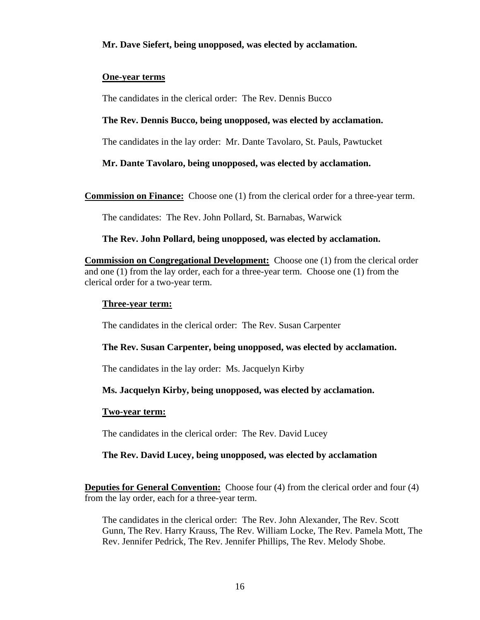#### **Mr. Dave Siefert, being unopposed, was elected by acclamation.**

#### **One-year terms**

The candidates in the clerical order: The Rev. Dennis Bucco

#### **The Rev. Dennis Bucco, being unopposed, was elected by acclamation.**

The candidates in the lay order: Mr. Dante Tavolaro, St. Pauls, Pawtucket

#### **Mr. Dante Tavolaro, being unopposed, was elected by acclamation.**

**Commission on Finance:** Choose one (1) from the clerical order for a three-year term.

The candidates: The Rev. John Pollard, St. Barnabas, Warwick

#### **The Rev. John Pollard, being unopposed, was elected by acclamation.**

**Commission on Congregational Development:** Choose one (1) from the clerical order and one (1) from the lay order, each for a three-year term. Choose one (1) from the clerical order for a two-year term.

#### **Three-year term:**

The candidates in the clerical order: The Rev. Susan Carpenter

#### **The Rev. Susan Carpenter, being unopposed, was elected by acclamation.**

The candidates in the lay order: Ms. Jacquelyn Kirby

#### **Ms. Jacquelyn Kirby, being unopposed, was elected by acclamation.**

#### **Two-year term:**

The candidates in the clerical order: The Rev. David Lucey

#### **The Rev. David Lucey, being unopposed, was elected by acclamation**

**Deputies for General Convention:** Choose four (4) from the clerical order and four (4) from the lay order, each for a three-year term.

The candidates in the clerical order: The Rev. John Alexander, The Rev. Scott Gunn, The Rev. Harry Krauss, The Rev. William Locke, The Rev. Pamela Mott, The Rev. Jennifer Pedrick, The Rev. Jennifer Phillips, The Rev. Melody Shobe.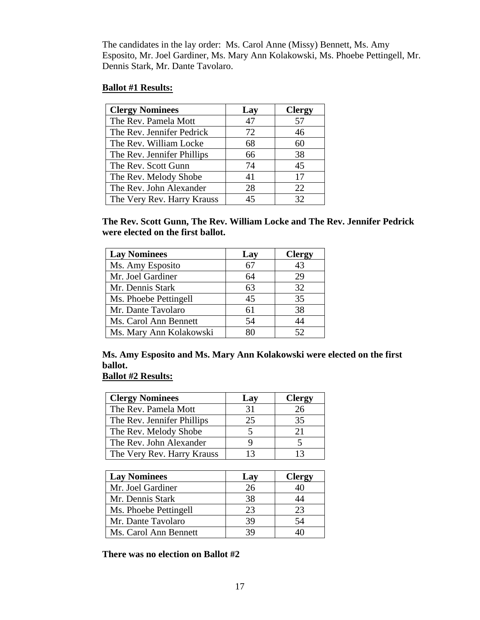The candidates in the lay order: Ms. Carol Anne (Missy) Bennett, Ms. Amy Esposito, Mr. Joel Gardiner, Ms. Mary Ann Kolakowski, Ms. Phoebe Pettingell, Mr. Dennis Stark, Mr. Dante Tavolaro.

#### **Ballot #1 Results:**

| <b>Clergy Nominees</b>     | Lay | <b>Clergy</b> |
|----------------------------|-----|---------------|
| The Rev. Pamela Mott       | 47  | 57            |
| The Rev. Jennifer Pedrick  | 72  | 46            |
| The Rev. William Locke     | 68  | 60            |
| The Rev. Jennifer Phillips | 66  | 38            |
| The Rev. Scott Gunn        | 74  | 45            |
| The Rev. Melody Shobe      | 41  | 17            |
| The Rev. John Alexander    | 28  | 22            |
| The Very Rev. Harry Krauss | 45  | 32            |

**The Rev. Scott Gunn, The Rev. William Locke and The Rev. Jennifer Pedrick were elected on the first ballot.** 

| <b>Lay Nominees</b>     | Lay | <b>Clergy</b> |
|-------------------------|-----|---------------|
| Ms. Amy Esposito        |     | 43            |
| Mr. Joel Gardiner       | 64  | 29            |
| Mr. Dennis Stark        | 63  | 32            |
| Ms. Phoebe Pettingell   | 45  | 35            |
| Mr. Dante Tavolaro      | 61  | 38            |
| Ms. Carol Ann Bennett   | 54  | 44            |
| Ms. Mary Ann Kolakowski | x٥  | 52            |

#### **Ms. Amy Esposito and Ms. Mary Ann Kolakowski were elected on the first ballot.**

### **Ballot #2 Results:**

| <b>Clergy Nominees</b>     | Lay | <b>Clergy</b> |
|----------------------------|-----|---------------|
| The Rev. Pamela Mott       | 31  | 26            |
| The Rev. Jennifer Phillips | 25  | 35            |
| The Rev. Melody Shobe      |     | 21            |
| The Rev. John Alexander    |     |               |
| The Very Rev. Harry Krauss |     | 13            |

| <b>Lay Nominees</b>   | Lay | <b>Clergy</b> |
|-----------------------|-----|---------------|
| Mr. Joel Gardiner     | 26  | 40            |
| Mr. Dennis Stark      | 38  |               |
| Ms. Phoebe Pettingell | 23  | 23            |
| Mr. Dante Tavolaro    | 39  | 54            |
| Ms. Carol Ann Bennett | 39  |               |

#### **There was no election on Ballot #2**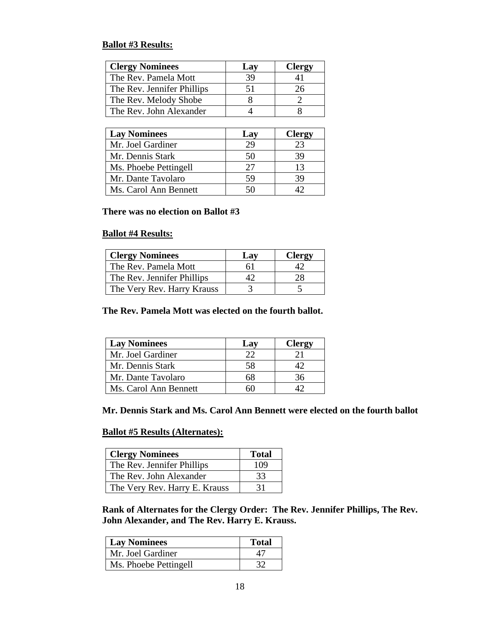#### **Ballot #3 Results:**

| <b>Clergy Nominees</b>     | Lay | <b>Clergy</b> |
|----------------------------|-----|---------------|
| The Rev. Pamela Mott       | 39  |               |
| The Rev. Jennifer Phillips | 51  | 26            |
| The Rev. Melody Shobe      |     |               |
| The Rev. John Alexander    |     |               |

| <b>Lay Nominees</b>   | Lay | <b>Clergy</b> |
|-----------------------|-----|---------------|
| Mr. Joel Gardiner     | 29  | 23            |
| Mr. Dennis Stark      | 50  | 39            |
| Ms. Phoebe Pettingell | 27  | 13            |
| Mr. Dante Tavolaro    | 59  | 39            |
| Ms. Carol Ann Bennett |     |               |

#### **There was no election on Ballot #3**

#### **Ballot #4 Results:**

| <b>Clergy Nominees</b>     | Lav | <b>Clergy</b> |
|----------------------------|-----|---------------|
| The Rev. Pamela Mott       | 61  |               |
| The Rev. Jennifer Phillips |     |               |
| The Very Rev. Harry Krauss |     |               |

#### **The Rev. Pamela Mott was elected on the fourth ballot.**

| <b>Lay Nominees</b>   | Lav | <b>Clergy</b> |
|-----------------------|-----|---------------|
| Mr. Joel Gardiner     |     |               |
| Mr. Dennis Stark      | 58  |               |
| Mr. Dante Tavolaro    |     |               |
| Ms. Carol Ann Bennett |     |               |

#### **Mr. Dennis Stark and Ms. Carol Ann Bennett were elected on the fourth ballot**

#### **Ballot #5 Results (Alternates):**

| <b>Clergy Nominees</b>        | <b>Total</b> |
|-------------------------------|--------------|
| The Rev. Jennifer Phillips    | 109          |
| The Rev. John Alexander       | 33           |
| The Very Rev. Harry E. Krauss | 31           |

**Rank of Alternates for the Clergy Order: The Rev. Jennifer Phillips, The Rev. John Alexander, and The Rev. Harry E. Krauss.** 

| <b>Lay Nominees</b>   | <b>Total</b> |
|-----------------------|--------------|
| Mr. Joel Gardiner     |              |
| Ms. Phoebe Pettingell |              |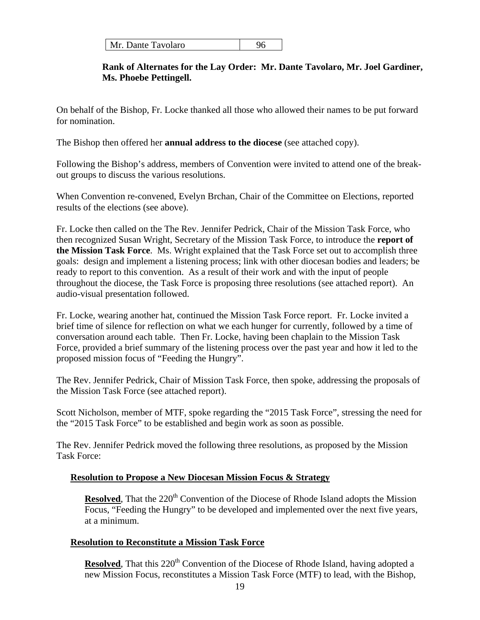| Mr. Dante Tavolaro |  |
|--------------------|--|
|--------------------|--|

#### **Rank of Alternates for the Lay Order: Mr. Dante Tavolaro, Mr. Joel Gardiner, Ms. Phoebe Pettingell.**

On behalf of the Bishop, Fr. Locke thanked all those who allowed their names to be put forward for nomination.

The Bishop then offered her **annual address to the diocese** (see attached copy).

Following the Bishop's address, members of Convention were invited to attend one of the breakout groups to discuss the various resolutions.

When Convention re-convened, Evelyn Brchan, Chair of the Committee on Elections, reported results of the elections (see above).

Fr. Locke then called on the The Rev. Jennifer Pedrick, Chair of the Mission Task Force, who then recognized Susan Wright, Secretary of the Mission Task Force, to introduce the **report of the Mission Task Force**. Ms. Wright explained that the Task Force set out to accomplish three goals: design and implement a listening process; link with other diocesan bodies and leaders; be ready to report to this convention. As a result of their work and with the input of people throughout the diocese, the Task Force is proposing three resolutions (see attached report). An audio-visual presentation followed.

Fr. Locke, wearing another hat, continued the Mission Task Force report. Fr. Locke invited a brief time of silence for reflection on what we each hunger for currently, followed by a time of conversation around each table. Then Fr. Locke, having been chaplain to the Mission Task Force, provided a brief summary of the listening process over the past year and how it led to the proposed mission focus of "Feeding the Hungry".

The Rev. Jennifer Pedrick, Chair of Mission Task Force, then spoke, addressing the proposals of the Mission Task Force (see attached report).

Scott Nicholson, member of MTF, spoke regarding the "2015 Task Force", stressing the need for the "2015 Task Force" to be established and begin work as soon as possible.

The Rev. Jennifer Pedrick moved the following three resolutions, as proposed by the Mission Task Force:

#### **Resolution to Propose a New Diocesan Mission Focus & Strategy**

**Resolved**, That the 220<sup>th</sup> Convention of the Diocese of Rhode Island adopts the Mission Focus, "Feeding the Hungry" to be developed and implemented over the next five years, at a minimum.

#### **Resolution to Reconstitute a Mission Task Force**

**Resolved**, That this 220<sup>th</sup> Convention of the Diocese of Rhode Island, having adopted a new Mission Focus, reconstitutes a Mission Task Force (MTF) to lead, with the Bishop,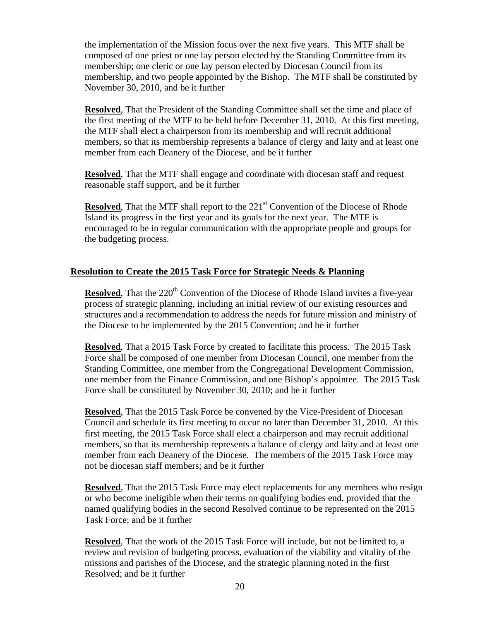the implementation of the Mission focus over the next five years. This MTF shall be composed of one priest or one lay person elected by the Standing Committee from its membership; one cleric or one lay person elected by Diocesan Council from its membership, and two people appointed by the Bishop. The MTF shall be constituted by November 30, 2010, and be it further

**Resolved**, That the President of the Standing Committee shall set the time and place of the first meeting of the MTF to be held before December 31, 2010. At this first meeting, the MTF shall elect a chairperson from its membership and will recruit additional members, so that its membership represents a balance of clergy and laity and at least one member from each Deanery of the Diocese, and be it further

**Resolved**, That the MTF shall engage and coordinate with diocesan staff and request reasonable staff support, and be it further

**Resolved**, That the MTF shall report to the 221<sup>st</sup> Convention of the Diocese of Rhode Island its progress in the first year and its goals for the next year. The MTF is encouraged to be in regular communication with the appropriate people and groups for the budgeting process.

#### **Resolution to Create the 2015 Task Force for Strategic Needs & Planning**

**Resolved**, That the 220<sup>th</sup> Convention of the Diocese of Rhode Island invites a five-year process of strategic planning, including an initial review of our existing resources and structures and a recommendation to address the needs for future mission and ministry of the Diocese to be implemented by the 2015 Convention; and be it further

**Resolved**, That a 2015 Task Force by created to facilitate this process. The 2015 Task Force shall be composed of one member from Diocesan Council, one member from the Standing Committee, one member from the Congregational Development Commission, one member from the Finance Commission, and one Bishop's appointee. The 2015 Task Force shall be constituted by November 30, 2010; and be it further

**Resolved**, That the 2015 Task Force be convened by the Vice-President of Diocesan Council and schedule its first meeting to occur no later than December 31, 2010. At this first meeting, the 2015 Task Force shall elect a chairperson and may recruit additional members, so that its membership represents a balance of clergy and laity and at least one member from each Deanery of the Diocese. The members of the 2015 Task Force may not be diocesan staff members; and be it further

**Resolved**, That the 2015 Task Force may elect replacements for any members who resign or who become ineligible when their terms on qualifying bodies end, provided that the named qualifying bodies in the second Resolved continue to be represented on the 2015 Task Force; and be it further

**Resolved**, That the work of the 2015 Task Force will include, but not be limited to, a review and revision of budgeting process, evaluation of the viability and vitality of the missions and parishes of the Diocese, and the strategic planning noted in the first Resolved; and be it further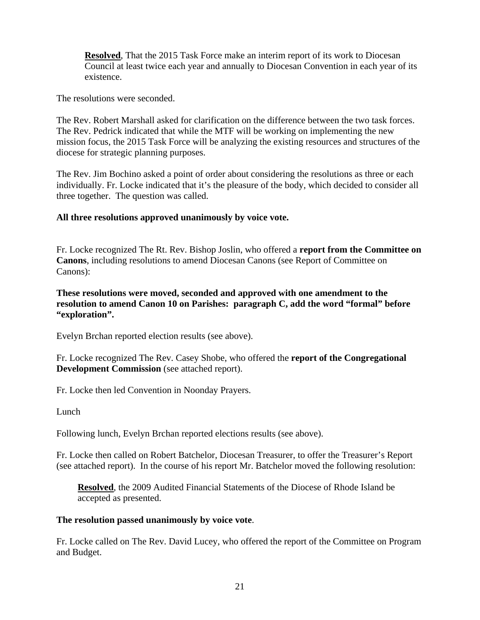**Resolved**, That the 2015 Task Force make an interim report of its work to Diocesan Council at least twice each year and annually to Diocesan Convention in each year of its existence.

The resolutions were seconded.

The Rev. Robert Marshall asked for clarification on the difference between the two task forces. The Rev. Pedrick indicated that while the MTF will be working on implementing the new mission focus, the 2015 Task Force will be analyzing the existing resources and structures of the diocese for strategic planning purposes.

The Rev. Jim Bochino asked a point of order about considering the resolutions as three or each individually. Fr. Locke indicated that it's the pleasure of the body, which decided to consider all three together. The question was called.

#### **All three resolutions approved unanimously by voice vote.**

Fr. Locke recognized The Rt. Rev. Bishop Joslin, who offered a **report from the Committee on Canons**, including resolutions to amend Diocesan Canons (see Report of Committee on Canons):

**These resolutions were moved, seconded and approved with one amendment to the resolution to amend Canon 10 on Parishes: paragraph C, add the word "formal" before "exploration".** 

Evelyn Brchan reported election results (see above).

Fr. Locke recognized The Rev. Casey Shobe, who offered the **report of the Congregational Development Commission** (see attached report).

Fr. Locke then led Convention in Noonday Prayers.

Lunch

Following lunch, Evelyn Brchan reported elections results (see above).

Fr. Locke then called on Robert Batchelor, Diocesan Treasurer, to offer the Treasurer's Report (see attached report). In the course of his report Mr. Batchelor moved the following resolution:

**Resolved**, the 2009 Audited Financial Statements of the Diocese of Rhode Island be accepted as presented.

#### **The resolution passed unanimously by voice vote**.

Fr. Locke called on The Rev. David Lucey, who offered the report of the Committee on Program and Budget.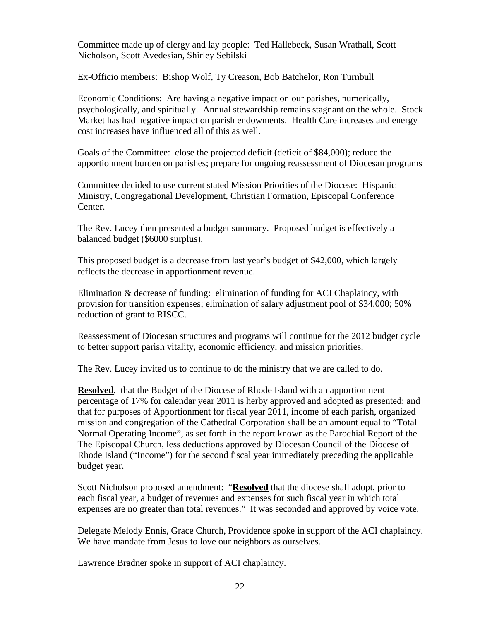Committee made up of clergy and lay people: Ted Hallebeck, Susan Wrathall, Scott Nicholson, Scott Avedesian, Shirley Sebilski

Ex-Officio members: Bishop Wolf, Ty Creason, Bob Batchelor, Ron Turnbull

Economic Conditions: Are having a negative impact on our parishes, numerically, psychologically, and spiritually. Annual stewardship remains stagnant on the whole. Stock Market has had negative impact on parish endowments. Health Care increases and energy cost increases have influenced all of this as well.

Goals of the Committee: close the projected deficit (deficit of \$84,000); reduce the apportionment burden on parishes; prepare for ongoing reassessment of Diocesan programs

Committee decided to use current stated Mission Priorities of the Diocese: Hispanic Ministry, Congregational Development, Christian Formation, Episcopal Conference Center.

The Rev. Lucey then presented a budget summary. Proposed budget is effectively a balanced budget (\$6000 surplus).

This proposed budget is a decrease from last year's budget of \$42,000, which largely reflects the decrease in apportionment revenue.

Elimination & decrease of funding: elimination of funding for ACI Chaplaincy, with provision for transition expenses; elimination of salary adjustment pool of \$34,000; 50% reduction of grant to RISCC.

Reassessment of Diocesan structures and programs will continue for the 2012 budget cycle to better support parish vitality, economic efficiency, and mission priorities.

The Rev. Lucey invited us to continue to do the ministry that we are called to do.

**Resolved**, that the Budget of the Diocese of Rhode Island with an apportionment percentage of 17% for calendar year 2011 is herby approved and adopted as presented; and that for purposes of Apportionment for fiscal year 2011, income of each parish, organized mission and congregation of the Cathedral Corporation shall be an amount equal to "Total Normal Operating Income", as set forth in the report known as the Parochial Report of the The Episcopal Church, less deductions approved by Diocesan Council of the Diocese of Rhode Island ("Income") for the second fiscal year immediately preceding the applicable budget year.

Scott Nicholson proposed amendment: "**Resolved** that the diocese shall adopt, prior to each fiscal year, a budget of revenues and expenses for such fiscal year in which total expenses are no greater than total revenues." It was seconded and approved by voice vote.

Delegate Melody Ennis, Grace Church, Providence spoke in support of the ACI chaplaincy. We have mandate from Jesus to love our neighbors as ourselves.

Lawrence Bradner spoke in support of ACI chaplaincy.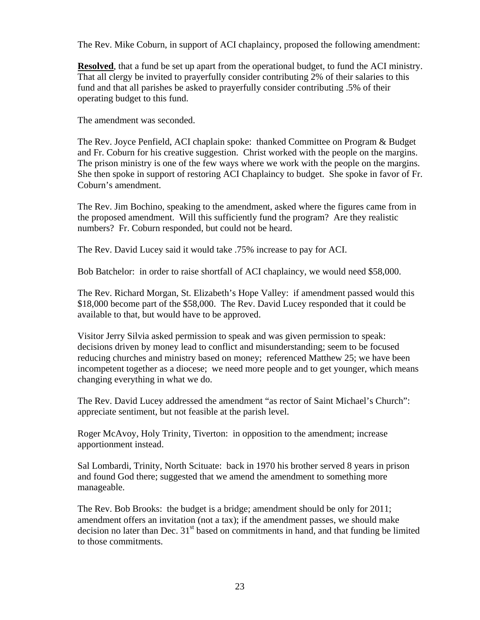The Rev. Mike Coburn, in support of ACI chaplaincy, proposed the following amendment:

**Resolved**, that a fund be set up apart from the operational budget, to fund the ACI ministry. That all clergy be invited to prayerfully consider contributing 2% of their salaries to this fund and that all parishes be asked to prayerfully consider contributing .5% of their operating budget to this fund.

The amendment was seconded.

The Rev. Joyce Penfield, ACI chaplain spoke: thanked Committee on Program & Budget and Fr. Coburn for his creative suggestion. Christ worked with the people on the margins. The prison ministry is one of the few ways where we work with the people on the margins. She then spoke in support of restoring ACI Chaplaincy to budget. She spoke in favor of Fr. Coburn's amendment.

The Rev. Jim Bochino, speaking to the amendment, asked where the figures came from in the proposed amendment. Will this sufficiently fund the program? Are they realistic numbers? Fr. Coburn responded, but could not be heard.

The Rev. David Lucey said it would take .75% increase to pay for ACI.

Bob Batchelor: in order to raise shortfall of ACI chaplaincy, we would need \$58,000.

The Rev. Richard Morgan, St. Elizabeth's Hope Valley: if amendment passed would this \$18,000 become part of the \$58,000. The Rev. David Lucey responded that it could be available to that, but would have to be approved.

Visitor Jerry Silvia asked permission to speak and was given permission to speak: decisions driven by money lead to conflict and misunderstanding; seem to be focused reducing churches and ministry based on money; referenced Matthew 25; we have been incompetent together as a diocese; we need more people and to get younger, which means changing everything in what we do.

The Rev. David Lucey addressed the amendment "as rector of Saint Michael's Church": appreciate sentiment, but not feasible at the parish level.

Roger McAvoy, Holy Trinity, Tiverton: in opposition to the amendment; increase apportionment instead.

Sal Lombardi, Trinity, North Scituate: back in 1970 his brother served 8 years in prison and found God there; suggested that we amend the amendment to something more manageable.

The Rev. Bob Brooks: the budget is a bridge; amendment should be only for 2011; amendment offers an invitation (not a tax); if the amendment passes, we should make decision no later than Dec.  $31<sup>st</sup>$  based on commitments in hand, and that funding be limited to those commitments.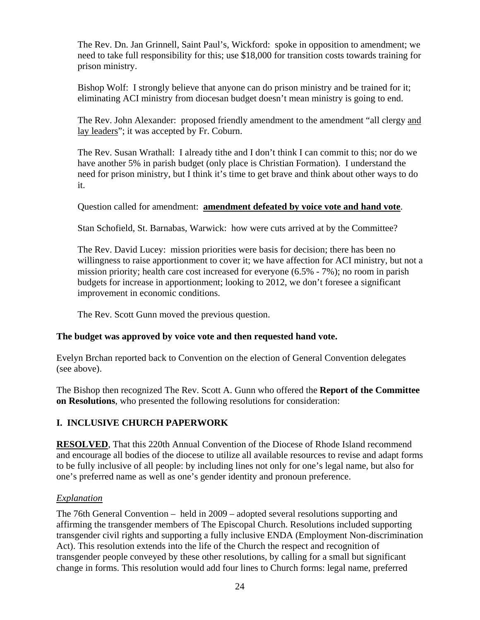The Rev. Dn. Jan Grinnell, Saint Paul's, Wickford: spoke in opposition to amendment; we need to take full responsibility for this; use \$18,000 for transition costs towards training for prison ministry.

Bishop Wolf: I strongly believe that anyone can do prison ministry and be trained for it; eliminating ACI ministry from diocesan budget doesn't mean ministry is going to end.

The Rev. John Alexander: proposed friendly amendment to the amendment "all clergy and lay leaders"; it was accepted by Fr. Coburn.

The Rev. Susan Wrathall: I already tithe and I don't think I can commit to this; nor do we have another 5% in parish budget (only place is Christian Formation). I understand the need for prison ministry, but I think it's time to get brave and think about other ways to do it.

Question called for amendment: **amendment defeated by voice vote and hand vote**.

Stan Schofield, St. Barnabas, Warwick: how were cuts arrived at by the Committee?

The Rev. David Lucey: mission priorities were basis for decision; there has been no willingness to raise apportionment to cover it; we have affection for ACI ministry, but not a mission priority; health care cost increased for everyone (6.5% - 7%); no room in parish budgets for increase in apportionment; looking to 2012, we don't foresee a significant improvement in economic conditions.

The Rev. Scott Gunn moved the previous question.

#### **The budget was approved by voice vote and then requested hand vote.**

Evelyn Brchan reported back to Convention on the election of General Convention delegates (see above).

The Bishop then recognized The Rev. Scott A. Gunn who offered the **Report of the Committee on Resolutions**, who presented the following resolutions for consideration:

#### **I. INCLUSIVE CHURCH PAPERWORK**

**RESOLVED**, That this 220th Annual Convention of the Diocese of Rhode Island recommend and encourage all bodies of the diocese to utilize all available resources to revise and adapt forms to be fully inclusive of all people: by including lines not only for one's legal name, but also for one's preferred name as well as one's gender identity and pronoun preference.

#### *Explanation*

The 76th General Convention – held in 2009 – adopted several resolutions supporting and affirming the transgender members of The Episcopal Church. Resolutions included supporting transgender civil rights and supporting a fully inclusive ENDA (Employment Non-discrimination Act). This resolution extends into the life of the Church the respect and recognition of transgender people conveyed by these other resolutions, by calling for a small but significant change in forms. This resolution would add four lines to Church forms: legal name, preferred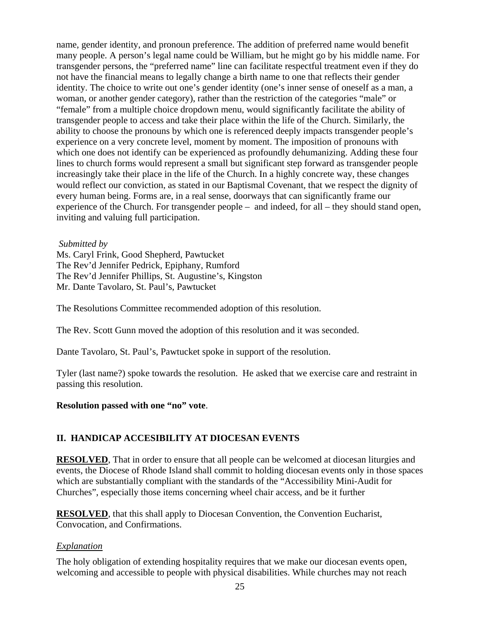name, gender identity, and pronoun preference. The addition of preferred name would benefit many people. A person's legal name could be William, but he might go by his middle name. For transgender persons, the "preferred name" line can facilitate respectful treatment even if they do not have the financial means to legally change a birth name to one that reflects their gender identity. The choice to write out one's gender identity (one's inner sense of oneself as a man, a woman, or another gender category), rather than the restriction of the categories "male" or "female" from a multiple choice dropdown menu, would significantly facilitate the ability of transgender people to access and take their place within the life of the Church. Similarly, the ability to choose the pronouns by which one is referenced deeply impacts transgender people's experience on a very concrete level, moment by moment. The imposition of pronouns with which one does not identify can be experienced as profoundly dehumanizing. Adding these four lines to church forms would represent a small but significant step forward as transgender people increasingly take their place in the life of the Church. In a highly concrete way, these changes would reflect our conviction, as stated in our Baptismal Covenant, that we respect the dignity of every human being. Forms are, in a real sense, doorways that can significantly frame our experience of the Church. For transgender people – and indeed, for all – they should stand open, inviting and valuing full participation.

*Submitted by*

Ms. Caryl Frink, Good Shepherd, Pawtucket The Rev'd Jennifer Pedrick, Epiphany, Rumford The Rev'd Jennifer Phillips, St. Augustine's, Kingston Mr. Dante Tavolaro, St. Paul's, Pawtucket

The Resolutions Committee recommended adoption of this resolution.

The Rev. Scott Gunn moved the adoption of this resolution and it was seconded.

Dante Tavolaro, St. Paul's, Pawtucket spoke in support of the resolution.

Tyler (last name?) spoke towards the resolution. He asked that we exercise care and restraint in passing this resolution.

#### **Resolution passed with one "no" vote**.

#### **II. HANDICAP ACCESIBILITY AT DIOCESAN EVENTS**

**RESOLVED**, That in order to ensure that all people can be welcomed at diocesan liturgies and events, the Diocese of Rhode Island shall commit to holding diocesan events only in those spaces which are substantially compliant with the standards of the "Accessibility Mini-Audit for Churches", especially those items concerning wheel chair access, and be it further

**RESOLVED**, that this shall apply to Diocesan Convention, the Convention Eucharist, Convocation, and Confirmations.

#### *Explanation*

The holy obligation of extending hospitality requires that we make our diocesan events open, welcoming and accessible to people with physical disabilities. While churches may not reach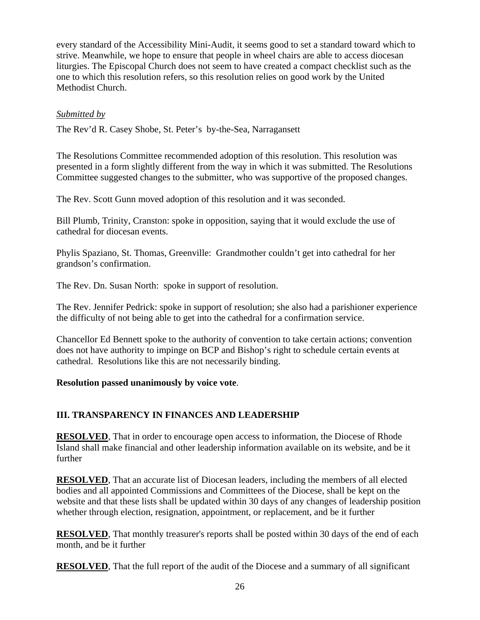every standard of the Accessibility Mini-Audit, it seems good to set a standard toward which to strive. Meanwhile, we hope to ensure that people in wheel chairs are able to access diocesan liturgies. The Episcopal Church does not seem to have created a compact checklist such as the one to which this resolution refers, so this resolution relies on good work by the United Methodist Church.

#### *Submitted by*

The Rev'd R. Casey Shobe, St. Peter's by-the-Sea, Narragansett

The Resolutions Committee recommended adoption of this resolution. This resolution was presented in a form slightly different from the way in which it was submitted. The Resolutions Committee suggested changes to the submitter, who was supportive of the proposed changes.

The Rev. Scott Gunn moved adoption of this resolution and it was seconded.

Bill Plumb, Trinity, Cranston: spoke in opposition, saying that it would exclude the use of cathedral for diocesan events.

Phylis Spaziano, St. Thomas, Greenville: Grandmother couldn't get into cathedral for her grandson's confirmation.

The Rev. Dn. Susan North: spoke in support of resolution.

The Rev. Jennifer Pedrick: spoke in support of resolution; she also had a parishioner experience the difficulty of not being able to get into the cathedral for a confirmation service.

Chancellor Ed Bennett spoke to the authority of convention to take certain actions; convention does not have authority to impinge on BCP and Bishop's right to schedule certain events at cathedral. Resolutions like this are not necessarily binding.

#### **Resolution passed unanimously by voice vote**.

#### **III. TRANSPARENCY IN FINANCES AND LEADERSHIP**

**RESOLVED**, That in order to encourage open access to information, the Diocese of Rhode Island shall make financial and other leadership information available on its website, and be it further

**RESOLVED**, That an accurate list of Diocesan leaders, including the members of all elected bodies and all appointed Commissions and Committees of the Diocese, shall be kept on the website and that these lists shall be updated within 30 days of any changes of leadership position whether through election, resignation, appointment, or replacement, and be it further

**RESOLVED**, That monthly treasurer's reports shall be posted within 30 days of the end of each month, and be it further

**RESOLVED**, That the full report of the audit of the Diocese and a summary of all significant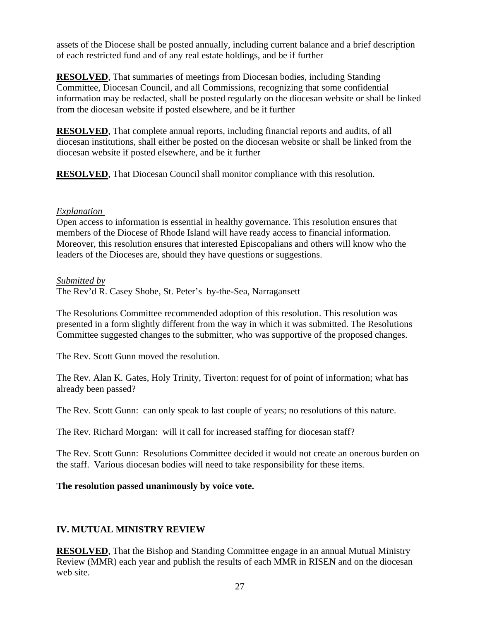assets of the Diocese shall be posted annually, including current balance and a brief description of each restricted fund and of any real estate holdings, and be if further

**RESOLVED**, That summaries of meetings from Diocesan bodies, including Standing Committee, Diocesan Council, and all Commissions, recognizing that some confidential information may be redacted, shall be posted regularly on the diocesan website or shall be linked from the diocesan website if posted elsewhere, and be it further

**RESOLVED**, That complete annual reports, including financial reports and audits, of all diocesan institutions, shall either be posted on the diocesan website or shall be linked from the diocesan website if posted elsewhere, and be it further

**RESOLVED**, That Diocesan Council shall monitor compliance with this resolution.

#### *Explanation*

Open access to information is essential in healthy governance. This resolution ensures that members of the Diocese of Rhode Island will have ready access to financial information. Moreover, this resolution ensures that interested Episcopalians and others will know who the leaders of the Dioceses are, should they have questions or suggestions.

#### *Submitted by*

The Rev'd R. Casey Shobe, St. Peter's by-the-Sea, Narragansett

The Resolutions Committee recommended adoption of this resolution. This resolution was presented in a form slightly different from the way in which it was submitted. The Resolutions Committee suggested changes to the submitter, who was supportive of the proposed changes.

The Rev. Scott Gunn moved the resolution.

The Rev. Alan K. Gates, Holy Trinity, Tiverton: request for of point of information; what has already been passed?

The Rev. Scott Gunn: can only speak to last couple of years; no resolutions of this nature.

The Rev. Richard Morgan: will it call for increased staffing for diocesan staff?

The Rev. Scott Gunn: Resolutions Committee decided it would not create an onerous burden on the staff. Various diocesan bodies will need to take responsibility for these items.

#### **The resolution passed unanimously by voice vote.**

#### **IV. MUTUAL MINISTRY REVIEW**

**RESOLVED**, That the Bishop and Standing Committee engage in an annual Mutual Ministry Review (MMR) each year and publish the results of each MMR in RISEN and on the diocesan web site.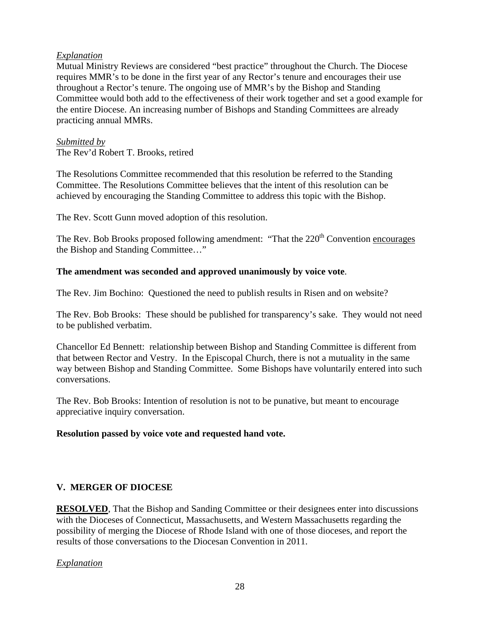#### *Explanation*

Mutual Ministry Reviews are considered "best practice" throughout the Church. The Diocese requires MMR's to be done in the first year of any Rector's tenure and encourages their use throughout a Rector's tenure. The ongoing use of MMR's by the Bishop and Standing Committee would both add to the effectiveness of their work together and set a good example for the entire Diocese. An increasing number of Bishops and Standing Committees are already practicing annual MMRs.

#### *Submitted by*

The Rev'd Robert T. Brooks, retired

The Resolutions Committee recommended that this resolution be referred to the Standing Committee. The Resolutions Committee believes that the intent of this resolution can be achieved by encouraging the Standing Committee to address this topic with the Bishop.

The Rev. Scott Gunn moved adoption of this resolution.

The Rev. Bob Brooks proposed following amendment: "That the  $220<sup>th</sup>$  Convention encourages the Bishop and Standing Committee…"

#### **The amendment was seconded and approved unanimously by voice vote**.

The Rev. Jim Bochino: Questioned the need to publish results in Risen and on website?

The Rev. Bob Brooks: These should be published for transparency's sake. They would not need to be published verbatim.

Chancellor Ed Bennett: relationship between Bishop and Standing Committee is different from that between Rector and Vestry. In the Episcopal Church, there is not a mutuality in the same way between Bishop and Standing Committee. Some Bishops have voluntarily entered into such conversations.

The Rev. Bob Brooks: Intention of resolution is not to be punative, but meant to encourage appreciative inquiry conversation.

#### **Resolution passed by voice vote and requested hand vote.**

#### **V. MERGER OF DIOCESE**

**RESOLVED**, That the Bishop and Sanding Committee or their designees enter into discussions with the Dioceses of Connecticut, Massachusetts, and Western Massachusetts regarding the possibility of merging the Diocese of Rhode Island with one of those dioceses, and report the results of those conversations to the Diocesan Convention in 2011.

*Explanation*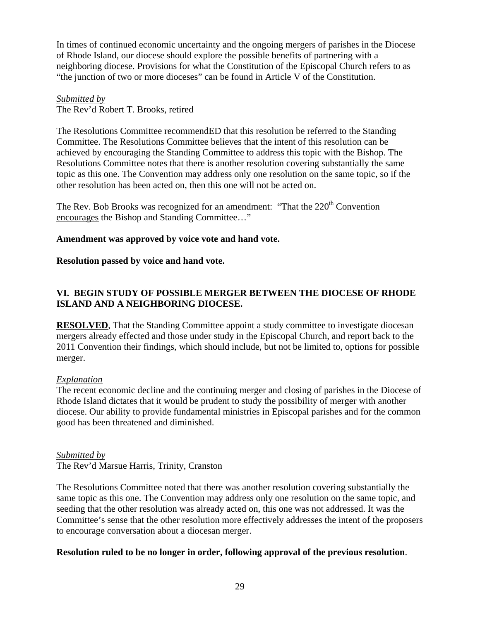In times of continued economic uncertainty and the ongoing mergers of parishes in the Diocese of Rhode Island, our diocese should explore the possible benefits of partnering with a neighboring diocese. Provisions for what the Constitution of the Episcopal Church refers to as "the junction of two or more dioceses" can be found in Article V of the Constitution.

#### *Submitted by* The Rev'd Robert T. Brooks, retired

The Resolutions Committee recommendED that this resolution be referred to the Standing Committee. The Resolutions Committee believes that the intent of this resolution can be achieved by encouraging the Standing Committee to address this topic with the Bishop. The Resolutions Committee notes that there is another resolution covering substantially the same topic as this one. The Convention may address only one resolution on the same topic, so if the other resolution has been acted on, then this one will not be acted on.

The Rev. Bob Brooks was recognized for an amendment: "That the  $220<sup>th</sup>$  Convention encourages the Bishop and Standing Committee…"

#### **Amendment was approved by voice vote and hand vote.**

#### **Resolution passed by voice and hand vote.**

#### **VI. BEGIN STUDY OF POSSIBLE MERGER BETWEEN THE DIOCESE OF RHODE ISLAND AND A NEIGHBORING DIOCESE.**

**RESOLVED**, That the Standing Committee appoint a study committee to investigate diocesan mergers already effected and those under study in the Episcopal Church, and report back to the 2011 Convention their findings, which should include, but not be limited to, options for possible merger.

#### *Explanation*

The recent economic decline and the continuing merger and closing of parishes in the Diocese of Rhode Island dictates that it would be prudent to study the possibility of merger with another diocese. Our ability to provide fundamental ministries in Episcopal parishes and for the common good has been threatened and diminished.

#### *Submitted by*

The Rev'd Marsue Harris, Trinity, Cranston

The Resolutions Committee noted that there was another resolution covering substantially the same topic as this one. The Convention may address only one resolution on the same topic, and seeding that the other resolution was already acted on, this one was not addressed. It was the Committee's sense that the other resolution more effectively addresses the intent of the proposers to encourage conversation about a diocesan merger.

#### **Resolution ruled to be no longer in order, following approval of the previous resolution**.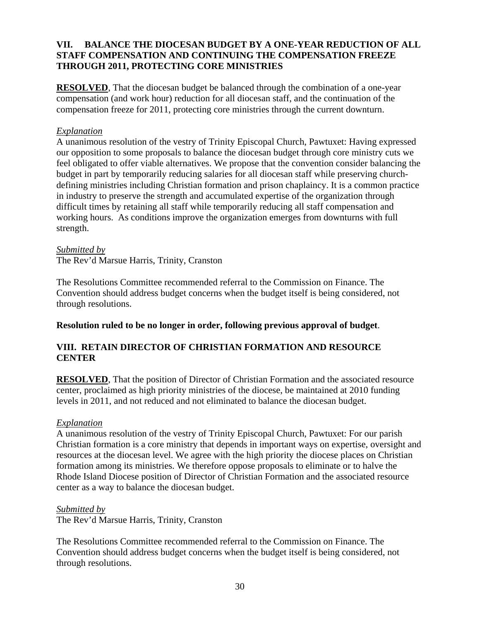#### **VII. BALANCE THE DIOCESAN BUDGET BY A ONE-YEAR REDUCTION OF ALL STAFF COMPENSATION AND CONTINUING THE COMPENSATION FREEZE THROUGH 2011, PROTECTING CORE MINISTRIES**

**RESOLVED**, That the diocesan budget be balanced through the combination of a one-year compensation (and work hour) reduction for all diocesan staff, and the continuation of the compensation freeze for 2011, protecting core ministries through the current downturn.

#### *Explanation*

A unanimous resolution of the vestry of Trinity Episcopal Church, Pawtuxet: Having expressed our opposition to some proposals to balance the diocesan budget through core ministry cuts we feel obligated to offer viable alternatives. We propose that the convention consider balancing the budget in part by temporarily reducing salaries for all diocesan staff while preserving churchdefining ministries including Christian formation and prison chaplaincy. It is a common practice in industry to preserve the strength and accumulated expertise of the organization through difficult times by retaining all staff while temporarily reducing all staff compensation and working hours. As conditions improve the organization emerges from downturns with full strength.

#### *Submitted by*

The Rev'd Marsue Harris, Trinity, Cranston

The Resolutions Committee recommended referral to the Commission on Finance. The Convention should address budget concerns when the budget itself is being considered, not through resolutions.

#### **Resolution ruled to be no longer in order, following previous approval of budget**.

#### **VIII. RETAIN DIRECTOR OF CHRISTIAN FORMATION AND RESOURCE CENTER**

**RESOLVED**, That the position of Director of Christian Formation and the associated resource center, proclaimed as high priority ministries of the diocese, be maintained at 2010 funding levels in 2011, and not reduced and not eliminated to balance the diocesan budget.

#### *Explanation*

A unanimous resolution of the vestry of Trinity Episcopal Church, Pawtuxet: For our parish Christian formation is a core ministry that depends in important ways on expertise, oversight and resources at the diocesan level. We agree with the high priority the diocese places on Christian formation among its ministries. We therefore oppose proposals to eliminate or to halve the Rhode Island Diocese position of Director of Christian Formation and the associated resource center as a way to balance the diocesan budget.

#### *Submitted by*

The Rev'd Marsue Harris, Trinity, Cranston

The Resolutions Committee recommended referral to the Commission on Finance. The Convention should address budget concerns when the budget itself is being considered, not through resolutions.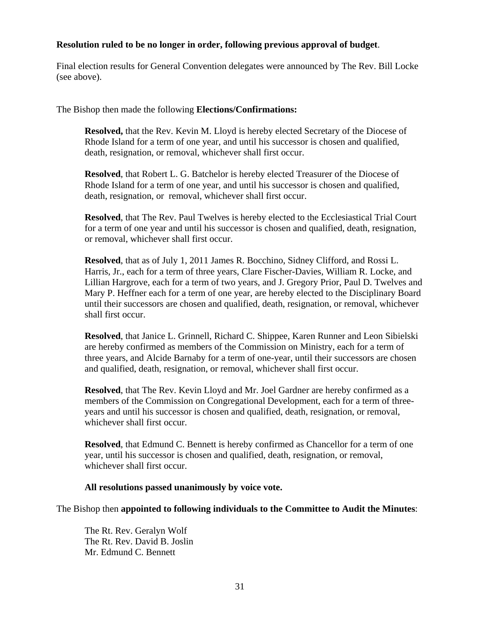#### **Resolution ruled to be no longer in order, following previous approval of budget**.

Final election results for General Convention delegates were announced by The Rev. Bill Locke (see above).

The Bishop then made the following **Elections/Confirmations:** 

**Resolved,** that the Rev. Kevin M. Lloyd is hereby elected Secretary of the Diocese of Rhode Island for a term of one year, and until his successor is chosen and qualified, death, resignation, or removal, whichever shall first occur.

**Resolved**, that Robert L. G. Batchelor is hereby elected Treasurer of the Diocese of Rhode Island for a term of one year, and until his successor is chosen and qualified, death, resignation, or removal, whichever shall first occur.

**Resolved**, that The Rev. Paul Twelves is hereby elected to the Ecclesiastical Trial Court for a term of one year and until his successor is chosen and qualified, death, resignation, or removal, whichever shall first occur.

**Resolved**, that as of July 1, 2011 James R. Bocchino, Sidney Clifford, and Rossi L. Harris, Jr., each for a term of three years, Clare Fischer-Davies, William R. Locke, and Lillian Hargrove, each for a term of two years, and J. Gregory Prior, Paul D. Twelves and Mary P. Heffner each for a term of one year, are hereby elected to the Disciplinary Board until their successors are chosen and qualified, death, resignation, or removal, whichever shall first occur.

**Resolved**, that Janice L. Grinnell, Richard C. Shippee, Karen Runner and Leon Sibielski are hereby confirmed as members of the Commission on Ministry, each for a term of three years, and Alcide Barnaby for a term of one-year, until their successors are chosen and qualified, death, resignation, or removal, whichever shall first occur.

**Resolved**, that The Rev. Kevin Lloyd and Mr. Joel Gardner are hereby confirmed as a members of the Commission on Congregational Development, each for a term of threeyears and until his successor is chosen and qualified, death, resignation, or removal, whichever shall first occur.

**Resolved**, that Edmund C. Bennett is hereby confirmed as Chancellor for a term of one year, until his successor is chosen and qualified, death, resignation, or removal, whichever shall first occur.

#### **All resolutions passed unanimously by voice vote.**

The Bishop then **appointed to following individuals to the Committee to Audit the Minutes**:

The Rt. Rev. Geralyn Wolf The Rt. Rev. David B. Joslin Mr. Edmund C. Bennett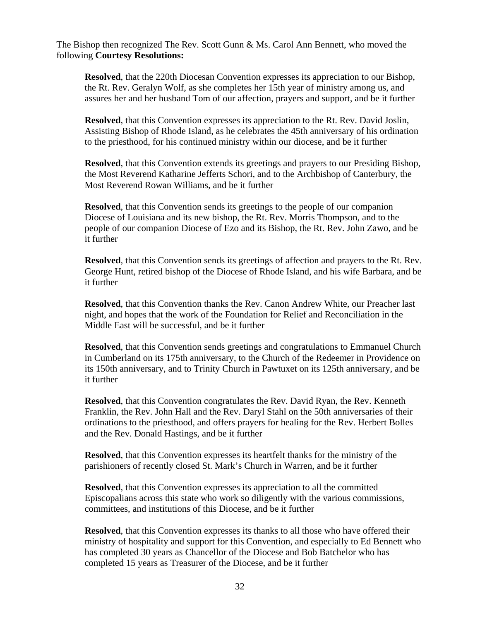The Bishop then recognized The Rev. Scott Gunn & Ms. Carol Ann Bennett, who moved the following **Courtesy Resolutions:**

**Resolved**, that the 220th Diocesan Convention expresses its appreciation to our Bishop, the Rt. Rev. Geralyn Wolf, as she completes her 15th year of ministry among us, and assures her and her husband Tom of our affection, prayers and support, and be it further

**Resolved**, that this Convention expresses its appreciation to the Rt. Rev. David Joslin, Assisting Bishop of Rhode Island, as he celebrates the 45th anniversary of his ordination to the priesthood, for his continued ministry within our diocese, and be it further

**Resolved**, that this Convention extends its greetings and prayers to our Presiding Bishop, the Most Reverend Katharine Jefferts Schori, and to the Archbishop of Canterbury, the Most Reverend Rowan Williams, and be it further

**Resolved**, that this Convention sends its greetings to the people of our companion Diocese of Louisiana and its new bishop, the Rt. Rev. Morris Thompson, and to the people of our companion Diocese of Ezo and its Bishop, the Rt. Rev. John Zawo, and be it further

**Resolved**, that this Convention sends its greetings of affection and prayers to the Rt. Rev. George Hunt, retired bishop of the Diocese of Rhode Island, and his wife Barbara, and be it further

**Resolved**, that this Convention thanks the Rev. Canon Andrew White, our Preacher last night, and hopes that the work of the Foundation for Relief and Reconciliation in the Middle East will be successful, and be it further

**Resolved**, that this Convention sends greetings and congratulations to Emmanuel Church in Cumberland on its 175th anniversary, to the Church of the Redeemer in Providence on its 150th anniversary, and to Trinity Church in Pawtuxet on its 125th anniversary, and be it further

**Resolved**, that this Convention congratulates the Rev. David Ryan, the Rev. Kenneth Franklin, the Rev. John Hall and the Rev. Daryl Stahl on the 50th anniversaries of their ordinations to the priesthood, and offers prayers for healing for the Rev. Herbert Bolles and the Rev. Donald Hastings, and be it further

**Resolved**, that this Convention expresses its heartfelt thanks for the ministry of the parishioners of recently closed St. Mark's Church in Warren, and be it further

**Resolved**, that this Convention expresses its appreciation to all the committed Episcopalians across this state who work so diligently with the various commissions, committees, and institutions of this Diocese, and be it further

**Resolved**, that this Convention expresses its thanks to all those who have offered their ministry of hospitality and support for this Convention, and especially to Ed Bennett who has completed 30 years as Chancellor of the Diocese and Bob Batchelor who has completed 15 years as Treasurer of the Diocese, and be it further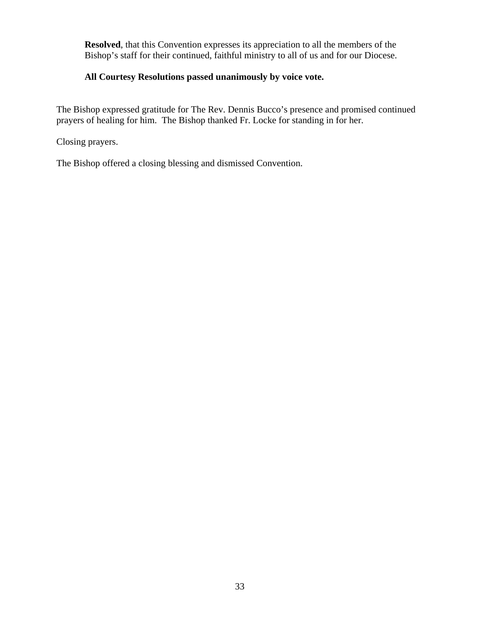**Resolved**, that this Convention expresses its appreciation to all the members of the Bishop's staff for their continued, faithful ministry to all of us and for our Diocese.

#### **All Courtesy Resolutions passed unanimously by voice vote.**

The Bishop expressed gratitude for The Rev. Dennis Bucco's presence and promised continued prayers of healing for him. The Bishop thanked Fr. Locke for standing in for her.

Closing prayers.

The Bishop offered a closing blessing and dismissed Convention.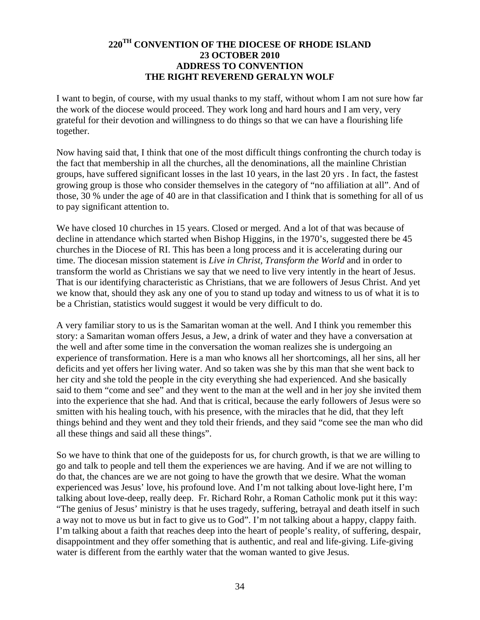#### **220TH CONVENTION OF THE DIOCESE OF RHODE ISLAND 23 OCTOBER 2010 ADDRESS TO CONVENTION THE RIGHT REVEREND GERALYN WOLF**

I want to begin, of course, with my usual thanks to my staff, without whom I am not sure how far the work of the diocese would proceed. They work long and hard hours and I am very, very grateful for their devotion and willingness to do things so that we can have a flourishing life together.

Now having said that, I think that one of the most difficult things confronting the church today is the fact that membership in all the churches, all the denominations, all the mainline Christian groups, have suffered significant losses in the last 10 years, in the last 20 yrs . In fact, the fastest growing group is those who consider themselves in the category of "no affiliation at all". And of those, 30 % under the age of 40 are in that classification and I think that is something for all of us to pay significant attention to.

We have closed 10 churches in 15 years. Closed or merged. And a lot of that was because of decline in attendance which started when Bishop Higgins, in the 1970's, suggested there be 45 churches in the Diocese of RI. This has been a long process and it is accelerating during our time. The diocesan mission statement is *Live in Christ, Transform the World* and in order to transform the world as Christians we say that we need to live very intently in the heart of Jesus. That is our identifying characteristic as Christians, that we are followers of Jesus Christ. And yet we know that, should they ask any one of you to stand up today and witness to us of what it is to be a Christian, statistics would suggest it would be very difficult to do.

A very familiar story to us is the Samaritan woman at the well. And I think you remember this story: a Samaritan woman offers Jesus, a Jew, a drink of water and they have a conversation at the well and after some time in the conversation the woman realizes she is undergoing an experience of transformation. Here is a man who knows all her shortcomings, all her sins, all her deficits and yet offers her living water. And so taken was she by this man that she went back to her city and she told the people in the city everything she had experienced. And she basically said to them "come and see" and they went to the man at the well and in her joy she invited them into the experience that she had. And that is critical, because the early followers of Jesus were so smitten with his healing touch, with his presence, with the miracles that he did, that they left things behind and they went and they told their friends, and they said "come see the man who did all these things and said all these things".

So we have to think that one of the guideposts for us, for church growth, is that we are willing to go and talk to people and tell them the experiences we are having. And if we are not willing to do that, the chances are we are not going to have the growth that we desire. What the woman experienced was Jesus' love, his profound love. And I'm not talking about love-light here, I'm talking about love-deep, really deep. Fr. Richard Rohr, a Roman Catholic monk put it this way: "The genius of Jesus' ministry is that he uses tragedy, suffering, betrayal and death itself in such a way not to move us but in fact to give us to God". I'm not talking about a happy, clappy faith. I'm talking about a faith that reaches deep into the heart of people's reality, of suffering, despair, disappointment and they offer something that is authentic, and real and life-giving. Life-giving water is different from the earthly water that the woman wanted to give Jesus.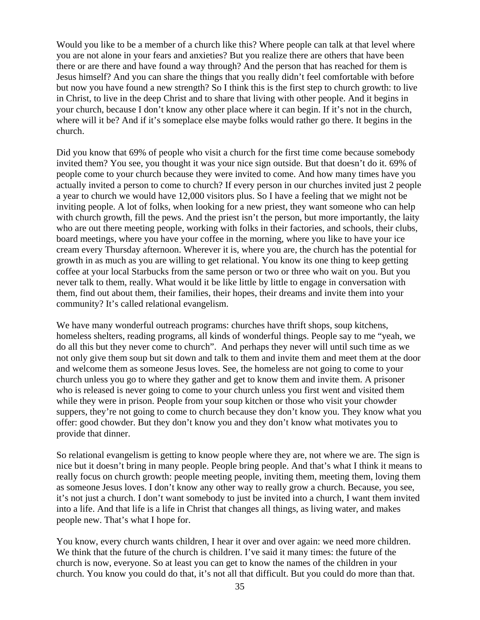Would you like to be a member of a church like this? Where people can talk at that level where you are not alone in your fears and anxieties? But you realize there are others that have been there or are there and have found a way through? And the person that has reached for them is Jesus himself? And you can share the things that you really didn't feel comfortable with before but now you have found a new strength? So I think this is the first step to church growth: to live in Christ, to live in the deep Christ and to share that living with other people. And it begins in your church, because I don't know any other place where it can begin. If it's not in the church, where will it be? And if it's someplace else maybe folks would rather go there. It begins in the church.

Did you know that 69% of people who visit a church for the first time come because somebody invited them? You see, you thought it was your nice sign outside. But that doesn't do it. 69% of people come to your church because they were invited to come. And how many times have you actually invited a person to come to church? If every person in our churches invited just 2 people a year to church we would have 12,000 visitors plus. So I have a feeling that we might not be inviting people. A lot of folks, when looking for a new priest, they want someone who can help with church growth, fill the pews. And the priest isn't the person, but more importantly, the laity who are out there meeting people, working with folks in their factories, and schools, their clubs, board meetings, where you have your coffee in the morning, where you like to have your ice cream every Thursday afternoon. Wherever it is, where you are, the church has the potential for growth in as much as you are willing to get relational. You know its one thing to keep getting coffee at your local Starbucks from the same person or two or three who wait on you. But you never talk to them, really. What would it be like little by little to engage in conversation with them, find out about them, their families, their hopes, their dreams and invite them into your community? It's called relational evangelism.

We have many wonderful outreach programs: churches have thrift shops, soup kitchens, homeless shelters, reading programs, all kinds of wonderful things. People say to me "yeah, we do all this but they never come to church". And perhaps they never will until such time as we not only give them soup but sit down and talk to them and invite them and meet them at the door and welcome them as someone Jesus loves. See, the homeless are not going to come to your church unless you go to where they gather and get to know them and invite them. A prisoner who is released is never going to come to your church unless you first went and visited them while they were in prison. People from your soup kitchen or those who visit your chowder suppers, they're not going to come to church because they don't know you. They know what you offer: good chowder. But they don't know you and they don't know what motivates you to provide that dinner.

So relational evangelism is getting to know people where they are, not where we are. The sign is nice but it doesn't bring in many people. People bring people. And that's what I think it means to really focus on church growth: people meeting people, inviting them, meeting them, loving them as someone Jesus loves. I don't know any other way to really grow a church. Because, you see, it's not just a church. I don't want somebody to just be invited into a church, I want them invited into a life. And that life is a life in Christ that changes all things, as living water, and makes people new. That's what I hope for.

You know, every church wants children, I hear it over and over again: we need more children. We think that the future of the church is children. I've said it many times: the future of the church is now, everyone. So at least you can get to know the names of the children in your church. You know you could do that, it's not all that difficult. But you could do more than that.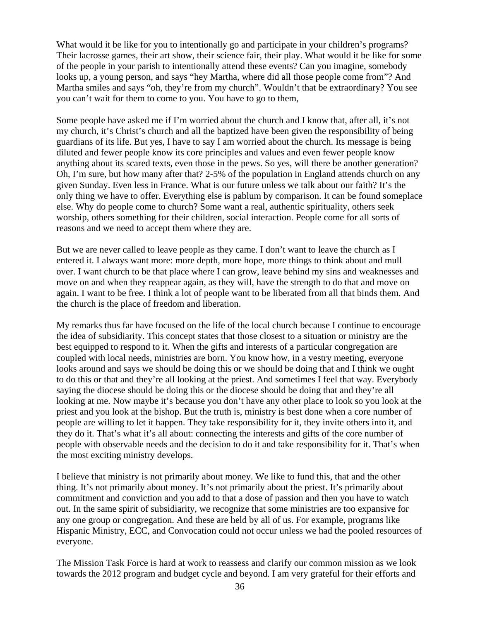What would it be like for you to intentionally go and participate in your children's programs? Their lacrosse games, their art show, their science fair, their play. What would it be like for some of the people in your parish to intentionally attend these events? Can you imagine, somebody looks up, a young person, and says "hey Martha, where did all those people come from"? And Martha smiles and says "oh, they're from my church". Wouldn't that be extraordinary? You see you can't wait for them to come to you. You have to go to them,

Some people have asked me if I'm worried about the church and I know that, after all, it's not my church, it's Christ's church and all the baptized have been given the responsibility of being guardians of its life. But yes, I have to say I am worried about the church. Its message is being diluted and fewer people know its core principles and values and even fewer people know anything about its scared texts, even those in the pews. So yes, will there be another generation? Oh, I'm sure, but how many after that? 2-5% of the population in England attends church on any given Sunday. Even less in France. What is our future unless we talk about our faith? It's the only thing we have to offer. Everything else is pablum by comparison. It can be found someplace else. Why do people come to church? Some want a real, authentic spirituality, others seek worship, others something for their children, social interaction. People come for all sorts of reasons and we need to accept them where they are.

But we are never called to leave people as they came. I don't want to leave the church as I entered it. I always want more: more depth, more hope, more things to think about and mull over. I want church to be that place where I can grow, leave behind my sins and weaknesses and move on and when they reappear again, as they will, have the strength to do that and move on again. I want to be free. I think a lot of people want to be liberated from all that binds them. And the church is the place of freedom and liberation.

My remarks thus far have focused on the life of the local church because I continue to encourage the idea of subsidiarity. This concept states that those closest to a situation or ministry are the best equipped to respond to it. When the gifts and interests of a particular congregation are coupled with local needs, ministries are born. You know how, in a vestry meeting, everyone looks around and says we should be doing this or we should be doing that and I think we ought to do this or that and they're all looking at the priest. And sometimes I feel that way. Everybody saying the diocese should be doing this or the diocese should be doing that and they're all looking at me. Now maybe it's because you don't have any other place to look so you look at the priest and you look at the bishop. But the truth is, ministry is best done when a core number of people are willing to let it happen. They take responsibility for it, they invite others into it, and they do it. That's what it's all about: connecting the interests and gifts of the core number of people with observable needs and the decision to do it and take responsibility for it. That's when the most exciting ministry develops.

I believe that ministry is not primarily about money. We like to fund this, that and the other thing. It's not primarily about money. It's not primarily about the priest. It's primarily about commitment and conviction and you add to that a dose of passion and then you have to watch out. In the same spirit of subsidiarity, we recognize that some ministries are too expansive for any one group or congregation. And these are held by all of us. For example, programs like Hispanic Ministry, ECC, and Convocation could not occur unless we had the pooled resources of everyone.

The Mission Task Force is hard at work to reassess and clarify our common mission as we look towards the 2012 program and budget cycle and beyond. I am very grateful for their efforts and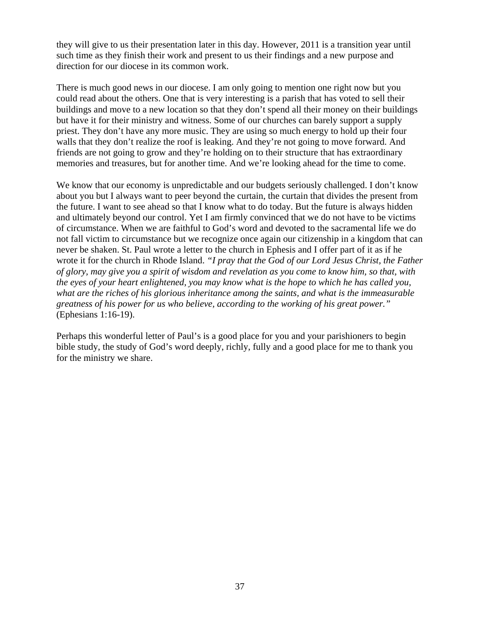they will give to us their presentation later in this day. However, 2011 is a transition year until such time as they finish their work and present to us their findings and a new purpose and direction for our diocese in its common work.

There is much good news in our diocese. I am only going to mention one right now but you could read about the others. One that is very interesting is a parish that has voted to sell their buildings and move to a new location so that they don't spend all their money on their buildings but have it for their ministry and witness. Some of our churches can barely support a supply priest. They don't have any more music. They are using so much energy to hold up their four walls that they don't realize the roof is leaking. And they're not going to move forward. And friends are not going to grow and they're holding on to their structure that has extraordinary memories and treasures, but for another time. And we're looking ahead for the time to come.

We know that our economy is unpredictable and our budgets seriously challenged. I don't know about you but I always want to peer beyond the curtain, the curtain that divides the present from the future. I want to see ahead so that I know what to do today. But the future is always hidden and ultimately beyond our control. Yet I am firmly convinced that we do not have to be victims of circumstance. When we are faithful to God's word and devoted to the sacramental life we do not fall victim to circumstance but we recognize once again our citizenship in a kingdom that can never be shaken. St. Paul wrote a letter to the church in Ephesis and I offer part of it as if he wrote it for the church in Rhode Island. *"I pray that the God of our Lord Jesus Christ, the Father of glory, may give you a spirit of wisdom and revelation as you come to know him, so that, with the eyes of your heart enlightened, you may know what is the hope to which he has called you, what are the riches of his glorious inheritance among the saints, and what is the immeasurable greatness of his power for us who believe, according to the working of his great power."*  (Ephesians 1:16-19).

Perhaps this wonderful letter of Paul's is a good place for you and your parishioners to begin bible study, the study of God's word deeply, richly, fully and a good place for me to thank you for the ministry we share.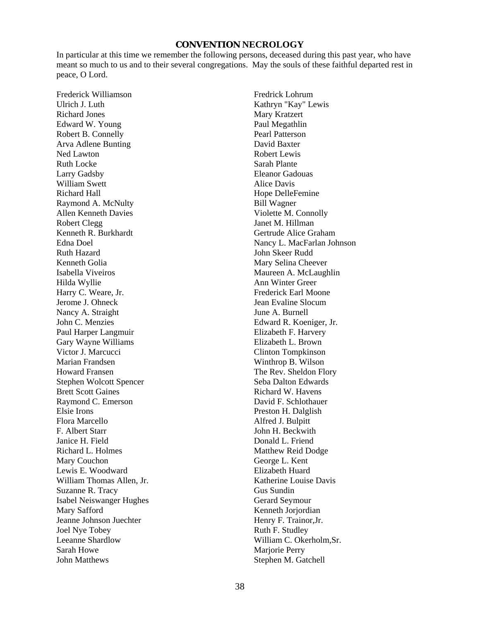#### **CONVENTION NECROLOGY**

In particular at this time we remember the following persons, deceased during this past year, who have meant so much to us and to their several congregations. May the souls of these faithful departed rest in peace, O Lord.

Frederick Williamson Ulrich J. Luth Richard Jones Edward W. Young Robert B. Connelly Arva Adlene Bunting Ned Lawton Ruth Locke Larry Gadsby William Swett Richard Hall Raymond A. McNulty Allen Kenneth Davies Robert Clegg Kenneth R. Burkhardt Edna Doel Ruth Hazard Kenneth Golia Isabella Viveiros Hilda Wyllie Harry C. Weare, Jr. Jerome J. Ohneck Nancy A. Straight John C. Menzies Paul Harper Langmuir Gary Wayne Williams Victor J. Marcucci Marian Frandsen Howard Fransen Stephen Wolcott Spencer Brett Scott Gaines Raymond C. Emerson Elsie Irons Flora Marcello F. Albert Starr Janice H. Field Richard L. Holmes Mary Couchon Lewis E. Woodward William Thomas Allen, Jr. Suzanne R. Tracy Isabel Neiswanger Hughes Mary Safford Jeanne Johnson Juechter Joel Nye Tobey Leeanne Shardlow Sarah Howe John Matthews

Fredrick Lohrum Kathryn "Kay" Lewis Mary Kratzert Paul Megathlin Pearl Patterson David Baxter Robert Lewis Sarah Plante Eleanor Gadouas Alice Davis Hope DelleFemine Bill Wagner Violette M. Connolly Janet M. Hillman Gertrude Alice Graham Nancy L. MacFarlan Johnson John Skeer Rudd Mary Selina Cheever Maureen A. McLaughlin Ann Winter Greer Frederick Earl Moone Jean Evaline Slocum June A. Burnell Edward R. Koeniger, Jr. Elizabeth F. Harvery Elizabeth L. Brown Clinton Tompkinson Winthrop B. Wilson The Rev. Sheldon Flory Seba Dalton Edwards Richard W. Havens David F. Schlothauer Preston H. Dalglish Alfred J. Bulpitt John H. Beckwith Donald L. Friend Matthew Reid Dodge George L. Kent Elizabeth Huard Katherine Louise Davis Gus Sundin Gerard Seymour Kenneth Jorjordian Henry F. Trainor,Jr. Ruth F. Studley William C. Okerholm,Sr. Marjorie Perry Stephen M. Gatchell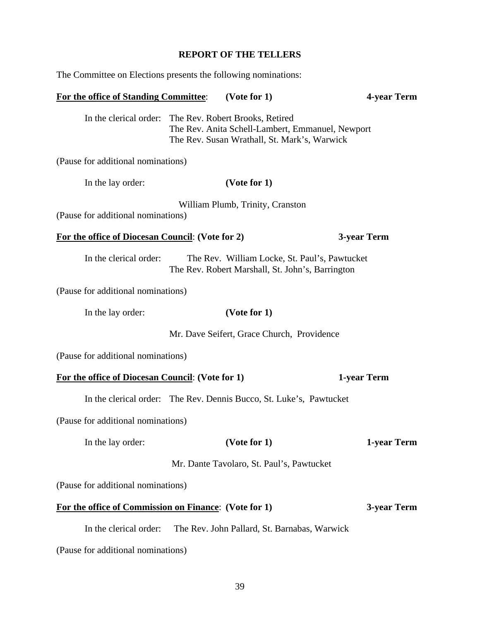# **REPORT OF THE TELLERS**

The Committee on Elections presents the following nominations:

|                                                         | In the clerical order: The Rev. Robert Brooks, Retired<br>The Rev. Anita Schell-Lambert, Emmanuel, Newport<br>The Rev. Susan Wrathall, St. Mark's, Warwick |             |
|---------------------------------------------------------|------------------------------------------------------------------------------------------------------------------------------------------------------------|-------------|
| (Pause for additional nominations)                      |                                                                                                                                                            |             |
| In the lay order:                                       | (Vote for 1)                                                                                                                                               |             |
| (Pause for additional nominations)                      | William Plumb, Trinity, Cranston                                                                                                                           |             |
| For the office of Diocesan Council: (Vote for 2)        |                                                                                                                                                            | 3-year Term |
| In the clerical order:                                  | The Rev. William Locke, St. Paul's, Pawtucket<br>The Rev. Robert Marshall, St. John's, Barrington                                                          |             |
| (Pause for additional nominations)                      |                                                                                                                                                            |             |
| In the lay order:                                       | (Vote for 1)                                                                                                                                               |             |
|                                                         | Mr. Dave Seifert, Grace Church, Providence                                                                                                                 |             |
| (Pause for additional nominations)                      |                                                                                                                                                            |             |
| <b>For the office of Diocesan Council:</b> (Vote for 1) |                                                                                                                                                            | 1-year Term |
|                                                         | In the clerical order: The Rev. Dennis Bucco, St. Luke's, Pawtucket                                                                                        |             |
| (Pause for additional nominations)                      |                                                                                                                                                            |             |
| In the lay order:                                       | (Vote for 1)                                                                                                                                               | 1-year Term |
|                                                         | Mr. Dante Tavolaro, St. Paul's, Pawtucket                                                                                                                  |             |
| (Pause for additional nominations)                      |                                                                                                                                                            |             |
| For the office of Commission on Finance: (Vote for 1)   |                                                                                                                                                            | 3-year Term |
| In the clerical order:                                  | The Rev. John Pallard, St. Barnabas, Warwick                                                                                                               |             |
| (Pause for additional nominations)                      |                                                                                                                                                            |             |
|                                                         |                                                                                                                                                            |             |

**For the office of Standing Committee**: **(Vote for 1) 4-year Term**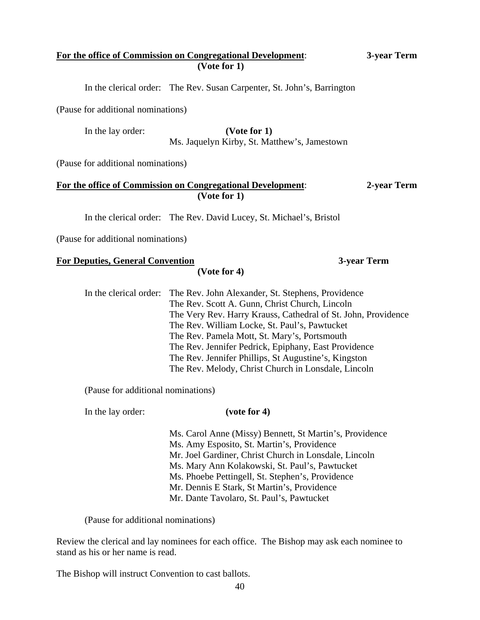### **For the office of Commission on Congregational Development**: **3-year Term (Vote for 1)**

In the clerical order: The Rev. Susan Carpenter, St. John's, Barrington

(Pause for additional nominations)

 In the lay order: **(Vote for 1)**  Ms. Jaquelyn Kirby, St. Matthew's, Jamestown

(Pause for additional nominations)

### **For the office of Commission on Congregational Development**: **2-year Term (Vote for 1)**

In the clerical order: The Rev. David Lucey, St. Michael's, Bristol

(Pause for additional nominations)

### **For Deputies, General Convention 3-year Term**

**(Vote for 4)**

 In the clerical order: The Rev. John Alexander, St. Stephens, Providence The Rev. Scott A. Gunn, Christ Church, Lincoln The Very Rev. Harry Krauss, Cathedral of St. John, Providence The Rev. William Locke, St. Paul's, Pawtucket The Rev. Pamela Mott, St. Mary's, Portsmouth The Rev. Jennifer Pedrick, Epiphany, East Providence The Rev. Jennifer Phillips, St Augustine's, Kingston The Rev. Melody, Christ Church in Lonsdale, Lincoln

(Pause for additional nominations)

In the lay order: **(vote for 4)**

 Ms. Carol Anne (Missy) Bennett, St Martin's, Providence Ms. Amy Esposito, St. Martin's, Providence Mr. Joel Gardiner, Christ Church in Lonsdale, Lincoln Ms. Mary Ann Kolakowski, St. Paul's, Pawtucket Ms. Phoebe Pettingell, St. Stephen's, Providence Mr. Dennis E Stark, St Martin's, Providence Mr. Dante Tavolaro, St. Paul's, Pawtucket

(Pause for additional nominations)

Review the clerical and lay nominees for each office. The Bishop may ask each nominee to stand as his or her name is read.

The Bishop will instruct Convention to cast ballots.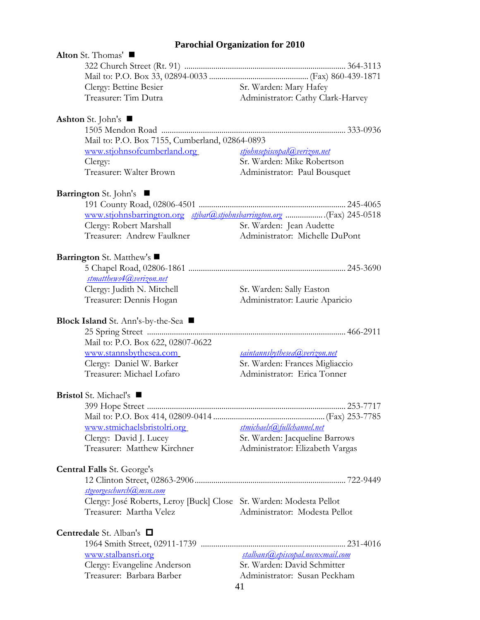# **Parochial Organization for 2010**

| Alton St. Thomas'                                                     |                                   |
|-----------------------------------------------------------------------|-----------------------------------|
|                                                                       |                                   |
|                                                                       |                                   |
| Clergy: Bettine Besier                                                | Sr. Warden: Mary Hafey            |
| Treasurer: Tim Dutra                                                  | Administrator: Cathy Clark-Harvey |
| <b>Ashton</b> St. John's $\blacksquare$                               |                                   |
|                                                                       |                                   |
| Mail to: P.O. Box 7155, Cumberland, 02864-0893                        |                                   |
| www.stjohnsofcumberland.org                                           | stjohnsepiscopal@verizon.net      |
| Clergy:                                                               | Sr. Warden: Mike Robertson        |
| Treasurer: Walter Brown                                               | Administrator: Paul Bousquet      |
| <b>Barrington</b> St. John's ■                                        |                                   |
|                                                                       |                                   |
| www.stjohnsbarrington.org stjbar@stjohnsbarrington.org (Fax) 245-0518 |                                   |
| Clergy: Robert Marshall                                               | Sr. Warden: Jean Audette          |
| Treasurer: Andrew Faulkner                                            | Administrator: Michelle DuPont    |
| Barrington St. Matthew's ■                                            |                                   |
|                                                                       |                                   |
| stmatthews4@verizon.net                                               |                                   |
| Clergy: Judith N. Mitchell                                            | Sr. Warden: Sally Easton          |
| Treasurer: Dennis Hogan                                               | Administrator: Laurie Aparicio    |
| Block Island St. Ann's-by-the-Sea ■                                   |                                   |
|                                                                       |                                   |
| Mail to: P.O. Box 622, 02807-0622                                     |                                   |
| www.stannsbythesea.com                                                | saintannsbythesea@verizon.net     |
| Clergy: Daniel W. Barker                                              | Sr. Warden: Frances Migliaccio    |
| Treasurer: Michael Lofaro                                             | Administrator: Erica Tonner       |
| <b>Bristol</b> St. Michael's ■                                        |                                   |
|                                                                       |                                   |
|                                                                       |                                   |
| www.stmichaelsbristolri.org                                           | stmichaels@fullchannel.net        |
| Clergy: David J. Lucey                                                | Sr. Warden: Jacqueline Barrows    |
| Treasurer: Matthew Kirchner                                           | Administrator: Elizabeth Vargas   |
| <b>Central Falls</b> St. George's                                     |                                   |
|                                                                       |                                   |
| stgeorgeschurch@msn.com                                               |                                   |
| Clergy: José Roberts, Leroy [Buck] Close Sr. Warden: Modesta Pellot   |                                   |
| Treasurer: Martha Velez                                               | Administrator: Modesta Pellot     |
| <b>Centredale</b> St. Alban's $\Box$                                  |                                   |
|                                                                       |                                   |
| www.stalbansri.org                                                    | stalbans@episcopal.necoxmail.com  |
| Clergy: Evangeline Anderson                                           | Sr. Warden: David Schmitter       |
| Treasurer: Barbara Barber                                             | Administrator: Susan Peckham      |
|                                                                       | 41                                |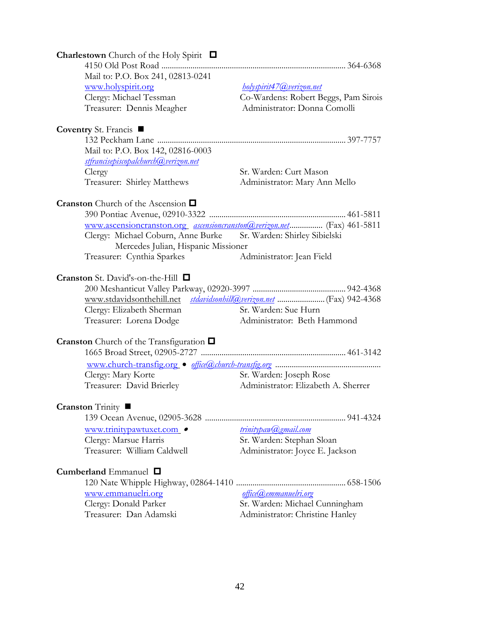| <b>Charlestown</b> Church of the Holy Spirit $\Box$                     |                                                                   |
|-------------------------------------------------------------------------|-------------------------------------------------------------------|
|                                                                         |                                                                   |
| Mail to: P.O. Box 241, 02813-0241                                       |                                                                   |
| www.holyspirit.org                                                      | <u>holyspirit47@verizon.net</u>                                   |
| Clergy: Michael Tessman                                                 | Co-Wardens: Robert Beggs, Pam Sirois                              |
| Treasurer: Dennis Meagher                                               | Administrator: Donna Comolli                                      |
|                                                                         |                                                                   |
| Coventry St. Francis ■                                                  |                                                                   |
|                                                                         |                                                                   |
| Mail to: P.O. Box 142, 02816-0003                                       |                                                                   |
| stfrancisepiscopalchurch@verizon.net                                    |                                                                   |
| Clergy                                                                  | Sr. Warden: Curt Mason                                            |
| Treasurer: Shirley Matthews                                             | Administrator: Mary Ann Mello                                     |
|                                                                         |                                                                   |
| <b>Cranston</b> Church of the Ascension $\Box$                          |                                                                   |
|                                                                         |                                                                   |
| www.ascensioncranston.org ascensioncranston @verizon.net (Fax) 461-5811 |                                                                   |
|                                                                         | Sr. Warden: Shirley Sibielski                                     |
| Clergy: Michael Coburn, Anne Burke                                      |                                                                   |
| Mercedes Julian, Hispanic Missioner                                     |                                                                   |
| Treasurer: Cynthia Sparkes                                              | Administrator: Jean Field                                         |
|                                                                         |                                                                   |
| Cranston St. David's-on-the-Hill □                                      |                                                                   |
|                                                                         |                                                                   |
| www.stdavidsonthehill.net                                               |                                                                   |
| Clergy: Elizabeth Sherman                                               | Sr. Warden: Sue Hurn                                              |
| Treasurer: Lorena Dodge                                                 | Administrator: Beth Hammond                                       |
|                                                                         |                                                                   |
| <b>Cranston</b> Church of the Transfiguration $\Box$                    |                                                                   |
|                                                                         |                                                                   |
|                                                                         |                                                                   |
| Clergy: Mary Korte                                                      | Sr. Warden: Joseph Rose                                           |
| Treasurer: David Brierley                                               | Administrator: Elizabeth A. Sherrer                               |
|                                                                         |                                                                   |
| <b>Cranston</b> Trinity ■                                               |                                                                   |
|                                                                         |                                                                   |
|                                                                         |                                                                   |
| www.trinitypawtuxet.com •                                               | trinitypaw@gmail.com                                              |
| Clergy: Marsue Harris                                                   | Sr. Warden: Stephan Sloan                                         |
| Treasurer: William Caldwell                                             | Administrator: Joyce E. Jackson                                   |
|                                                                         |                                                                   |
| Cumberland Emmanuel $\Box$                                              |                                                                   |
|                                                                         |                                                                   |
|                                                                         |                                                                   |
| www.emmanuelri.org                                                      | office@emmanuelri.org                                             |
| Clergy: Donald Parker<br>Treasurer: Dan Adamski                         | Sr. Warden: Michael Cunningham<br>Administrator: Christine Hanley |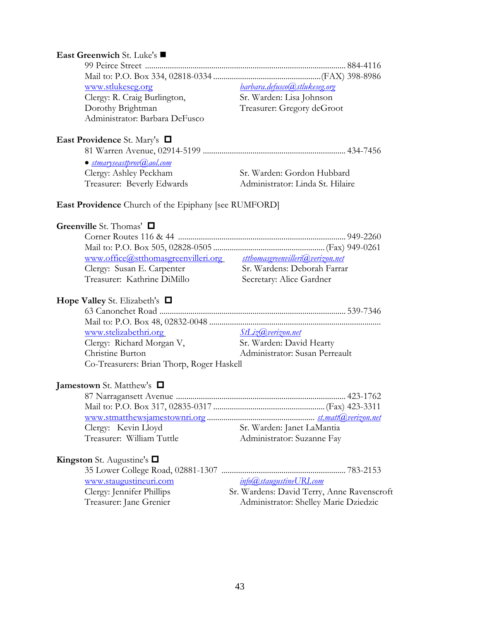# **East Greenwich** St. Luke's 99 Peirce Street ................................................................................................. 884-4116 Mail to: P.O. Box 334, 02818-0334 ....................................................(FAX) 398-8986 [www.stlukeseg.org](http://www.stlukeseg.org/) *[barbara.defusco@stlukeseg.org](mailto:barbara.defusco@stlukeseg.org)*  Clergy: R. Craig Burlington, Sr. Warden: Lisa Johnson Dorothy Brightman Treasurer: Gregory deGroot Administrator: Barbara DeFusco **East Providence** St. Mary's 81 Warren Avenue, 02914-5199 ..................................................................... 434-7456 *[stmaryseastprov@aol.com](mailto:stmaryseastprov@aol.com)* Clergy: Ashley Peckham Sr. Warden: Gordon Hubbard Treasurer: Beverly Edwards Administrator: Linda St. Hilaire **East Providence** Church of the Epiphany [see RUMFORD] **Greenville** St. Thomas' Corner Routes 116 & 44 ................................................................................. 949-2260 Mail to: P.O. Box 505, 02828-0505 ......................................................(Fax) 949-0261 [www.office@stthomasgreenvilleri.org](http://www.office@stthomasgreenvilleri.org/) *[stthomasgreenvilleri@verizon.net](mailto:stthomasgreenvilleri@verizon.net)*  Clergy: Susan E. Carpenter Sr. Wardens: Deborah Farrar Treasurer: Kathrine DiMillo Secretary: Alice Gardner **Hope Valley** St. Elizabeth's 63 Canonchet Road .......................................................................................... 539-7346 Mail to: P.O. Box 48, 02832-0048 ................................................................................... [www.stelizabethri.org](http://www.stelizabethri.org/) *[StLiz@verizon.net](mailto:StLiz@verizon.net)* Clergy: Richard Morgan V, Sr. Warden: David Hearty Christine Burton Administrator: Susan Perreault Co-Treasurers: Brian Thorp, Roger Haskell

## **Jamestown** St. Matthew's

| Clergy: Kevin Lloyd       | Sr. Warden: Janet LaMantia |
|---------------------------|----------------------------|
| Treasurer: William Tuttle | Administrator: Suzanne Fay |
|                           |                            |

### **Kingston** St. Augustine's

| www.staugustineuri.com    | <u>info@staugustineURI.com</u>             |
|---------------------------|--------------------------------------------|
| Clergy: Jennifer Phillips | Sr. Wardens: David Terry, Anne Ravenscroft |
| Treasurer: Jane Grenier   | Administrator: Shelley Marie Dziedzic      |
|                           |                                            |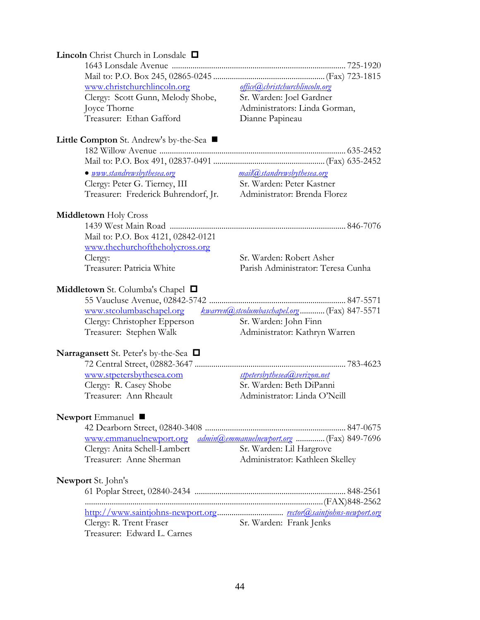| <b>Lincoln</b> Christ Church in Lonsdale $\Box$                   |                                             |
|-------------------------------------------------------------------|---------------------------------------------|
|                                                                   |                                             |
|                                                                   |                                             |
| www.christchurchlincoln.org                                       | <u>office@christchurchlincoln.org</u>       |
| Clergy: Scott Gunn, Melody Shobe,                                 | Sr. Warden: Joel Gardner                    |
| Joyce Thorne                                                      | Administrators: Linda Gorman,               |
| Treasurer: Ethan Gafford                                          | Dianne Papineau                             |
|                                                                   |                                             |
| Little Compton St. Andrew's by-the-Sea ■                          |                                             |
|                                                                   |                                             |
|                                                                   |                                             |
| • www.standrewsbythesea.org                                       | <u>mail@standrewsbythesea.org</u>           |
| Clergy: Peter G. Tierney, III                                     | Sr. Warden: Peter Kastner                   |
| Treasurer: Frederick Buhrendorf, Jr.                              | Administrator: Brenda Florez                |
|                                                                   |                                             |
| <b>Middletown Holy Cross</b>                                      |                                             |
|                                                                   |                                             |
| Mail to: P.O. Box 4121, 02842-0121                                |                                             |
|                                                                   |                                             |
| www.thechurchoftheholycross.org                                   | Sr. Warden: Robert Asher                    |
| Clergy:<br>Treasurer: Patricia White                              |                                             |
|                                                                   | Parish Administrator: Teresa Cunha          |
|                                                                   |                                             |
| <b>Middletown</b> St. Columba's Chapel $\Box$                     |                                             |
|                                                                   |                                             |
| www.stcolumbaschapel.org                                          | kwarren@stcolumbaschapel.org (Fax) 847-5571 |
| Clergy: Christopher Epperson                                      | Sr. Warden: John Finn                       |
| Treasurer: Stephen Walk                                           | Administrator: Kathryn Warren               |
|                                                                   |                                             |
| Narragansett St. Peter's by-the-Sea □                             |                                             |
|                                                                   |                                             |
| www.stpetersbythesea.com                                          | stpetersbythesea@verizon.net                |
| Clergy: R. Casey Shobe                                            | Sr. Warden: Beth DiPanni                    |
| Treasurer: Ann Rheault                                            | Administrator: Linda O'Neill                |
|                                                                   |                                             |
| Newport Emmanuel $\blacksquare$                                   |                                             |
|                                                                   |                                             |
| www.emmanuelnewport.org admin@emmanuelnewport.org  (Fax) 849-7696 |                                             |
| Clergy: Anita Schell-Lambert                                      | Sr. Warden: Lil Hargrove                    |
| Treasurer: Anne Sherman                                           | Administrator: Kathleen Skelley             |
|                                                                   |                                             |
| <b>Newport</b> St. John's                                         |                                             |
|                                                                   |                                             |
|                                                                   |                                             |
|                                                                   |                                             |
| Clergy: R. Trent Fraser                                           | Sr. Warden: Frank Jenks                     |
| Treasurer: Edward L. Carnes                                       |                                             |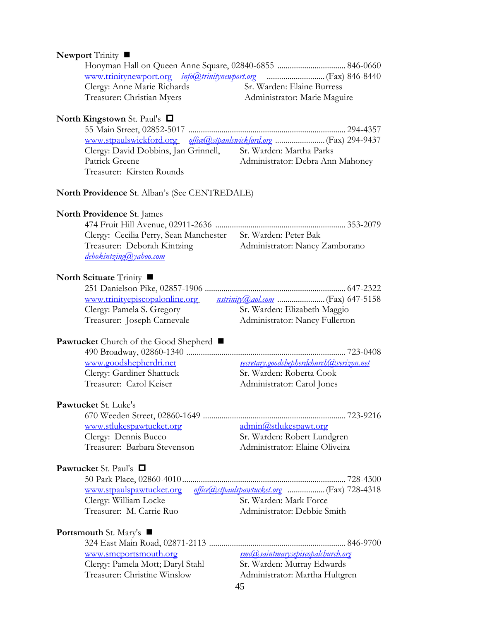### **Newport Trinity** ■

| Clergy: Anne Marie Richards | Sr. Warden: Elaine Burress   |  |
|-----------------------------|------------------------------|--|
| Treasurer: Christian Myers  | Administrator: Marie Maguire |  |
|                             |                              |  |

### **North Kingstown** St. Paul's

| Clergy: David Dobbins, Jan Grinnell, | Sr. Warden: Martha Parks         |  |
|--------------------------------------|----------------------------------|--|
| Patrick Greene                       | Administrator: Debra Ann Mahoney |  |
| Treasurer: Kirsten Rounds            |                                  |  |

### **North Providence** St. Alban's (See CENTREDALE)

### **North Providence** St. James

| Clergy: Cecilia Perry, Sean Manchester Sr. Warden: Peter Bak |                                |
|--------------------------------------------------------------|--------------------------------|
| Treasurer: Deborah Kintzing                                  | Administrator: Nancy Zamborano |
| <u>debokintzing@yahoo.com</u><br>____________                |                                |

#### North Scituate Trinity  $\blacksquare$

| www.trinityepiscopalonline.org |                                |
|--------------------------------|--------------------------------|
| Clergy: Pamela S. Gregory      | Sr. Warden: Elizabeth Maggio   |
| Treasurer: Joseph Carnevale    | Administrator: Nancy Fullerton |

### Pawtucket Church of the Good Shepherd ■

| www.goodshepherdri.net    | <u>secretary.goodshepherdchurch@verizon.net</u> |
|---------------------------|-------------------------------------------------|
| Clergy: Gardiner Shattuck | Sr. Warden: Roberta Cook                        |
| Treasurer: Carol Keiser   | Administrator: Carol Jones                      |
|                           |                                                 |

### **Pawtucket** St. Luke's

 670 Weeden Street, 02860-1649 ..................................................................... 723-9216 [www.stlukespawtucket.org](http://www.stlukespawtucket.org/) [admin@stlukespawt.org](mailto:admin@stlukespawt.org) Clergy: Dennis Bucco Sr. Warden: Robert Lundgren Treasurer: Barbara Stevenson Administrator: Elaine Oliveira

### **Pawtucket** St. Paul's

| Clergy: William Locke    | Sr. Warden: Mark Force      |
|--------------------------|-----------------------------|
| Treasurer: M. Carrie Ruo | Administrator: Debbie Smith |

#### **Portsmouth** St. Mary's

[www.smcportsmouth.org](http://www.smcportsmouth.org/) *[smc@saintmarysepiscopalchurch.org](mailto:smc@saintmarysepiscopalchurch.org)* Clergy: Pamela Mott; Daryl Stahl Sr. Warden: Murray Edwards Treasurer: Christine Winslow Administrator: Martha Hultgren

324 East Main Road, 02871-2113 .................................................................. 846-9700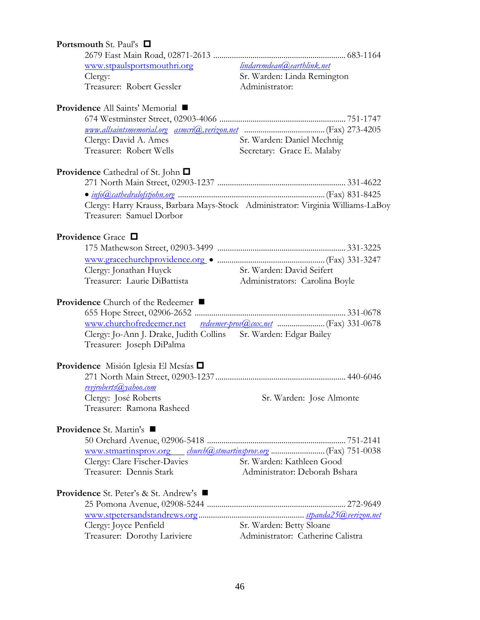| <b>Portsmouth St. Paul's <math>\Box</math></b>                   |                                                                                 |
|------------------------------------------------------------------|---------------------------------------------------------------------------------|
|                                                                  |                                                                                 |
| www.stpaulsportsmouthri.org                                      | lindaremdean@earthlink.net                                                      |
| Clergy:                                                          | Sr. Warden: Linda Remington                                                     |
| Treasurer: Robert Gessler                                        | Administrator:                                                                  |
| Providence All Saints' Memorial ■                                |                                                                                 |
|                                                                  |                                                                                 |
|                                                                  |                                                                                 |
| Clergy: David A. Ames                                            | Sr. Warden: Daniel Mechnig                                                      |
| Treasurer: Robert Wells                                          | Secretary: Grace E. Malaby                                                      |
| <b>Providence</b> Cathedral of St. John $\Box$                   |                                                                                 |
|                                                                  |                                                                                 |
|                                                                  |                                                                                 |
|                                                                  | Clergy: Harry Krauss, Barbara Mays-Stock Administrator: Virginia Williams-LaBoy |
| Treasurer: Samuel Dorbor                                         |                                                                                 |
|                                                                  |                                                                                 |
| <b>Providence</b> Grace $\Box$                                   |                                                                                 |
|                                                                  |                                                                                 |
|                                                                  |                                                                                 |
| Clergy: Jonathan Huyck                                           | Sr. Warden: David Seifert                                                       |
| Treasurer: Laurie DiBattista                                     | Administrators: Carolina Boyle                                                  |
|                                                                  |                                                                                 |
| Providence Church of the Redeemer ■                              |                                                                                 |
|                                                                  |                                                                                 |
|                                                                  |                                                                                 |
| Clergy: Jo-Ann J. Drake, Judith Collins Sr. Warden: Edgar Bailey |                                                                                 |
| Treasurer: Joseph DiPalma                                        |                                                                                 |
| Providence Misión Iglesia El Mesías □                            |                                                                                 |
|                                                                  |                                                                                 |
| reviroberts (a) vahoo.com                                        |                                                                                 |
| Clergy: José Roberts                                             | Sr. Warden: Jose Almonte                                                        |
| Treasurer: Ramona Rasheed                                        |                                                                                 |
|                                                                  |                                                                                 |
| <b>Providence</b> St. Martin's ■                                 |                                                                                 |
|                                                                  |                                                                                 |
|                                                                  |                                                                                 |
| Clergy: Clare Fischer-Davies                                     | Sr. Warden: Kathleen Good                                                       |
| Treasurer: Dennis Stark                                          | Administrator: Deborah Bshara                                                   |
|                                                                  |                                                                                 |
| <b>Providence</b> St. Peter's & St. Andrew's $\blacksquare$      |                                                                                 |
|                                                                  |                                                                                 |
|                                                                  |                                                                                 |
| Clergy: Joyce Penfield                                           | Sr. Warden: Betty Sloane                                                        |
| Treasurer: Dorothy Lariviere                                     | Administrator: Catherine Calistra                                               |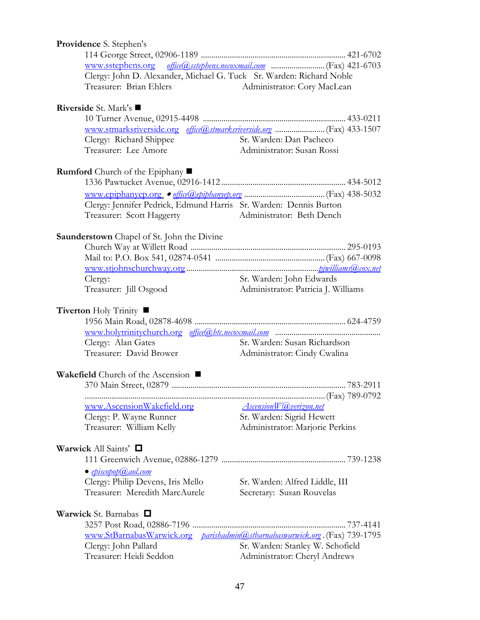| <b>Providence S. Stephen's</b>                    |                                                                             |
|---------------------------------------------------|-----------------------------------------------------------------------------|
|                                                   |                                                                             |
|                                                   |                                                                             |
|                                                   | Clergy: John D. Alexander, Michael G. Tuck Sr. Warden: Richard Noble        |
| Treasurer: Brian Ehlers                           | Administrator: Cory MacLean                                                 |
| Riverside St. Mark's ■                            |                                                                             |
|                                                   |                                                                             |
|                                                   |                                                                             |
| Clergy: Richard Shippee                           | Sr. Warden: Dan Pacheco                                                     |
| Treasurer: Lee Amore                              | Administrator: Susan Rossi                                                  |
| <b>Rumford</b> Church of the Epiphany ■           |                                                                             |
|                                                   |                                                                             |
|                                                   |                                                                             |
|                                                   | Clergy: Jennifer Pedrick, Edmund Harris Sr. Warden: Dennis Burton           |
| Treasurer: Scott Haggerty                         | Administrator: Beth Dench                                                   |
| <b>Saunderstown</b> Chapel of St. John the Divine |                                                                             |
|                                                   |                                                                             |
|                                                   |                                                                             |
|                                                   |                                                                             |
| Clergy:                                           | Sr. Warden: John Edwards                                                    |
| Treasurer: Jill Osgood                            | Administrator: Patricia J. Williams                                         |
| <b>Tiverton</b> Holy Trinity ■                    |                                                                             |
|                                                   |                                                                             |
|                                                   |                                                                             |
| Clergy: Alan Gates                                | Sr. Warden: Susan Richardson                                                |
| Treasurer: David Brower                           | Administrator: Cindy Cwalina                                                |
| Wakefield Church of the Ascension ■               |                                                                             |
|                                                   |                                                                             |
|                                                   |                                                                             |
| www.AscensionWakefield.org                        | <b>AscensionW</b> <i>Qverizon.net</i>                                       |
| Clergy: P. Wayne Runner                           | Sr. Warden: Sigrid Hewett                                                   |
| Treasurer: William Kelly                          | Administrator: Marjorie Perkins                                             |
| Warwick All Saints' $\Box$                        |                                                                             |
|                                                   |                                                                             |
| $\bullet$ episcopop $(a,a$ ol.com                 |                                                                             |
| Clergy: Philip Devens, Iris Mello                 | Sr. Warden: Alfred Liddle, III                                              |
| Treasurer: Meredith MarcAurele                    | Secretary: Susan Rouvelas                                                   |
|                                                   |                                                                             |
| <b>Warwick</b> St. Barnabas $\Box$                |                                                                             |
|                                                   |                                                                             |
|                                                   | www.StBarnabasWarwick.org parishadmin@stbarnabaswarwick.org. (Fax) 739-1795 |
| Clergy: John Pallard                              | Sr. Warden: Stanley W. Schofield                                            |
| Treasurer: Heidi Seddon                           | Administrator: Cheryl Andrews                                               |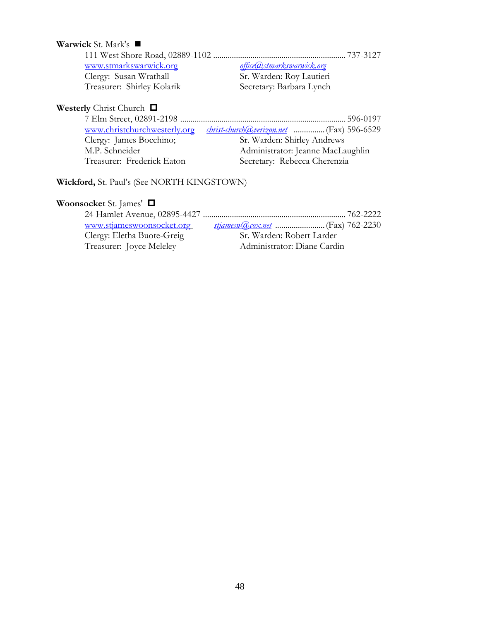| <b>Warwick</b> St. Mark's $\blacksquare$ |                           |
|------------------------------------------|---------------------------|
|                                          |                           |
| www.stmarkswarwick.org                   | office@stmarkswarwick.org |
| Clergy: Susan Wrathall                   | Sr. Warden: Roy Lautieri  |
| Treasurer: Shirley Kolarik               | Secretary: Barbara Lynch  |

# Westerly Christ Church  $\Box$

| www.christchurchwesterly.org | <u>christ-church@verizon.net</u> (Fax) 596-6529 |
|------------------------------|-------------------------------------------------|
| Clergy: James Bocchino;      | Sr. Warden: Shirley Andrews                     |
| M.P. Schneider               | Administrator: Jeanne MacLaughlin               |
| Treasurer: Frederick Eaton   | Secretary: Rebecca Cherenzia                    |

**Wickford,** St. Paul's (See NORTH KINGSTOWN)

# **Woonsocket** St. James'

| www.stjameswoonsocket.org  |                             |
|----------------------------|-----------------------------|
| Clergy: Eletha Buote-Greig | Sr. Warden: Robert Larder   |
| Treasurer: Joyce Meleley   | Administrator: Diane Cardin |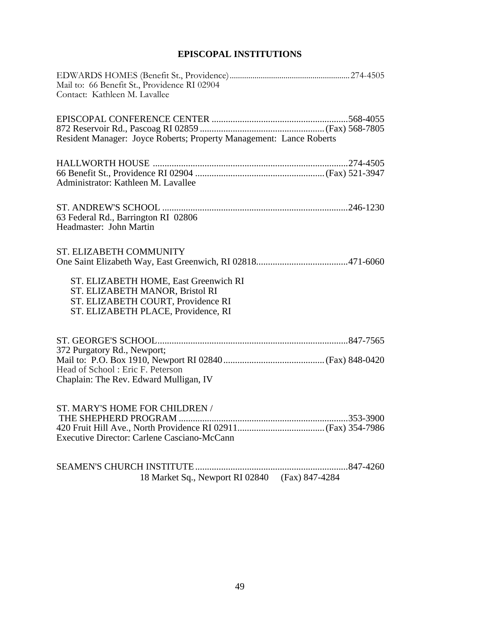# **EPISCOPAL INSTITUTIONS**

| Mail to: 66 Benefit St., Providence RI 02904<br>Contact: Kathleen M. Lavallee                                                                         |  |
|-------------------------------------------------------------------------------------------------------------------------------------------------------|--|
| Resident Manager: Joyce Roberts; Property Management: Lance Roberts                                                                                   |  |
|                                                                                                                                                       |  |
| Administrator: Kathleen M. Lavallee                                                                                                                   |  |
| 63 Federal Rd., Barrington RI 02806<br>Headmaster: John Martin                                                                                        |  |
| ST. ELIZABETH COMMUNITY                                                                                                                               |  |
| ST. ELIZABETH HOME, East Greenwich RI<br>ST. ELIZABETH MANOR, Bristol RI<br>ST. ELIZABETH COURT, Providence RI<br>ST. ELIZABETH PLACE, Providence, RI |  |
| 372 Purgatory Rd., Newport;                                                                                                                           |  |
| Head of School: Eric F. Peterson<br>Chaplain: The Rev. Edward Mulligan, IV                                                                            |  |
| ST. MARY'S HOME FOR CHILDREN /                                                                                                                        |  |
| Executive Director: Carlene Casciano-McCann                                                                                                           |  |
| 18 Market Sq., Newport RI 02840 (Fax) 847-4284                                                                                                        |  |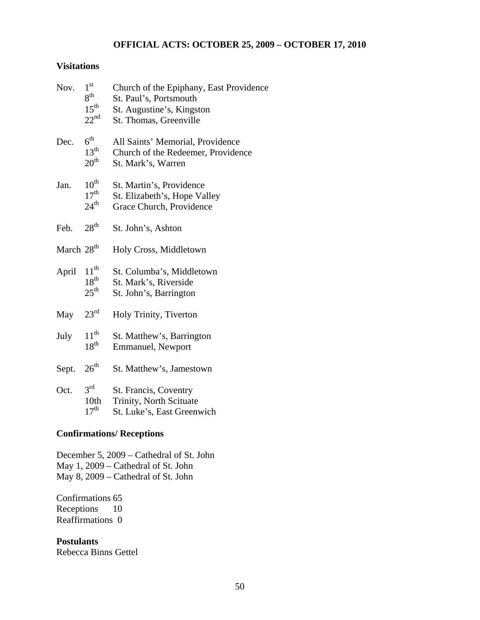## **OFFICIAL ACTS: OCTOBER 25, 2009 – OCTOBER 17, 2010**

### **Visitations**

| Nov.                   | $1^{\rm st}$<br>$8^{\rm th}$<br>$15^{\text{th}}$<br>$22^{nd}$ | Church of the Epiphany, East Providence<br>St. Paul's, Portsmouth<br>St. Augustine's, Kingston<br>St. Thomas, Greenville |
|------------------------|---------------------------------------------------------------|--------------------------------------------------------------------------------------------------------------------------|
| Dec.                   | $6^{\text{th}}$<br>13 <sup>th</sup><br>20 <sup>th</sup>       | All Saints' Memorial, Providence<br>Church of the Redeemer, Providence<br>St. Mark's, Warren                             |
| Jan.                   | $10^{\text{th}}$<br>17 <sup>th</sup><br>$24^{\text{th}}$      | St. Martin's, Providence<br>St. Elizabeth's, Hope Valley<br>Grace Church, Providence                                     |
| Feb.                   | 28 <sup>th</sup>                                              | St. John's, Ashton                                                                                                       |
| March 28 <sup>th</sup> |                                                               | Holy Cross, Middletown                                                                                                   |
| April                  | $11^{th}$<br>$18^{\text{th}}$<br>$25^{\text{th}}$             | St. Columba's, Middletown<br>St. Mark's, Riverside<br>St. John's, Barrington                                             |
| May                    | 23 <sup>rd</sup>                                              | Holy Trinity, Tiverton                                                                                                   |
| July                   | $11^{th}$<br>18 <sup>th</sup>                                 | St. Matthew's, Barrington<br>Emmanuel, Newport                                                                           |
| Sept.                  | 26 <sup>th</sup>                                              | St. Matthew's, Jamestown                                                                                                 |
| Oct.                   | $3^{\text{rd}}$<br>10 <sub>th</sub><br>17 <sup>th</sup>       | St. Francis, Coventry<br>Trinity, North Scituate<br>St. Luke's, East Greenwich                                           |

## **Confirmations/ Receptions**

December 5, 2009 – Cathedral of St. John May 1, 2009 – Cathedral of St. John May 8, 2009 – Cathedral of St. John

Confirmations 65 Receptions 10 Reaffirmations 0

**Postulants**  Rebecca Binns Gettel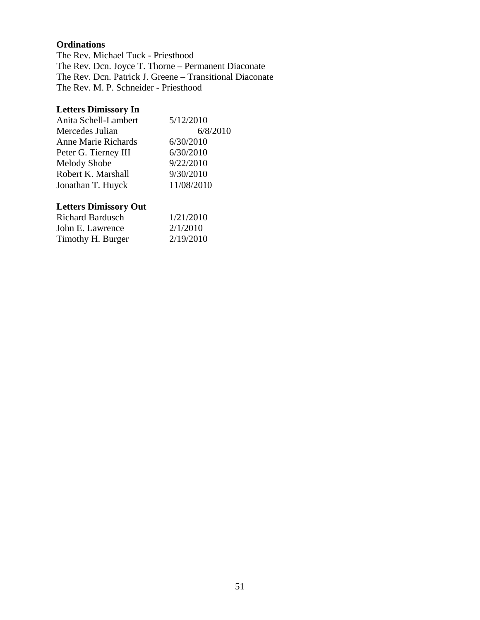### **Ordinations**

The Rev. Michael Tuck - Priesthood The Rev. Dcn. Joyce T. Thorne – Permanent Diaconate The Rev. Dcn. Patrick J. Greene – Transitional Diaconate The Rev. M. P. Schneider - Priesthood

# **Letters Dimissory In**

| Anita Schell-Lambert       | 5/12/2010  |
|----------------------------|------------|
| Mercedes Julian            | 6/8/2010   |
| <b>Anne Marie Richards</b> | 6/30/2010  |
| Peter G. Tierney III       | 6/30/2010  |
| <b>Melody Shobe</b>        | 9/22/2010  |
| Robert K. Marshall         | 9/30/2010  |
| Jonathan T. Huyck          | 11/08/2010 |

# **Letters Dimissory Out**

| <b>Richard Bardusch</b> | 1/21/2010 |
|-------------------------|-----------|
| John E. Lawrence        | 2/1/2010  |
| Timothy H. Burger       | 2/19/2010 |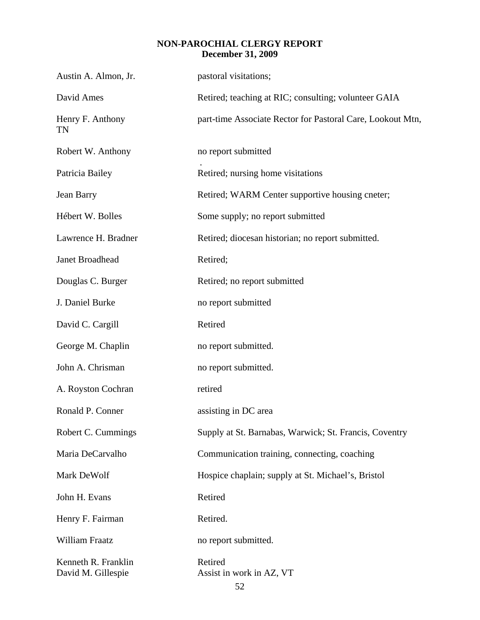# **NON-PAROCHIAL CLERGY REPORT December 31, 2009**

| Austin A. Almon, Jr.                      | pastoral visitations;                                      |
|-------------------------------------------|------------------------------------------------------------|
| David Ames                                | Retired; teaching at RIC; consulting; volunteer GAIA       |
| Henry F. Anthony<br>TN                    | part-time Associate Rector for Pastoral Care, Lookout Mtn, |
| Robert W. Anthony                         | no report submitted                                        |
| Patricia Bailey                           | Retired; nursing home visitations                          |
| Jean Barry                                | Retired; WARM Center supportive housing cneter;            |
| Hébert W. Bolles                          | Some supply; no report submitted                           |
| Lawrence H. Bradner                       | Retired; diocesan historian; no report submitted.          |
| Janet Broadhead                           | Retired;                                                   |
| Douglas C. Burger                         | Retired; no report submitted                               |
| J. Daniel Burke                           | no report submitted                                        |
| David C. Cargill                          | Retired                                                    |
| George M. Chaplin                         | no report submitted.                                       |
| John A. Chrisman                          | no report submitted.                                       |
| A. Royston Cochran                        | retired                                                    |
| Ronald P. Conner                          | assisting in DC area                                       |
| Robert C. Cummings                        | Supply at St. Barnabas, Warwick; St. Francis, Coventry     |
| Maria DeCarvalho                          | Communication training, connecting, coaching               |
| Mark DeWolf                               | Hospice chaplain; supply at St. Michael's, Bristol         |
| John H. Evans                             | Retired                                                    |
| Henry F. Fairman                          | Retired.                                                   |
| William Fraatz                            | no report submitted.                                       |
| Kenneth R. Franklin<br>David M. Gillespie | Retired<br>Assist in work in AZ, VT<br>52                  |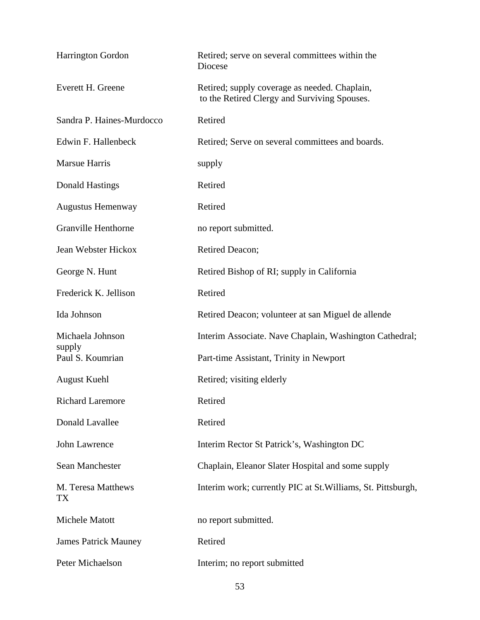| Harrington Gordon           | Retired; serve on several committees within the<br>Diocese                                    |
|-----------------------------|-----------------------------------------------------------------------------------------------|
| Everett H. Greene           | Retired; supply coverage as needed. Chaplain,<br>to the Retired Clergy and Surviving Spouses. |
| Sandra P. Haines-Murdocco   | Retired                                                                                       |
| Edwin F. Hallenbeck         | Retired; Serve on several committees and boards.                                              |
| <b>Marsue Harris</b>        | supply                                                                                        |
| <b>Donald Hastings</b>      | Retired                                                                                       |
| <b>Augustus Hemenway</b>    | Retired                                                                                       |
| <b>Granville Henthorne</b>  | no report submitted.                                                                          |
| Jean Webster Hickox         | Retired Deacon;                                                                               |
| George N. Hunt              | Retired Bishop of RI; supply in California                                                    |
| Frederick K. Jellison       | Retired                                                                                       |
| Ida Johnson                 | Retired Deacon; volunteer at san Miguel de allende                                            |
| Michaela Johnson            | Interim Associate. Nave Chaplain, Washington Cathedral;                                       |
| supply<br>Paul S. Koumrian  | Part-time Assistant, Trinity in Newport                                                       |
| <b>August Kuehl</b>         | Retired; visiting elderly                                                                     |
| <b>Richard Laremore</b>     | Retired                                                                                       |
| Donald Lavallee             | Retired                                                                                       |
| John Lawrence               | Interim Rector St Patrick's, Washington DC                                                    |
| Sean Manchester             | Chaplain, Eleanor Slater Hospital and some supply                                             |
| M. Teresa Matthews<br>TX    | Interim work; currently PIC at St. Williams, St. Pittsburgh,                                  |
| Michele Matott              | no report submitted.                                                                          |
| <b>James Patrick Mauney</b> | Retired                                                                                       |
| Peter Michaelson            | Interim; no report submitted                                                                  |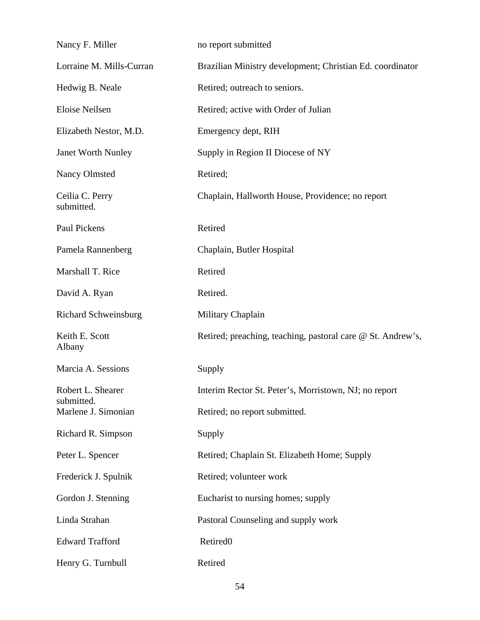| Nancy F. Miller                 | no report submitted                                         |
|---------------------------------|-------------------------------------------------------------|
| Lorraine M. Mills-Curran        | Brazilian Ministry development; Christian Ed. coordinator   |
| Hedwig B. Neale                 | Retired; outreach to seniors.                               |
| Eloise Neilsen                  | Retired; active with Order of Julian                        |
| Elizabeth Nestor, M.D.          | Emergency dept, RIH                                         |
| Janet Worth Nunley              | Supply in Region II Diocese of NY                           |
| <b>Nancy Olmsted</b>            | Retired;                                                    |
| Ceilia C. Perry<br>submitted.   | Chaplain, Hallworth House, Providence; no report            |
| Paul Pickens                    | Retired                                                     |
| Pamela Rannenberg               | Chaplain, Butler Hospital                                   |
| Marshall T. Rice                | Retired                                                     |
| David A. Ryan                   | Retired.                                                    |
| <b>Richard Schweinsburg</b>     | Military Chaplain                                           |
| Keith E. Scott<br>Albany        | Retired; preaching, teaching, pastoral care @ St. Andrew's, |
| Marcia A. Sessions              | Supply                                                      |
| Robert L. Shearer<br>submitted. | Interim Rector St. Peter's, Morristown, NJ; no report       |
| Marlene J. Simonian             | Retired; no report submitted.                               |
| Richard R. Simpson              | Supply                                                      |
| Peter L. Spencer                | Retired; Chaplain St. Elizabeth Home; Supply                |
| Frederick J. Spulnik            | Retired; volunteer work                                     |
| Gordon J. Stenning              | Eucharist to nursing homes; supply                          |
| Linda Strahan                   | Pastoral Counseling and supply work                         |
| <b>Edward Trafford</b>          | Retired <sub>0</sub>                                        |
|                                 |                                                             |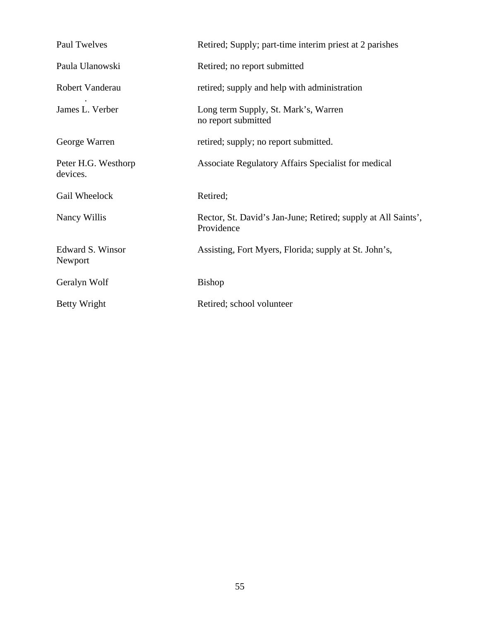| Paul Twelves                    | Retired; Supply; part-time interim priest at 2 parishes                     |
|---------------------------------|-----------------------------------------------------------------------------|
| Paula Ulanowski                 | Retired; no report submitted                                                |
| Robert Vanderau                 | retired; supply and help with administration                                |
| James L. Verber                 | Long term Supply, St. Mark's, Warren<br>no report submitted                 |
| George Warren                   | retired; supply; no report submitted.                                       |
| Peter H.G. Westhorp<br>devices. | Associate Regulatory Affairs Specialist for medical                         |
| Gail Wheelock                   | Retired;                                                                    |
| Nancy Willis                    | Rector, St. David's Jan-June; Retired; supply at All Saints',<br>Providence |
| Edward S. Winsor<br>Newport     | Assisting, Fort Myers, Florida; supply at St. John's,                       |
| Geralyn Wolf                    | <b>Bishop</b>                                                               |
| Betty Wright                    | Retired; school volunteer                                                   |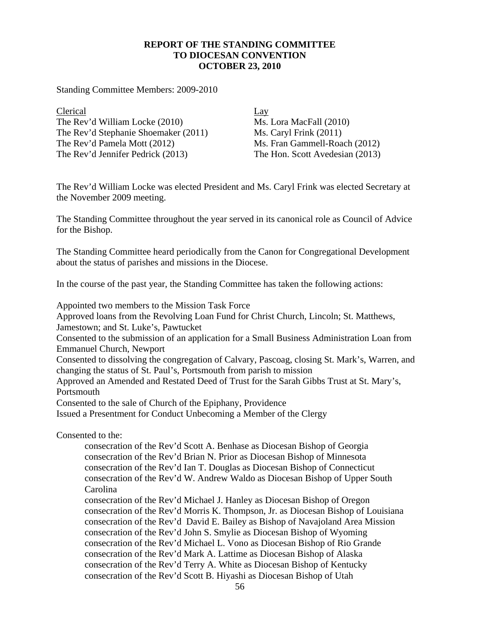### **REPORT OF THE STANDING COMMITTEE TO DIOCESAN CONVENTION OCTOBER 23, 2010**

Standing Committee Members: 2009-2010

Clerical Lay The Rev'd William Locke (2010) Ms. Lora MacFall (2010) The Rev'd Stephanie Shoemaker (2011) Ms. Caryl Frink (2011) The Rev'd Pamela Mott (2012) Ms. Fran Gammell-Roach (2012) The Rev'd Jennifer Pedrick (2013) The Hon. Scott Avedesian (2013)

The Rev'd William Locke was elected President and Ms. Caryl Frink was elected Secretary at the November 2009 meeting.

The Standing Committee throughout the year served in its canonical role as Council of Advice for the Bishop.

The Standing Committee heard periodically from the Canon for Congregational Development about the status of parishes and missions in the Diocese.

In the course of the past year, the Standing Committee has taken the following actions:

Appointed two members to the Mission Task Force

Approved loans from the Revolving Loan Fund for Christ Church, Lincoln; St. Matthews, Jamestown; and St. Luke's, Pawtucket

Consented to the submission of an application for a Small Business Administration Loan from Emmanuel Church, Newport

Consented to dissolving the congregation of Calvary, Pascoag, closing St. Mark's, Warren, and changing the status of St. Paul's, Portsmouth from parish to mission

Approved an Amended and Restated Deed of Trust for the Sarah Gibbs Trust at St. Mary's, Portsmouth

Consented to the sale of Church of the Epiphany, Providence

Issued a Presentment for Conduct Unbecoming a Member of the Clergy

Consented to the:

consecration of the Rev'd Scott A. Benhase as Diocesan Bishop of Georgia consecration of the Rev'd Brian N. Prior as Diocesan Bishop of Minnesota consecration of the Rev'd Ian T. Douglas as Diocesan Bishop of Connecticut consecration of the Rev'd W. Andrew Waldo as Diocesan Bishop of Upper South Carolina

consecration of the Rev'd Michael J. Hanley as Diocesan Bishop of Oregon consecration of the Rev'd Morris K. Thompson, Jr. as Diocesan Bishop of Louisiana consecration of the Rev'd David E. Bailey as Bishop of Navajoland Area Mission consecration of the Rev'd John S. Smylie as Diocesan Bishop of Wyoming consecration of the Rev'd Michael L. Vono as Diocesan Bishop of Rio Grande consecration of the Rev'd Mark A. Lattime as Diocesan Bishop of Alaska consecration of the Rev'd Terry A. White as Diocesan Bishop of Kentucky consecration of the Rev'd Scott B. Hiyashi as Diocesan Bishop of Utah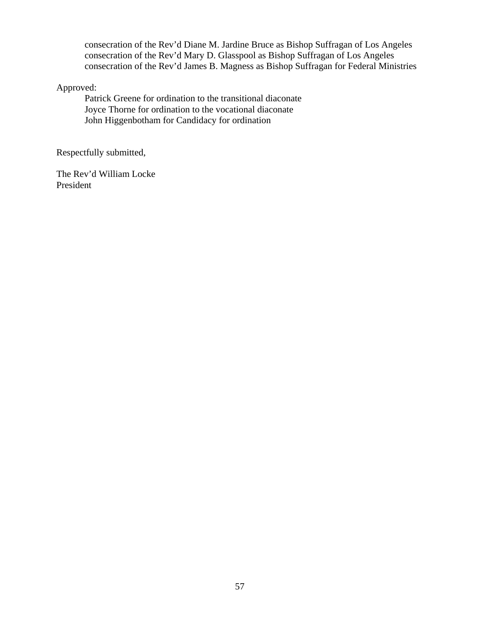consecration of the Rev'd Diane M. Jardine Bruce as Bishop Suffragan of Los Angeles consecration of the Rev'd Mary D. Glasspool as Bishop Suffragan of Los Angeles consecration of the Rev'd James B. Magness as Bishop Suffragan for Federal Ministries

Approved:

Patrick Greene for ordination to the transitional diaconate Joyce Thorne for ordination to the vocational diaconate John Higgenbotham for Candidacy for ordination

Respectfully submitted,

The Rev'd William Locke President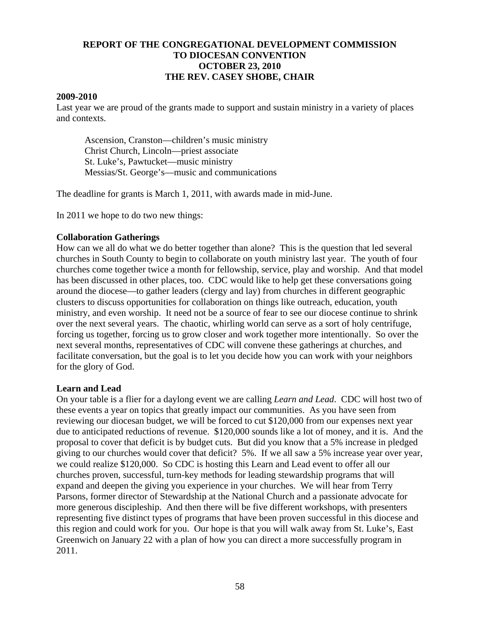### **REPORT OF THE CONGREGATIONAL DEVELOPMENT COMMISSION TO DIOCESAN CONVENTION OCTOBER 23, 2010 THE REV. CASEY SHOBE, CHAIR**

### **2009-2010**

Last year we are proud of the grants made to support and sustain ministry in a variety of places and contexts.

 Ascension, Cranston—children's music ministry Christ Church, Lincoln—priest associate St. Luke's, Pawtucket—music ministry Messias/St. George's—music and communications

The deadline for grants is March 1, 2011, with awards made in mid-June.

In 2011 we hope to do two new things:

### **Collaboration Gatherings**

How can we all do what we do better together than alone? This is the question that led several churches in South County to begin to collaborate on youth ministry last year. The youth of four churches come together twice a month for fellowship, service, play and worship. And that model has been discussed in other places, too. CDC would like to help get these conversations going around the diocese—to gather leaders (clergy and lay) from churches in different geographic clusters to discuss opportunities for collaboration on things like outreach, education, youth ministry, and even worship. It need not be a source of fear to see our diocese continue to shrink over the next several years. The chaotic, whirling world can serve as a sort of holy centrifuge, forcing us together, forcing us to grow closer and work together more intentionally. So over the next several months, representatives of CDC will convene these gatherings at churches, and facilitate conversation, but the goal is to let you decide how you can work with your neighbors for the glory of God.

### **Learn and Lead**

On your table is a flier for a daylong event we are calling *Learn and Lead*. CDC will host two of these events a year on topics that greatly impact our communities. As you have seen from reviewing our diocesan budget, we will be forced to cut \$120,000 from our expenses next year due to anticipated reductions of revenue. \$120,000 sounds like a lot of money, and it is. And the proposal to cover that deficit is by budget cuts. But did you know that a 5% increase in pledged giving to our churches would cover that deficit? 5%. If we all saw a 5% increase year over year, we could realize \$120,000. So CDC is hosting this Learn and Lead event to offer all our churches proven, successful, turn-key methods for leading stewardship programs that will expand and deepen the giving you experience in your churches. We will hear from Terry Parsons, former director of Stewardship at the National Church and a passionate advocate for more generous discipleship. And then there will be five different workshops, with presenters representing five distinct types of programs that have been proven successful in this diocese and this region and could work for you. Our hope is that you will walk away from St. Luke's, East Greenwich on January 22 with a plan of how you can direct a more successfully program in 2011.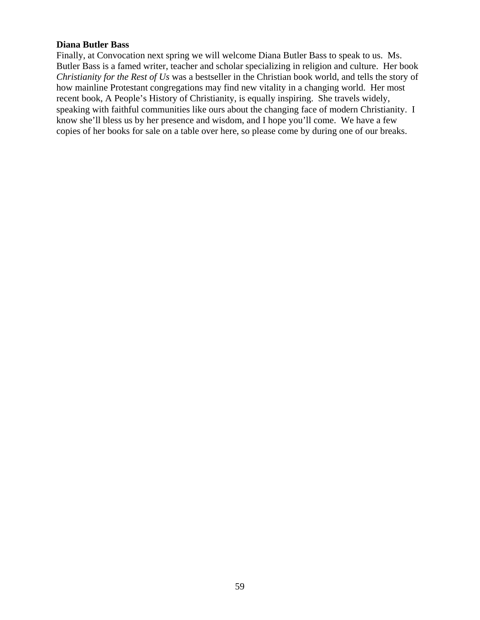### **Diana Butler Bass**

Finally, at Convocation next spring we will welcome Diana Butler Bass to speak to us. Ms. Butler Bass is a famed writer, teacher and scholar specializing in religion and culture. Her book *Christianity for the Rest of Us* was a bestseller in the Christian book world, and tells the story of how mainline Protestant congregations may find new vitality in a changing world. Her most recent book, A People's History of Christianity, is equally inspiring. She travels widely, speaking with faithful communities like ours about the changing face of modern Christianity. I know she'll bless us by her presence and wisdom, and I hope you'll come. We have a few copies of her books for sale on a table over here, so please come by during one of our breaks.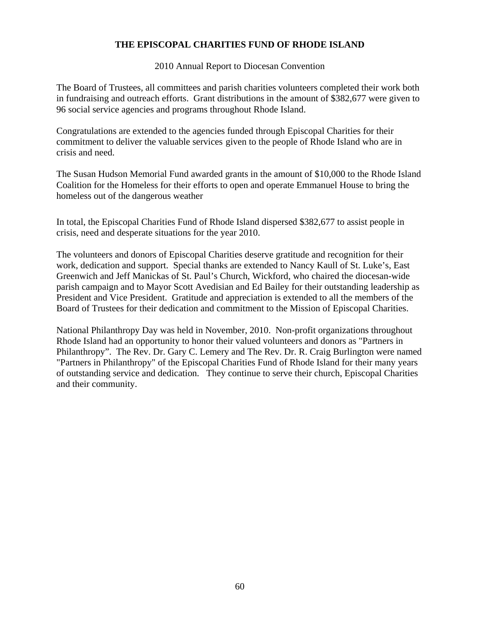### **THE EPISCOPAL CHARITIES FUND OF RHODE ISLAND**

2010 Annual Report to Diocesan Convention

The Board of Trustees, all committees and parish charities volunteers completed their work both in fundraising and outreach efforts. Grant distributions in the amount of \$382,677 were given to 96 social service agencies and programs throughout Rhode Island.

Congratulations are extended to the agencies funded through Episcopal Charities for their commitment to deliver the valuable services given to the people of Rhode Island who are in crisis and need.

The Susan Hudson Memorial Fund awarded grants in the amount of \$10,000 to the Rhode Island Coalition for the Homeless for their efforts to open and operate Emmanuel House to bring the homeless out of the dangerous weather

In total, the Episcopal Charities Fund of Rhode Island dispersed \$382,677 to assist people in crisis, need and desperate situations for the year 2010.

The volunteers and donors of Episcopal Charities deserve gratitude and recognition for their work, dedication and support. Special thanks are extended to Nancy Kaull of St. Luke's, East Greenwich and Jeff Manickas of St. Paul's Church, Wickford, who chaired the diocesan-wide parish campaign and to Mayor Scott Avedisian and Ed Bailey for their outstanding leadership as President and Vice President. Gratitude and appreciation is extended to all the members of the Board of Trustees for their dedication and commitment to the Mission of Episcopal Charities.

National Philanthropy Day was held in November, 2010. Non-profit organizations throughout Rhode Island had an opportunity to honor their valued volunteers and donors as "Partners in Philanthropy". The Rev. Dr. Gary C. Lemery and The Rev. Dr. R. Craig Burlington were named "Partners in Philanthropy" of the Episcopal Charities Fund of Rhode Island for their many years of outstanding service and dedication. They continue to serve their church, Episcopal Charities and their community.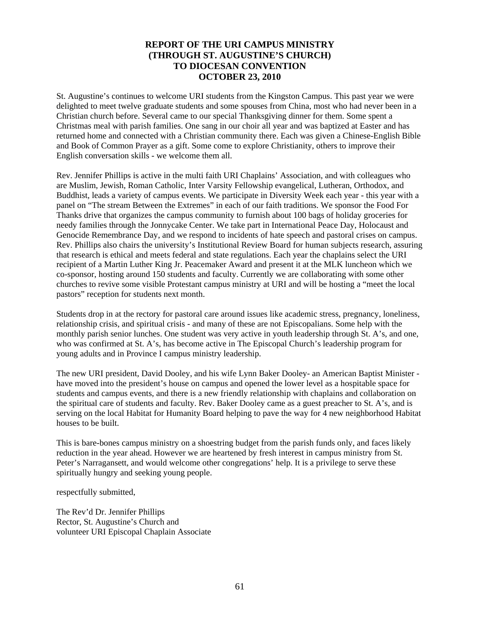### **REPORT OF THE URI CAMPUS MINISTRY (THROUGH ST. AUGUSTINE'S CHURCH) TO DIOCESAN CONVENTION OCTOBER 23, 2010**

St. Augustine's continues to welcome URI students from the Kingston Campus. This past year we were delighted to meet twelve graduate students and some spouses from China, most who had never been in a Christian church before. Several came to our special Thanksgiving dinner for them. Some spent a Christmas meal with parish families. One sang in our choir all year and was baptized at Easter and has returned home and connected with a Christian community there. Each was given a Chinese-English Bible and Book of Common Prayer as a gift. Some come to explore Christianity, others to improve their English conversation skills - we welcome them all.

Rev. Jennifer Phillips is active in the multi faith URI Chaplains' Association, and with colleagues who are Muslim, Jewish, Roman Catholic, Inter Varsity Fellowship evangelical, Lutheran, Orthodox, and Buddhist, leads a variety of campus events. We participate in Diversity Week each year - this year with a panel on "The stream Between the Extremes" in each of our faith traditions. We sponsor the Food For Thanks drive that organizes the campus community to furnish about 100 bags of holiday groceries for needy families through the Jonnycake Center. We take part in International Peace Day, Holocaust and Genocide Remembrance Day, and we respond to incidents of hate speech and pastoral crises on campus. Rev. Phillips also chairs the university's Institutional Review Board for human subjects research, assuring that research is ethical and meets federal and state regulations. Each year the chaplains select the URI recipient of a Martin Luther King Jr. Peacemaker Award and present it at the MLK luncheon which we co-sponsor, hosting around 150 students and faculty. Currently we are collaborating with some other churches to revive some visible Protestant campus ministry at URI and will be hosting a "meet the local pastors" reception for students next month.

Students drop in at the rectory for pastoral care around issues like academic stress, pregnancy, loneliness, relationship crisis, and spiritual crisis - and many of these are not Episcopalians. Some help with the monthly parish senior lunches. One student was very active in youth leadership through St. A's, and one, who was confirmed at St. A's, has become active in The Episcopal Church's leadership program for young adults and in Province I campus ministry leadership.

The new URI president, David Dooley, and his wife Lynn Baker Dooley- an American Baptist Minister have moved into the president's house on campus and opened the lower level as a hospitable space for students and campus events, and there is a new friendly relationship with chaplains and collaboration on the spiritual care of students and faculty. Rev. Baker Dooley came as a guest preacher to St. A's, and is serving on the local Habitat for Humanity Board helping to pave the way for 4 new neighborhood Habitat houses to be built.

This is bare-bones campus ministry on a shoestring budget from the parish funds only, and faces likely reduction in the year ahead. However we are heartened by fresh interest in campus ministry from St. Peter's Narragansett, and would welcome other congregations' help. It is a privilege to serve these spiritually hungry and seeking young people.

respectfully submitted,

The Rev'd Dr. Jennifer Phillips Rector, St. Augustine's Church and volunteer URI Episcopal Chaplain Associate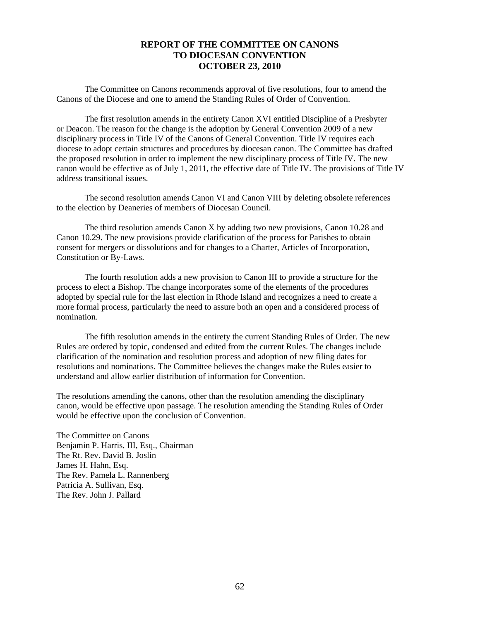### **REPORT OF THE COMMITTEE ON CANONS TO DIOCESAN CONVENTION OCTOBER 23, 2010**

The Committee on Canons recommends approval of five resolutions, four to amend the Canons of the Diocese and one to amend the Standing Rules of Order of Convention.

The first resolution amends in the entirety Canon XVI entitled Discipline of a Presbyter or Deacon. The reason for the change is the adoption by General Convention 2009 of a new disciplinary process in Title IV of the Canons of General Convention. Title IV requires each diocese to adopt certain structures and procedures by diocesan canon. The Committee has drafted the proposed resolution in order to implement the new disciplinary process of Title IV. The new canon would be effective as of July 1, 2011, the effective date of Title IV. The provisions of Title IV address transitional issues.

The second resolution amends Canon VI and Canon VIII by deleting obsolete references to the election by Deaneries of members of Diocesan Council.

The third resolution amends Canon X by adding two new provisions, Canon 10.28 and Canon 10.29. The new provisions provide clarification of the process for Parishes to obtain consent for mergers or dissolutions and for changes to a Charter, Articles of Incorporation, Constitution or By-Laws.

The fourth resolution adds a new provision to Canon III to provide a structure for the process to elect a Bishop. The change incorporates some of the elements of the procedures adopted by special rule for the last election in Rhode Island and recognizes a need to create a more formal process, particularly the need to assure both an open and a considered process of nomination.

The fifth resolution amends in the entirety the current Standing Rules of Order. The new Rules are ordered by topic, condensed and edited from the current Rules. The changes include clarification of the nomination and resolution process and adoption of new filing dates for resolutions and nominations. The Committee believes the changes make the Rules easier to understand and allow earlier distribution of information for Convention.

The resolutions amending the canons, other than the resolution amending the disciplinary canon, would be effective upon passage. The resolution amending the Standing Rules of Order would be effective upon the conclusion of Convention.

The Committee on Canons Benjamin P. Harris, III, Esq., Chairman The Rt. Rev. David B. Joslin James H. Hahn, Esq. The Rev. Pamela L. Rannenberg Patricia A. Sullivan, Esq. The Rev. John J. Pallard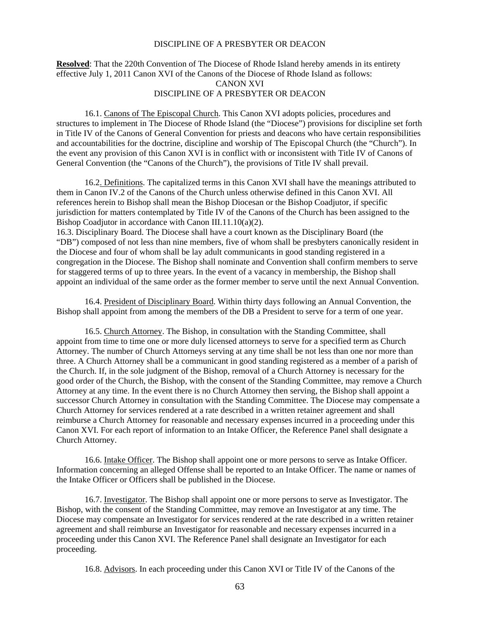#### DISCIPLINE OF A PRESBYTER OR DEACON

### **Resolved**: That the 220th Convention of The Diocese of Rhode Island hereby amends in its entirety effective July 1, 2011 Canon XVI of the Canons of the Diocese of Rhode Island as follows: CANON XVI DISCIPLINE OF A PRESBYTER OR DEACON

16.1. Canons of The Episcopal Church. This Canon XVI adopts policies, procedures and structures to implement in The Diocese of Rhode Island (the "Diocese") provisions for discipline set forth in Title IV of the Canons of General Convention for priests and deacons who have certain responsibilities and accountabilities for the doctrine, discipline and worship of The Episcopal Church (the "Church"). In the event any provision of this Canon XVI is in conflict with or inconsistent with Title IV of Canons of General Convention (the "Canons of the Church"), the provisions of Title IV shall prevail.

16.2. Definitions. The capitalized terms in this Canon XVI shall have the meanings attributed to them in Canon IV.2 of the Canons of the Church unless otherwise defined in this Canon XVI. All references herein to Bishop shall mean the Bishop Diocesan or the Bishop Coadjutor, if specific jurisdiction for matters contemplated by Title IV of the Canons of the Church has been assigned to the Bishop Coadjutor in accordance with Canon III.11.10(a)(2).

16.3. Disciplinary Board. The Diocese shall have a court known as the Disciplinary Board (the "DB") composed of not less than nine members, five of whom shall be presbyters canonically resident in the Diocese and four of whom shall be lay adult communicants in good standing registered in a congregation in the Diocese. The Bishop shall nominate and Convention shall confirm members to serve for staggered terms of up to three years. In the event of a vacancy in membership, the Bishop shall appoint an individual of the same order as the former member to serve until the next Annual Convention.

16.4. President of Disciplinary Board. Within thirty days following an Annual Convention, the Bishop shall appoint from among the members of the DB a President to serve for a term of one year.

16.5. Church Attorney. The Bishop, in consultation with the Standing Committee, shall appoint from time to time one or more duly licensed attorneys to serve for a specified term as Church Attorney. The number of Church Attorneys serving at any time shall be not less than one nor more than three. A Church Attorney shall be a communicant in good standing registered as a member of a parish of the Church. If, in the sole judgment of the Bishop, removal of a Church Attorney is necessary for the good order of the Church, the Bishop, with the consent of the Standing Committee, may remove a Church Attorney at any time. In the event there is no Church Attorney then serving, the Bishop shall appoint a successor Church Attorney in consultation with the Standing Committee. The Diocese may compensate a Church Attorney for services rendered at a rate described in a written retainer agreement and shall reimburse a Church Attorney for reasonable and necessary expenses incurred in a proceeding under this Canon XVI. For each report of information to an Intake Officer, the Reference Panel shall designate a Church Attorney.

16.6. Intake Officer. The Bishop shall appoint one or more persons to serve as Intake Officer. Information concerning an alleged Offense shall be reported to an Intake Officer. The name or names of the Intake Officer or Officers shall be published in the Diocese.

16.7. Investigator. The Bishop shall appoint one or more persons to serve as Investigator. The Bishop, with the consent of the Standing Committee, may remove an Investigator at any time. The Diocese may compensate an Investigator for services rendered at the rate described in a written retainer agreement and shall reimburse an Investigator for reasonable and necessary expenses incurred in a proceeding under this Canon XVI. The Reference Panel shall designate an Investigator for each proceeding.

16.8. Advisors. In each proceeding under this Canon XVI or Title IV of the Canons of the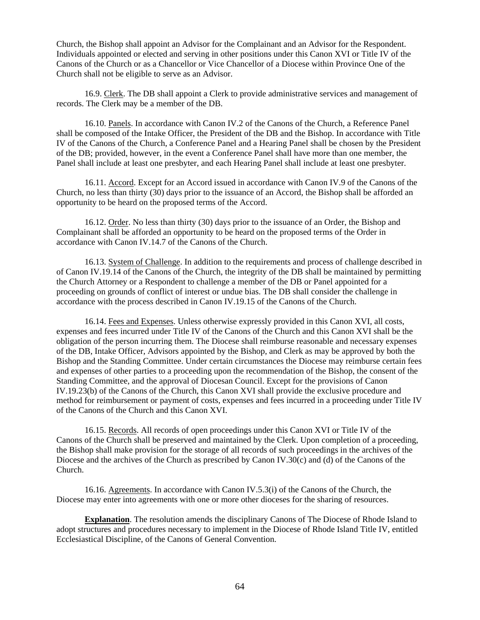Church, the Bishop shall appoint an Advisor for the Complainant and an Advisor for the Respondent. Individuals appointed or elected and serving in other positions under this Canon XVI or Title IV of the Canons of the Church or as a Chancellor or Vice Chancellor of a Diocese within Province One of the Church shall not be eligible to serve as an Advisor.

16.9. Clerk. The DB shall appoint a Clerk to provide administrative services and management of records. The Clerk may be a member of the DB.

16.10. Panels. In accordance with Canon IV.2 of the Canons of the Church, a Reference Panel shall be composed of the Intake Officer, the President of the DB and the Bishop. In accordance with Title IV of the Canons of the Church, a Conference Panel and a Hearing Panel shall be chosen by the President of the DB; provided, however, in the event a Conference Panel shall have more than one member, the Panel shall include at least one presbyter, and each Hearing Panel shall include at least one presbyter.

16.11. Accord. Except for an Accord issued in accordance with Canon IV.9 of the Canons of the Church, no less than thirty (30) days prior to the issuance of an Accord, the Bishop shall be afforded an opportunity to be heard on the proposed terms of the Accord.

16.12. Order. No less than thirty (30) days prior to the issuance of an Order, the Bishop and Complainant shall be afforded an opportunity to be heard on the proposed terms of the Order in accordance with Canon IV.14.7 of the Canons of the Church.

16.13. System of Challenge. In addition to the requirements and process of challenge described in of Canon IV.19.14 of the Canons of the Church, the integrity of the DB shall be maintained by permitting the Church Attorney or a Respondent to challenge a member of the DB or Panel appointed for a proceeding on grounds of conflict of interest or undue bias. The DB shall consider the challenge in accordance with the process described in Canon IV.19.15 of the Canons of the Church.

16.14. Fees and Expenses. Unless otherwise expressly provided in this Canon XVI, all costs, expenses and fees incurred under Title IV of the Canons of the Church and this Canon XVI shall be the obligation of the person incurring them. The Diocese shall reimburse reasonable and necessary expenses of the DB, Intake Officer, Advisors appointed by the Bishop, and Clerk as may be approved by both the Bishop and the Standing Committee. Under certain circumstances the Diocese may reimburse certain fees and expenses of other parties to a proceeding upon the recommendation of the Bishop, the consent of the Standing Committee, and the approval of Diocesan Council. Except for the provisions of Canon IV.19.23(b) of the Canons of the Church, this Canon XVI shall provide the exclusive procedure and method for reimbursement or payment of costs, expenses and fees incurred in a proceeding under Title IV of the Canons of the Church and this Canon XVI.

16.15. Records. All records of open proceedings under this Canon XVI or Title IV of the Canons of the Church shall be preserved and maintained by the Clerk. Upon completion of a proceeding, the Bishop shall make provision for the storage of all records of such proceedings in the archives of the Diocese and the archives of the Church as prescribed by Canon IV.30(c) and (d) of the Canons of the Church.

16.16. Agreements. In accordance with Canon IV.5.3(i) of the Canons of the Church, the Diocese may enter into agreements with one or more other dioceses for the sharing of resources.

**Explanation**. The resolution amends the disciplinary Canons of The Diocese of Rhode Island to adopt structures and procedures necessary to implement in the Diocese of Rhode Island Title IV, entitled Ecclesiastical Discipline, of the Canons of General Convention.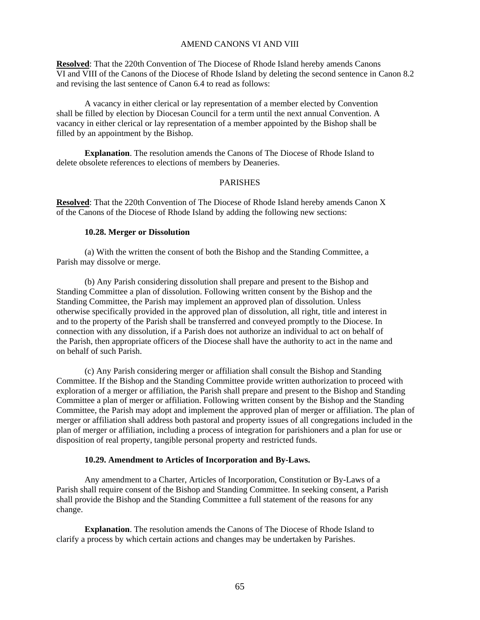#### AMEND CANONS VI AND VIII

**Resolved**: That the 220th Convention of The Diocese of Rhode Island hereby amends Canons VI and VIII of the Canons of the Diocese of Rhode Island by deleting the second sentence in Canon 8.2 and revising the last sentence of Canon 6.4 to read as follows:

A vacancy in either clerical or lay representation of a member elected by Convention shall be filled by election by Diocesan Council for a term until the next annual Convention. A vacancy in either clerical or lay representation of a member appointed by the Bishop shall be filled by an appointment by the Bishop.

**Explanation**. The resolution amends the Canons of The Diocese of Rhode Island to delete obsolete references to elections of members by Deaneries.

#### PARISHES

**Resolved**: That the 220th Convention of The Diocese of Rhode Island hereby amends Canon X of the Canons of the Diocese of Rhode Island by adding the following new sections:

### **10.28. Merger or Dissolution**

 (a) With the written the consent of both the Bishop and the Standing Committee, a Parish may dissolve or merge.

 (b) Any Parish considering dissolution shall prepare and present to the Bishop and Standing Committee a plan of dissolution. Following written consent by the Bishop and the Standing Committee, the Parish may implement an approved plan of dissolution. Unless otherwise specifically provided in the approved plan of dissolution, all right, title and interest in and to the property of the Parish shall be transferred and conveyed promptly to the Diocese. In connection with any dissolution, if a Parish does not authorize an individual to act on behalf of the Parish, then appropriate officers of the Diocese shall have the authority to act in the name and on behalf of such Parish.

 (c) Any Parish considering merger or affiliation shall consult the Bishop and Standing Committee. If the Bishop and the Standing Committee provide written authorization to proceed with exploration of a merger or affiliation, the Parish shall prepare and present to the Bishop and Standing Committee a plan of merger or affiliation. Following written consent by the Bishop and the Standing Committee, the Parish may adopt and implement the approved plan of merger or affiliation. The plan of merger or affiliation shall address both pastoral and property issues of all congregations included in the plan of merger or affiliation, including a process of integration for parishioners and a plan for use or disposition of real property, tangible personal property and restricted funds.

#### **10.29. Amendment to Articles of Incorporation and By-Laws.**

 Any amendment to a Charter, Articles of Incorporation, Constitution or By-Laws of a Parish shall require consent of the Bishop and Standing Committee. In seeking consent, a Parish shall provide the Bishop and the Standing Committee a full statement of the reasons for any change.

 **Explanation**. The resolution amends the Canons of The Diocese of Rhode Island to clarify a process by which certain actions and changes may be undertaken by Parishes.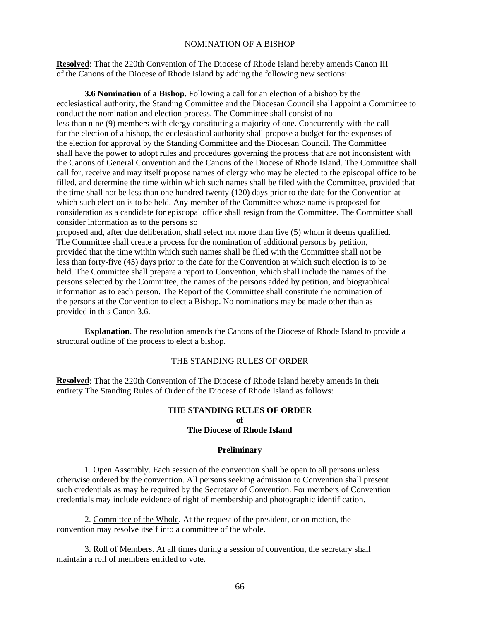#### NOMINATION OF A BISHOP

**Resolved**: That the 220th Convention of The Diocese of Rhode Island hereby amends Canon III of the Canons of the Diocese of Rhode Island by adding the following new sections:

 **3.6 Nomination of a Bishop.** Following a call for an election of a bishop by the ecclesiastical authority, the Standing Committee and the Diocesan Council shall appoint a Committee to conduct the nomination and election process. The Committee shall consist of no less than nine (9) members with clergy constituting a majority of one. Concurrently with the call for the election of a bishop, the ecclesiastical authority shall propose a budget for the expenses of the election for approval by the Standing Committee and the Diocesan Council. The Committee shall have the power to adopt rules and procedures governing the process that are not inconsistent with the Canons of General Convention and the Canons of the Diocese of Rhode Island. The Committee shall call for, receive and may itself propose names of clergy who may be elected to the episcopal office to be filled, and determine the time within which such names shall be filed with the Committee, provided that the time shall not be less than one hundred twenty (120) days prior to the date for the Convention at which such election is to be held. Any member of the Committee whose name is proposed for consideration as a candidate for episcopal office shall resign from the Committee. The Committee shall consider information as to the persons so

proposed and, after due deliberation, shall select not more than five (5) whom it deems qualified. The Committee shall create a process for the nomination of additional persons by petition, provided that the time within which such names shall be filed with the Committee shall not be less than forty-five (45) days prior to the date for the Convention at which such election is to be held. The Committee shall prepare a report to Convention, which shall include the names of the persons selected by the Committee, the names of the persons added by petition, and biographical information as to each person. The Report of the Committee shall constitute the nomination of the persons at the Convention to elect a Bishop. No nominations may be made other than as provided in this Canon 3.6.

 **Explanation**. The resolution amends the Canons of the Diocese of Rhode Island to provide a structural outline of the process to elect a bishop.

### THE STANDING RULES OF ORDER

**Resolved**: That the 220th Convention of The Diocese of Rhode Island hereby amends in their entirety The Standing Rules of Order of the Diocese of Rhode Island as follows:

### **THE STANDING RULES OF ORDER of The Diocese of Rhode Island**

#### **Preliminary**

 1. Open Assembly. Each session of the convention shall be open to all persons unless otherwise ordered by the convention. All persons seeking admission to Convention shall present such credentials as may be required by the Secretary of Convention. For members of Convention credentials may include evidence of right of membership and photographic identification.

 2. Committee of the Whole. At the request of the president, or on motion, the convention may resolve itself into a committee of the whole.

 3. Roll of Members. At all times during a session of convention, the secretary shall maintain a roll of members entitled to vote.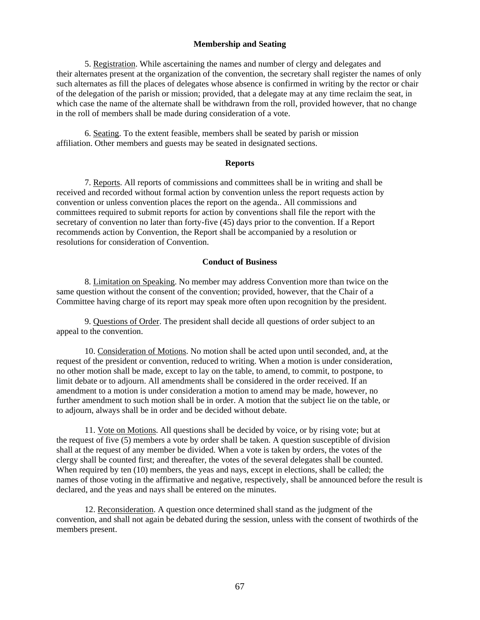#### **Membership and Seating**

 5. Registration. While ascertaining the names and number of clergy and delegates and their alternates present at the organization of the convention, the secretary shall register the names of only such alternates as fill the places of delegates whose absence is confirmed in writing by the rector or chair of the delegation of the parish or mission; provided, that a delegate may at any time reclaim the seat, in which case the name of the alternate shall be withdrawn from the roll, provided however, that no change in the roll of members shall be made during consideration of a vote.

 6. Seating. To the extent feasible, members shall be seated by parish or mission affiliation. Other members and guests may be seated in designated sections.

#### **Reports**

 7. Reports. All reports of commissions and committees shall be in writing and shall be received and recorded without formal action by convention unless the report requests action by convention or unless convention places the report on the agenda.. All commissions and committees required to submit reports for action by conventions shall file the report with the secretary of convention no later than forty-five (45) days prior to the convention. If a Report recommends action by Convention, the Report shall be accompanied by a resolution or resolutions for consideration of Convention.

#### **Conduct of Business**

 8. Limitation on Speaking. No member may address Convention more than twice on the same question without the consent of the convention; provided, however, that the Chair of a Committee having charge of its report may speak more often upon recognition by the president.

 9. Questions of Order. The president shall decide all questions of order subject to an appeal to the convention.

 10. Consideration of Motions. No motion shall be acted upon until seconded, and, at the request of the president or convention, reduced to writing. When a motion is under consideration, no other motion shall be made, except to lay on the table, to amend, to commit, to postpone, to limit debate or to adjourn. All amendments shall be considered in the order received. If an amendment to a motion is under consideration a motion to amend may be made, however, no further amendment to such motion shall be in order. A motion that the subject lie on the table, or to adjourn, always shall be in order and be decided without debate.

 11. Vote on Motions. All questions shall be decided by voice, or by rising vote; but at the request of five (5) members a vote by order shall be taken. A question susceptible of division shall at the request of any member be divided. When a vote is taken by orders, the votes of the clergy shall be counted first; and thereafter, the votes of the several delegates shall be counted. When required by ten (10) members, the yeas and nays, except in elections, shall be called; the names of those voting in the affirmative and negative, respectively, shall be announced before the result is declared, and the yeas and nays shall be entered on the minutes.

 12. Reconsideration. A question once determined shall stand as the judgment of the convention, and shall not again be debated during the session, unless with the consent of twothirds of the members present.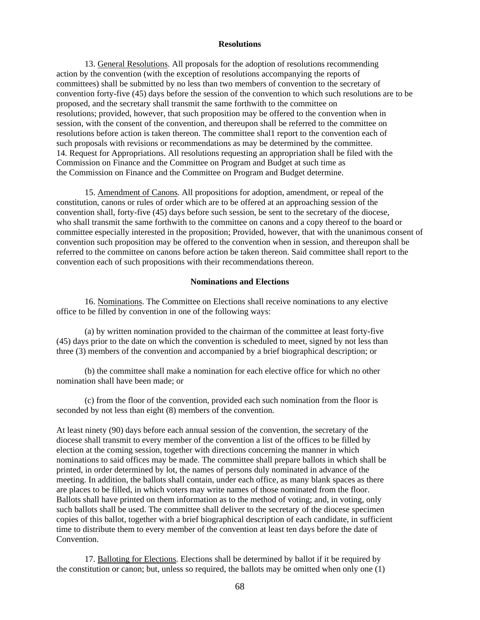#### **Resolutions**

 13. General Resolutions. All proposals for the adoption of resolutions recommending action by the convention (with the exception of resolutions accompanying the reports of committees) shall be submitted by no less than two members of convention to the secretary of convention forty-five (45) days before the session of the convention to which such resolutions are to be proposed, and the secretary shall transmit the same forthwith to the committee on resolutions; provided, however, that such proposition may be offered to the convention when in session, with the consent of the convention, and thereupon shall be referred to the committee on resolutions before action is taken thereon. The committee shal1 report to the convention each of such proposals with revisions or recommendations as may be determined by the committee. 14. Request for Appropriations. All resolutions requesting an appropriation shall be filed with the Commission on Finance and the Committee on Program and Budget at such time as the Commission on Finance and the Committee on Program and Budget determine.

 15. Amendment of Canons. All propositions for adoption, amendment, or repeal of the constitution, canons or rules of order which are to be offered at an approaching session of the convention shall, forty-five (45) days before such session, be sent to the secretary of the diocese, who shall transmit the same forthwith to the committee on canons and a copy thereof to the board or committee especially interested in the proposition; Provided, however, that with the unanimous consent of convention such proposition may be offered to the convention when in session, and thereupon shall be referred to the committee on canons before action be taken thereon. Said committee shall report to the convention each of such propositions with their recommendations thereon.

#### **Nominations and Elections**

 16. Nominations. The Committee on Elections shall receive nominations to any elective office to be filled by convention in one of the following ways:

 (a) by written nomination provided to the chairman of the committee at least forty-five (45) days prior to the date on which the convention is scheduled to meet, signed by not less than three (3) members of the convention and accompanied by a brief biographical description; or

 (b) the committee shall make a nomination for each elective office for which no other nomination shall have been made; or

 (c) from the floor of the convention, provided each such nomination from the floor is seconded by not less than eight (8) members of the convention.

At least ninety (90) days before each annual session of the convention, the secretary of the diocese shall transmit to every member of the convention a list of the offices to be filled by election at the coming session, together with directions concerning the manner in which nominations to said offices may be made. The committee shall prepare ballots in which shall be printed, in order determined by lot, the names of persons duly nominated in advance of the meeting. In addition, the ballots shall contain, under each office, as many blank spaces as there are places to be filled, in which voters may write names of those nominated from the floor. Ballots shall have printed on them information as to the method of voting; and, in voting, only such ballots shall be used. The committee shall deliver to the secretary of the diocese specimen copies of this ballot, together with a brief biographical description of each candidate, in sufficient time to distribute them to every member of the convention at least ten days before the date of Convention.

 17. Balloting for Elections. Elections shall be determined by ballot if it be required by the constitution or canon; but, unless so required, the ballots may be omitted when only one (1)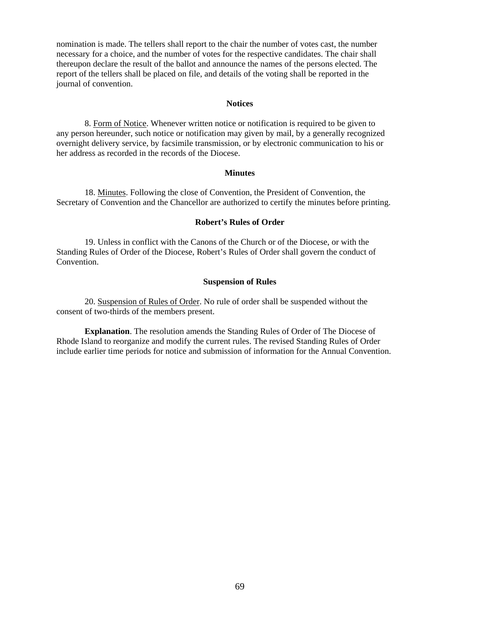nomination is made. The tellers shall report to the chair the number of votes cast, the number necessary for a choice, and the number of votes for the respective candidates. The chair shall thereupon declare the result of the ballot and announce the names of the persons elected. The report of the tellers shall be placed on file, and details of the voting shall be reported in the journal of convention.

#### **Notices**

 8. Form of Notice. Whenever written notice or notification is required to be given to any person hereunder, such notice or notification may given by mail, by a generally recognized overnight delivery service, by facsimile transmission, or by electronic communication to his or her address as recorded in the records of the Diocese.

#### **Minutes**

 18. Minutes. Following the close of Convention, the President of Convention, the Secretary of Convention and the Chancellor are authorized to certify the minutes before printing.

#### **Robert's Rules of Order**

 19. Unless in conflict with the Canons of the Church or of the Diocese, or with the Standing Rules of Order of the Diocese, Robert's Rules of Order shall govern the conduct of Convention.

#### **Suspension of Rules**

 20. Suspension of Rules of Order. No rule of order shall be suspended without the consent of two-thirds of the members present.

 **Explanation**. The resolution amends the Standing Rules of Order of The Diocese of Rhode Island to reorganize and modify the current rules. The revised Standing Rules of Order include earlier time periods for notice and submission of information for the Annual Convention.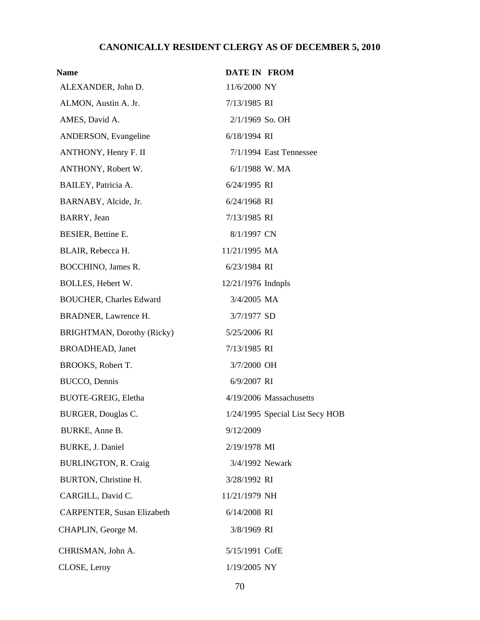# **CANONICALLY RESIDENT CLERGY AS OF DECEMBER 5, 2010**

| <b>Name</b>                       | <b>DATE IN FROM</b>  |                                 |
|-----------------------------------|----------------------|---------------------------------|
| ALEXANDER, John D.                | 11/6/2000 NY         |                                 |
| ALMON, Austin A. Jr.              | 7/13/1985 RI         |                                 |
| AMES, David A.                    | 2/1/1969 So. OH      |                                 |
| ANDERSON, Evangeline              | 6/18/1994 RI         |                                 |
| ANTHONY, Henry F. II              |                      | $7/1/1994$ East Tennessee       |
| ANTHONY, Robert W.                | 6/1/1988 W. MA       |                                 |
| BAILEY, Patricia A.               | 6/24/1995 RI         |                                 |
| BARNABY, Alcide, Jr.              | 6/24/1968 RI         |                                 |
| BARRY, Jean                       | 7/13/1985 RI         |                                 |
| BESIER, Bettine E.                | 8/1/1997 CN          |                                 |
| BLAIR, Rebecca H.                 | 11/21/1995 MA        |                                 |
| BOCCHINO, James R.                | 6/23/1984 RI         |                                 |
| BOLLES, Hebert W.                 | $12/21/1976$ Indnpls |                                 |
| <b>BOUCHER, Charles Edward</b>    | 3/4/2005 MA          |                                 |
| BRADNER, Lawrence H.              | 3/7/1977 SD          |                                 |
| BRIGHTMAN, Dorothy (Ricky)        | 5/25/2006 RI         |                                 |
| <b>BROADHEAD</b> , Janet          | 7/13/1985 RI         |                                 |
| BROOKS, Robert T.                 | 3/7/2000 OH          |                                 |
| BUCCO, Dennis                     | 6/9/2007 RI          |                                 |
| <b>BUOTE-GREIG, Eletha</b>        |                      | 4/19/2006 Massachusetts         |
| <b>BURGER, Douglas C.</b>         |                      | 1/24/1995 Special List Secy HOB |
| BURKE, Anne B.                    | 9/12/2009            |                                 |
| BURKE, J. Daniel                  | 2/19/1978 MI         |                                 |
| <b>BURLINGTON, R. Craig</b>       | 3/4/1992 Newark      |                                 |
| BURTON, Christine H.              | 3/28/1992 RI         |                                 |
| CARGILL, David C.                 | 11/21/1979 NH        |                                 |
| <b>CARPENTER, Susan Elizabeth</b> | 6/14/2008 RI         |                                 |
| CHAPLIN, George M.                | 3/8/1969 RI          |                                 |
| CHRISMAN, John A.                 | 5/15/1991 CofE       |                                 |
| CLOSE, Leroy                      | 1/19/2005 NY         |                                 |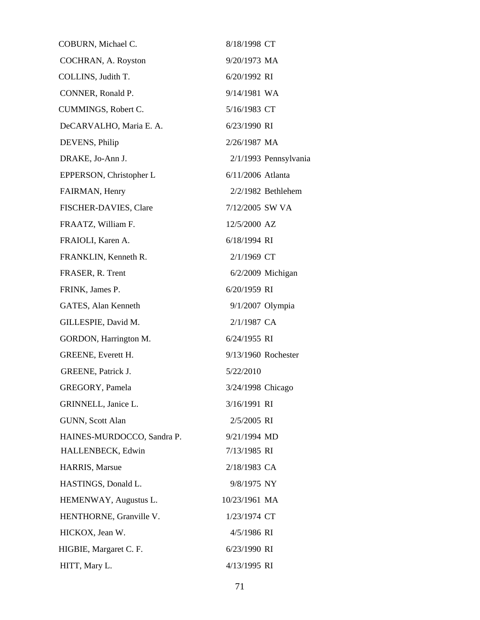| COBURN, Michael C.         | 8/18/1998 CT          |  |
|----------------------------|-----------------------|--|
| COCHRAN, A. Royston        | 9/20/1973 MA          |  |
| COLLINS, Judith T.         | 6/20/1992 RI          |  |
| CONNER, Ronald P.          | 9/14/1981 WA          |  |
| CUMMINGS, Robert C.        | 5/16/1983 CT          |  |
| DeCARVALHO, Maria E. A.    | 6/23/1990 RI          |  |
| DEVENS, Philip             | 2/26/1987 MA          |  |
| DRAKE, Jo-Ann J.           | 2/1/1993 Pennsylvania |  |
| EPPERSON, Christopher L    | 6/11/2006 Atlanta     |  |
| FAIRMAN, Henry             | $2/2/1982$ Bethlehem  |  |
| FISCHER-DAVIES, Clare      | 7/12/2005 SW VA       |  |
| FRAATZ, William F.         | 12/5/2000 AZ          |  |
| FRAIOLI, Karen A.          | 6/18/1994 RI          |  |
| FRANKLIN, Kenneth R.       | 2/1/1969 CT           |  |
| FRASER, R. Trent           | $6/2/2009$ Michigan   |  |
| FRINK, James P.            | 6/20/1959 RI          |  |
| GATES, Alan Kenneth        | 9/1/2007 Olympia      |  |
| GILLESPIE, David M.        | 2/1/1987 CA           |  |
| GORDON, Harrington M.      | 6/24/1955 RI          |  |
| <b>GREENE, Everett H.</b>  | 9/13/1960 Rochester   |  |
| <b>GREENE</b> , Patrick J. | 5/22/2010             |  |
| GREGORY, Pamela            | 3/24/1998 Chicago     |  |
| GRINNELL, Janice L.        | 3/16/1991 RI          |  |
| GUNN, Scott Alan           | 2/5/2005 RI           |  |
| HAINES-MURDOCCO, Sandra P. | 9/21/1994 MD          |  |
| HALLENBECK, Edwin          | 7/13/1985 RI          |  |
| HARRIS, Marsue             | 2/18/1983 CA          |  |
| HASTINGS, Donald L.        | 9/8/1975 NY           |  |
| HEMENWAY, Augustus L.      | 10/23/1961 MA         |  |
| HENTHORNE, Granville V.    | 1/23/1974 CT          |  |
| HICKOX, Jean W.            | 4/5/1986 RI           |  |
| HIGBIE, Margaret C. F.     | 6/23/1990 RI          |  |
| HITT, Mary L.              | 4/13/1995 RI          |  |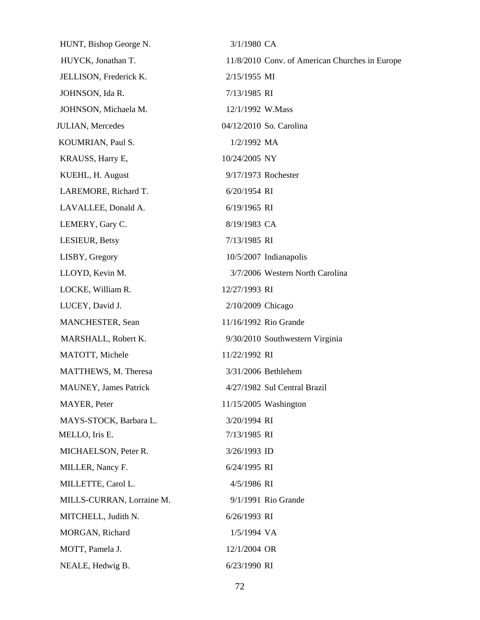HUNT, Bishop George N. 3/1/1980 CA HUYCK, Jonathan T. 11/8/2010 Conv. of American Churches in Europe JELLISON, Frederick K. 2/15/1955 MI JOHNSON, Ida R. 7/13/1985 RI JOHNSON, Michaela M. 12/1/1992 W.Mass JULIAN, Mercedes 04/12/2010 So. Carolina KOUMRIAN, Paul S. 1/2/1992 MA KRAUSS, Harry E, 10/24/2005 NY KUEHL, H. August 9/17/1973 Rochester LAREMORE, Richard T. 6/20/1954 RI LAVALLEE, Donald A. 6/19/1965 RI LEMERY, Gary C. 8/19/1983 CA LESIEUR, Betsy 7/13/1985 RI LISBY, Gregory 10/5/2007 Indianapolis LLOYD, Kevin M. 3/7/2006 Western North Carolina LOCKE, William R. 12/27/1993 RI LUCEY, David J. 2/10/2009 Chicago MANCHESTER, Sean 11/16/1992 Rio Grande MARSHALL, Robert K. 9/30/2010 Southwestern Virginia MATOTT, Michele 11/22/1992 RI MATTHEWS, M. Theresa 3/31/2006 Bethlehem MAUNEY, James Patrick 4/27/1982 Sul Central Brazil MAYER, Peter 11/15/2005 Washington MAYS-STOCK, Barbara L. 3/20/1994 RI MELLO, Iris E. 7/13/1985 RI MICHAELSON, Peter R. 3/26/1993 ID MILLER, Nancy F. 6/24/1995 RI MILLETTE, Carol L. 4/5/1986 RI MILLS-CURRAN, Lorraine M. 9/1/1991 Rio Grande MITCHELL, Judith N. 6/26/1993 RI MORGAN, Richard 1/5/1994 VA MOTT, Pamela J. 12/1/2004 OR NEALE, Hedwig B. 6/23/1990 RI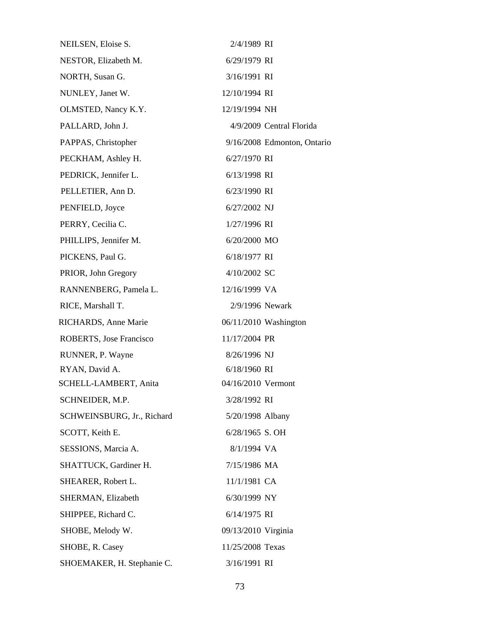| NEILSEN, Eloise S.         | 2/4/1989 RI         |                             |
|----------------------------|---------------------|-----------------------------|
| NESTOR, Elizabeth M.       | 6/29/1979 RI        |                             |
| NORTH, Susan G.            | 3/16/1991 RI        |                             |
| NUNLEY, Janet W.           | 12/10/1994 RI       |                             |
| OLMSTED, Nancy K.Y.        | 12/19/1994 NH       |                             |
| PALLARD, John J.           |                     | 4/9/2009 Central Florida    |
| PAPPAS, Christopher        |                     | 9/16/2008 Edmonton, Ontario |
| PECKHAM, Ashley H.         | 6/27/1970 RI        |                             |
| PEDRICK, Jennifer L.       | 6/13/1998 RI        |                             |
| PELLETIER, Ann D.          | 6/23/1990 RI        |                             |
| PENFIELD, Joyce            | 6/27/2002 NJ        |                             |
| PERRY, Cecilia C.          | 1/27/1996 RI        |                             |
| PHILLIPS, Jennifer M.      | 6/20/2000 MO        |                             |
| PICKENS, Paul G.           | 6/18/1977 RI        |                             |
| PRIOR, John Gregory        | 4/10/2002 SC        |                             |
| RANNENBERG, Pamela L.      | 12/16/1999 VA       |                             |
| RICE, Marshall T.          | 2/9/1996 Newark     |                             |
| RICHARDS, Anne Marie       |                     | 06/11/2010 Washington       |
| ROBERTS, Jose Francisco    | 11/17/2004 PR       |                             |
| RUNNER, P. Wayne           | 8/26/1996 NJ        |                             |
| RYAN, David A.             | 6/18/1960 RI        |                             |
| SCHELL-LAMBERT, Anita      | 04/16/2010 Vermont  |                             |
| SCHNEIDER, M.P.            | 3/28/1992 RI        |                             |
| SCHWEINSBURG, Jr., Richard | 5/20/1998 Albany    |                             |
| SCOTT, Keith E.            | 6/28/1965 S. OH     |                             |
| SESSIONS, Marcia A.        | 8/1/1994 VA         |                             |
| SHATTUCK, Gardiner H.      | 7/15/1986 MA        |                             |
| SHEARER, Robert L.         | 11/1/1981 CA        |                             |
| SHERMAN, Elizabeth         | 6/30/1999 NY        |                             |
| SHIPPEE, Richard C.        | 6/14/1975 RI        |                             |
| SHOBE, Melody W.           | 09/13/2010 Virginia |                             |
| SHOBE, R. Casey            | 11/25/2008 Texas    |                             |
| SHOEMAKER, H. Stephanie C. | 3/16/1991 RI        |                             |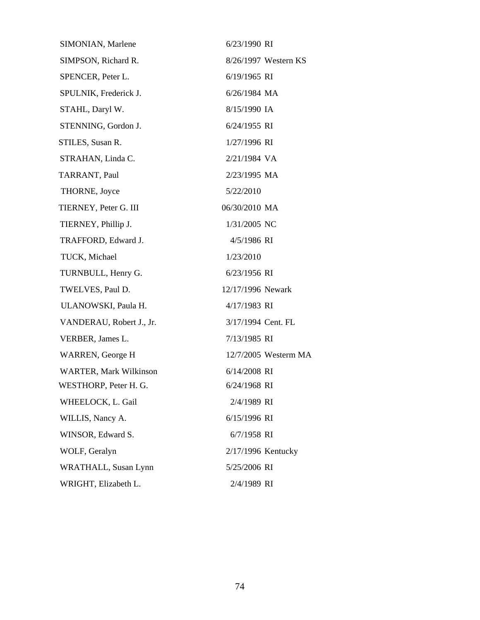| SIMONIAN, Marlene             | 6/23/1990 RI         |
|-------------------------------|----------------------|
| SIMPSON, Richard R.           | 8/26/1997 Western KS |
| SPENCER, Peter L.             | 6/19/1965 RI         |
| SPULNIK, Frederick J.         | 6/26/1984 MA         |
| STAHL, Daryl W.               | 8/15/1990 IA         |
| STENNING, Gordon J.           | 6/24/1955 RI         |
| STILES, Susan R.              | 1/27/1996 RI         |
| STRAHAN, Linda C.             | 2/21/1984 VA         |
| TARRANT, Paul                 | 2/23/1995 MA         |
| THORNE, Joyce                 | 5/22/2010            |
| TIERNEY, Peter G. III         | 06/30/2010 MA        |
| TIERNEY, Phillip J.           | 1/31/2005 NC         |
| TRAFFORD, Edward J.           | 4/5/1986 RI          |
| TUCK, Michael                 | 1/23/2010            |
| TURNBULL, Henry G.            | 6/23/1956 RI         |
| TWELVES, Paul D.              | 12/17/1996 Newark    |
| ULANOWSKI, Paula H.           | 4/17/1983 RI         |
| VANDERAU, Robert J., Jr.      | 3/17/1994 Cent. FL   |
| VERBER, James L.              | 7/13/1985 RI         |
| WARREN, George H              | 12/7/2005 Westerm MA |
| <b>WARTER, Mark Wilkinson</b> | 6/14/2008 RI         |
| WESTHORP, Peter H. G.         | 6/24/1968 RI         |
| WHEELOCK, L. Gail             | 2/4/1989 RI          |
| WILLIS, Nancy A.              | 6/15/1996 RI         |
| WINSOR, Edward S.             | 6/7/1958 RI          |
| WOLF, Geralyn                 | 2/17/1996 Kentucky   |
| WRATHALL, Susan Lynn          | 5/25/2006 RI         |
| WRIGHT, Elizabeth L.          | 2/4/1989 RI          |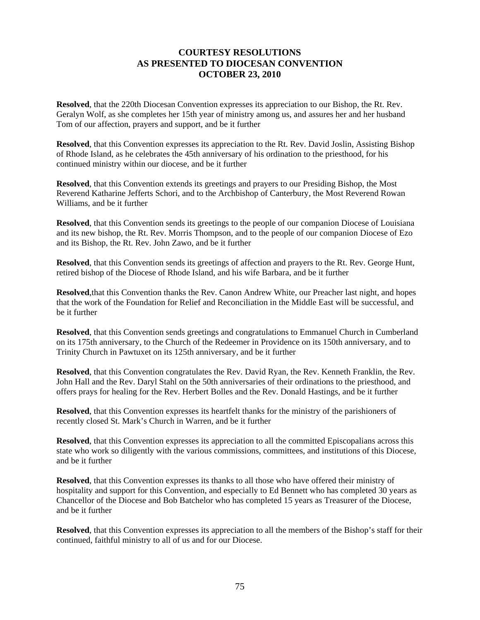## **COURTESY RESOLUTIONS AS PRESENTED TO DIOCESAN CONVENTION OCTOBER 23, 2010**

**Resolved**, that the 220th Diocesan Convention expresses its appreciation to our Bishop, the Rt. Rev. Geralyn Wolf, as she completes her 15th year of ministry among us, and assures her and her husband Tom of our affection, prayers and support, and be it further

**Resolved**, that this Convention expresses its appreciation to the Rt. Rev. David Joslin, Assisting Bishop of Rhode Island, as he celebrates the 45th anniversary of his ordination to the priesthood, for his continued ministry within our diocese, and be it further

**Resolved**, that this Convention extends its greetings and prayers to our Presiding Bishop, the Most Reverend Katharine Jefferts Schori, and to the Archbishop of Canterbury, the Most Reverend Rowan Williams, and be it further

**Resolved**, that this Convention sends its greetings to the people of our companion Diocese of Louisiana and its new bishop, the Rt. Rev. Morris Thompson, and to the people of our companion Diocese of Ezo and its Bishop, the Rt. Rev. John Zawo, and be it further

**Resolved**, that this Convention sends its greetings of affection and prayers to the Rt. Rev. George Hunt, retired bishop of the Diocese of Rhode Island, and his wife Barbara, and be it further

**Resolved**,that this Convention thanks the Rev. Canon Andrew White, our Preacher last night, and hopes that the work of the Foundation for Relief and Reconciliation in the Middle East will be successful, and be it further

**Resolved**, that this Convention sends greetings and congratulations to Emmanuel Church in Cumberland on its 175th anniversary, to the Church of the Redeemer in Providence on its 150th anniversary, and to Trinity Church in Pawtuxet on its 125th anniversary, and be it further

**Resolved**, that this Convention congratulates the Rev. David Ryan, the Rev. Kenneth Franklin, the Rev. John Hall and the Rev. Daryl Stahl on the 50th anniversaries of their ordinations to the priesthood, and offers prays for healing for the Rev. Herbert Bolles and the Rev. Donald Hastings, and be it further

**Resolved**, that this Convention expresses its heartfelt thanks for the ministry of the parishioners of recently closed St. Mark's Church in Warren, and be it further

**Resolved**, that this Convention expresses its appreciation to all the committed Episcopalians across this state who work so diligently with the various commissions, committees, and institutions of this Diocese, and be it further

**Resolved**, that this Convention expresses its thanks to all those who have offered their ministry of hospitality and support for this Convention, and especially to Ed Bennett who has completed 30 years as Chancellor of the Diocese and Bob Batchelor who has completed 15 years as Treasurer of the Diocese, and be it further

**Resolved**, that this Convention expresses its appreciation to all the members of the Bishop's staff for their continued, faithful ministry to all of us and for our Diocese.